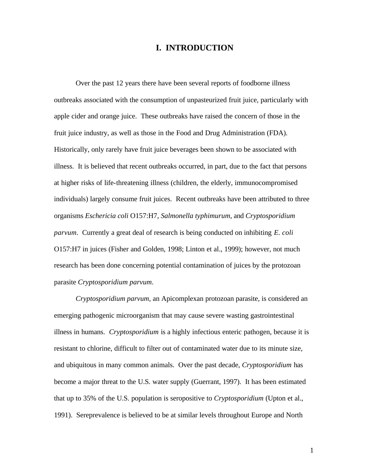# **I. INTRODUCTION**

Over the past 12 years there have been several reports of foodborne illness outbreaks associated with the consumption of unpasteurized fruit juice, particularly with apple cider and orange juice. These outbreaks have raised the concern of those in the fruit juice industry, as well as those in the Food and Drug Administration (FDA). Historically, only rarely have fruit juice beverages been shown to be associated with illness. It is believed that recent outbreaks occurred, in part, due to the fact that persons at higher risks of life-threatening illness (children, the elderly, immunocompromised individuals) largely consume fruit juices. Recent outbreaks have been attributed to three organisms *Eschericia coli* O157:H7, *Salmonella typhimurum*, and *Cryptosporidium parvum*. Currently a great deal of research is being conducted on inhibiting *E. coli* O157:H7 in juices (Fisher and Golden, 1998; Linton et al., 1999); however, not much research has been done concerning potential contamination of juices by the protozoan parasite *Cryptosporidium parvum*.

*Cryptosporidium parvum*, an Apicomplexan protozoan parasite, is considered an emerging pathogenic microorganism that may cause severe wasting gastrointestinal illness in humans. *Cryptosporidium* is a highly infectious enteric pathogen, because it is resistant to chlorine, difficult to filter out of contaminated water due to its minute size, and ubiquitous in many common animals. Over the past decade, *Cryptosporidium* has become a major threat to the U.S. water supply (Guerrant, 1997). It has been estimated that up to 35% of the U.S. population is seropositive to *Cryptosporidium* (Upton et al., 1991). Sereprevalence is believed to be at similar levels throughout Europe and North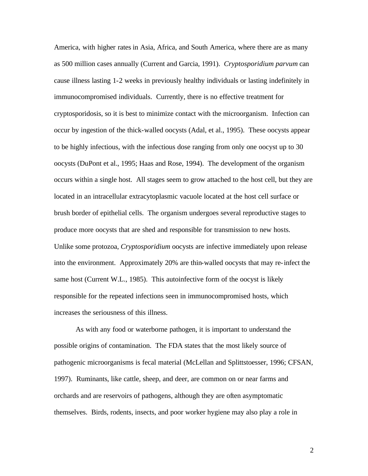America, with higher rates in Asia, Africa, and South America, where there are as many as 500 million cases annually (Current and Garcia, 1991). *Cryptosporidium parvum* can cause illness lasting 1-2 weeks in previously healthy individuals or lasting indefinitely in immunocompromised individuals. Currently, there is no effective treatment for cryptosporidosis, so it is best to minimize contact with the microorganism. Infection can occur by ingestion of the thick-walled oocysts (Adal, et al., 1995). These oocysts appear to be highly infectious, with the infectious dose ranging from only one oocyst up to 30 oocysts (DuPont et al., 1995; Haas and Rose, 1994). The development of the organism occurs within a single host. All stages seem to grow attached to the host cell, but they are located in an intracellular extracytoplasmic vacuole located at the host cell surface or brush border of epithelial cells. The organism undergoes several reproductive stages to produce more oocysts that are shed and responsible for transmission to new hosts. Unlike some protozoa, *Cryptosporidium* oocysts are infective immediately upon release into the environment. Approximately 20% are thin-walled oocysts that may re-infect the same host (Current W.L., 1985). This autoinfective form of the oocyst is likely responsible for the repeated infections seen in immunocompromised hosts, which increases the seriousness of this illness.

As with any food or waterborne pathogen, it is important to understand the possible origins of contamination. The FDA states that the most likely source of pathogenic microorganisms is fecal material (McLellan and Splittstoesser, 1996; CFSAN, 1997). Ruminants, like cattle, sheep, and deer, are common on or near farms and orchards and are reservoirs of pathogens, although they are often asymptomatic themselves. Birds, rodents, insects, and poor worker hygiene may also play a role in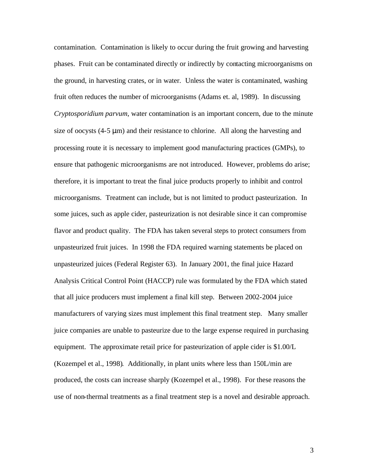contamination. Contamination is likely to occur during the fruit growing and harvesting phases. Fruit can be contaminated directly or indirectly by contacting microorganisms on the ground, in harvesting crates, or in water. Unless the water is contaminated, washing fruit often reduces the number of microorganisms (Adams et. al, 1989). In discussing *Cryptosporidium parvum*, water contamination is an important concern, due to the minute size of oocysts (4-5 μm) and their resistance to chlorine. All along the harvesting and processing route it is necessary to implement good manufacturing practices (GMPs), to ensure that pathogenic microorganisms are not introduced. However, problems do arise; therefore, it is important to treat the final juice products properly to inhibit and control microorganisms. Treatment can include, but is not limited to product pasteurization. In some juices, such as apple cider, pasteurization is not desirable since it can compromise flavor and product quality. The FDA has taken several steps to protect consumers from unpasteurized fruit juices. In 1998 the FDA required warning statements be placed on unpasteurized juices (Federal Register 63). In January 2001, the final juice Hazard Analysis Critical Control Point (HACCP) rule was formulated by the FDA which stated that all juice producers must implement a final kill step. Between 2002-2004 juice manufacturers of varying sizes must implement this final treatment step. Many smaller juice companies are unable to pasteurize due to the large expense required in purchasing equipment. The approximate retail price for pasteurization of apple cider is \$1.00/L (Kozempel et al., 1998). Additionally, in plant units where less than 150L/min are produced, the costs can increase sharply (Kozempel et al., 1998). For these reasons the use of non-thermal treatments as a final treatment step is a novel and desirable approach.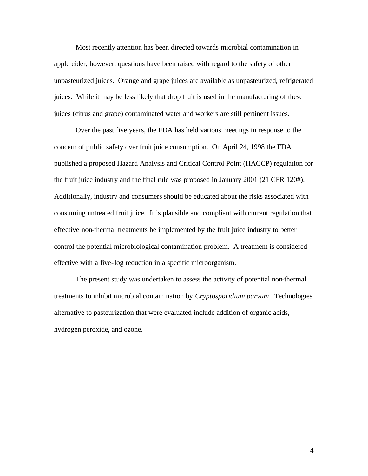Most recently attention has been directed towards microbial contamination in apple cider; however, questions have been raised with regard to the safety of other unpasteurized juices. Orange and grape juices are available as unpasteurized, refrigerated juices. While it may be less likely that drop fruit is used in the manufacturing of these juices (citrus and grape) contaminated water and workers are still pertinent issues.

Over the past five years, the FDA has held various meetings in response to the concern of public safety over fruit juice consumption. On April 24, 1998 the FDA published a proposed Hazard Analysis and Critical Control Point (HACCP) regulation for the fruit juice industry and the final rule was proposed in January 2001 (21 CFR 120#). Additionally, industry and consumers should be educated about the risks associated with consuming untreated fruit juice. It is plausible and compliant with current regulation that effective non-thermal treatments be implemented by the fruit juice industry to better control the potential microbiological contamination problem. A treatment is considered effective with a five-log reduction in a specific microorganism.

The present study was undertaken to assess the activity of potential non-thermal treatments to inhibit microbial contamination by *Cryptosporidium parvum*. Technologies alternative to pasteurization that were evaluated include addition of organic acids, hydrogen peroxide, and ozone.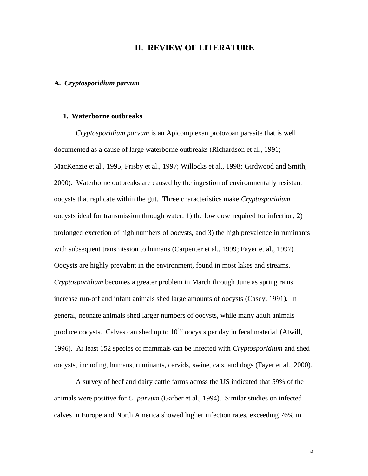# **II. REVIEW OF LITERATURE**

### **A.** *Cryptosporidium parvum*

#### **1. Waterborne outbreaks**

*Cryptosporidium parvum* is an Apicomplexan protozoan parasite that is well documented as a cause of large waterborne outbreaks (Richardson et al., 1991; MacKenzie et al., 1995; Frisby et al., 1997; Willocks et al., 1998; Girdwood and Smith, 2000). Waterborne outbreaks are caused by the ingestion of environmentally resistant oocysts that replicate within the gut. Three characteristics make *Cryptosporidium* oocysts ideal for transmission through water: 1) the low dose required for infection, 2) prolonged excretion of high numbers of oocysts, and 3) the high prevalence in ruminants with subsequent transmission to humans (Carpenter et al., 1999; Fayer et al., 1997). Oocysts are highly prevalent in the environment, found in most lakes and streams. *Cryptosporidium* becomes a greater problem in March through June as spring rains increase run-off and infant animals shed large amounts of oocysts (Casey, 1991). In general, neonate animals shed larger numbers of oocysts, while many adult animals produce oocysts. Calves can shed up to  $10^{10}$  oocysts per day in fecal material (Atwill, 1996). At least 152 species of mammals can be infected with *Cryptosporidium* and shed oocysts, including, humans, ruminants, cervids, swine, cats, and dogs (Fayer et al., 2000).

A survey of beef and dairy cattle farms across the US indicated that 59% of the animals were positive for *C. parvum* (Garber et al., 1994). Similar studies on infected calves in Europe and North America showed higher infection rates, exceeding 76% in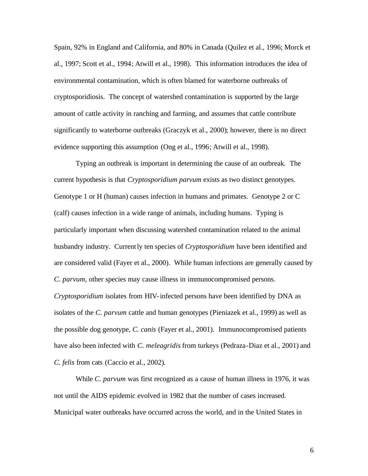Spain, 92% in England and California, and 80% in Canada (Quilez et al., 1996; Morck et al., 1997; Scott et al., 1994; Atwill et al., 1998). This information introduces the idea of environmental contamination, which is often blamed for waterborne outbreaks of cryptosporidiosis. The concept of watershed contamination is supported by the large amount of cattle activity in ranching and farming, and assumes that cattle contribute significantly to waterborne outbreaks (Graczyk et al., 2000); however, there is no direct evidence supporting this assumption (Ong et al., 1996; Atwill et al., 1998).

Typing an outbreak is important in determining the cause of an outbreak. The current hypothesis is that *Cryptosporidium parvum* exists as two distinct genotypes. Genotype 1 or H (human) causes infection in humans and primates. Genotype 2 or C (calf) causes infection in a wide range of animals, including humans. Typing is particularly important when discussing watershed contamination related to the animal husbandry industry. Currently ten species of *Cryptosporidium* have been identified and are considered valid (Fayer et al., 2000). While human infections are generally caused by *C. parvum*, other species may cause illness in immunocompromised persons. *Cryptosporidium* isolates from HIV-infected persons have been identified by DNA as isolates of the *C. parvum* cattle and human genotypes (Pieniazek et al., 1999) as well as the possible dog genotype, *C. canis* (Fayer et al., 2001). Immunocompromised patients have also been infected with *C. meleagridis* from turkeys (Pedraza-Diaz et al., 2001) and *C. felis* from cats (Caccio et al., 2002).

While *C. parvum* was first recognized as a cause of human illness in 1976, it was not until the AIDS epidemic evolved in 1982 that the number of cases increased. Municipal water outbreaks have occurred across the world, and in the United States in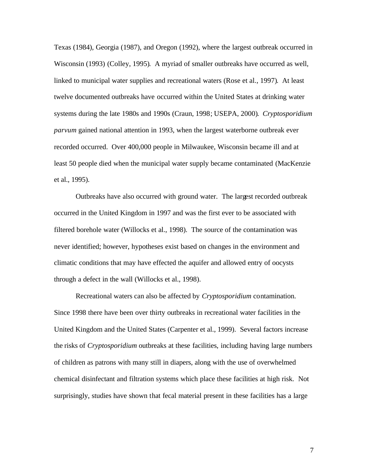Texas (1984), Georgia (1987), and Oregon (1992), where the largest outbreak occurred in Wisconsin (1993) (Colley, 1995). A myriad of smaller outbreaks have occurred as well, linked to municipal water supplies and recreational waters (Rose et al., 1997). At least twelve documented outbreaks have occurred within the United States at drinking water systems during the late 1980s and 1990s (Craun, 1998; USEPA, 2000). *Cryptosporidium parvum* gained national attention in 1993, when the largest waterborne outbreak ever recorded occurred. Over 400,000 people in Milwaukee, Wisconsin became ill and at least 50 people died when the municipal water supply became contaminated (MacKenzie et al., 1995).

Outbreaks have also occurred with ground water. The largest recorded outbreak occurred in the United Kingdom in 1997 and was the first ever to be associated with filtered borehole water (Willocks et al., 1998). The source of the contamination was never identified; however, hypotheses exist based on changes in the environment and climatic conditions that may have effected the aquifer and allowed entry of oocysts through a defect in the wall (Willocks et al., 1998).

Recreational waters can also be affected by *Cryptosporidium* contamination. Since 1998 there have been over thirty outbreaks in recreational water facilities in the United Kingdom and the United States (Carpenter et al., 1999). Several factors increase the risks of *Cryptosporidium* outbreaks at these facilities, including having large numbers of children as patrons with many still in diapers, along with the use of overwhelmed chemical disinfectant and filtration systems which place these facilities at high risk. Not surprisingly, studies have shown that fecal material present in these facilities has a large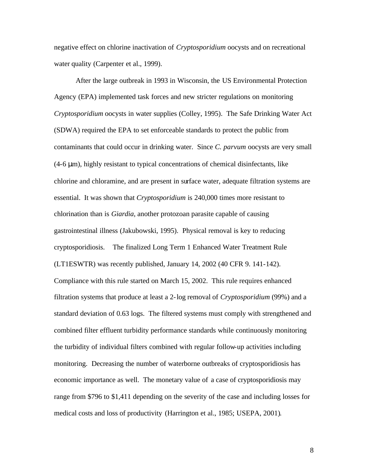negative effect on chlorine inactivation of *Cryptosporidium* oocysts and on recreational water quality (Carpenter et al., 1999).

After the large outbreak in 1993 in Wisconsin, the US Environmental Protection Agency (EPA) implemented task forces and new stricter regulations on monitoring *Cryptosporidium* oocysts in water supplies (Colley, 1995). The Safe Drinking Water Act (SDWA) required the EPA to set enforceable standards to protect the public from contaminants that could occur in drinking water. Since *C. parvum* oocysts are very small (4-6 μm), highly resistant to typical concentrations of chemical disinfectants, like chlorine and chloramine, and are present in surface water, adequate filtration systems are essential. It was shown that *Cryptosporidium* is 240,000 times more resistant to chlorination than is *Giardia*, another protozoan parasite capable of causing gastrointestinal illness (Jakubowski, 1995). Physical removal is key to reducing cryptosporidiosis. The finalized Long Term 1 Enhanced Water Treatment Rule (LT1ESWTR) was recently published, January 14, 2002 (40 CFR 9. 141-142). Compliance with this rule started on March 15, 2002. This rule requires enhanced filtration systems that produce at least a 2-log removal of *Cryptosporidium* (99%) and a standard deviation of 0.63 logs. The filtered systems must comply with strengthened and combined filter effluent turbidity performance standards while continuously monitoring the turbidity of individual filters combined with regular follow-up activities including monitoring. Decreasing the number of waterborne outbreaks of cryptosporidiosis has economic importance as well. The monetary value of a case of cryptosporidiosis may range from \$796 to \$1,411 depending on the severity of the case and including losses for medical costs and loss of productivity (Harrington et al., 1985; USEPA, 2001).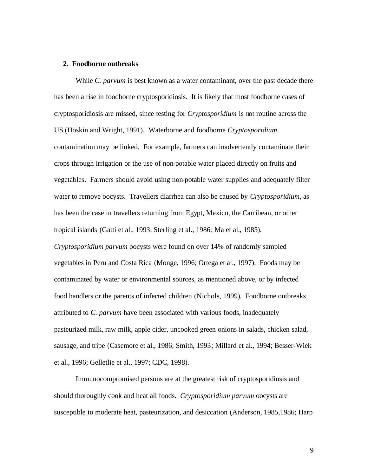### **2. Foodborne outbreaks**

While *C. parvum* is best known as a water contaminant, over the past decade there has been a rise in foodborne cryptosporidiosis. It is likely that most foodborne cases of cryptosporidiosis are missed, since testing for *Cryptosporidium* is not routine across the US (Hoskin and Wright, 1991). Waterborne and foodborne *Cryptosporidium* contamination may be linked. For example, farmers can inadvertently contaminate their crops through irrigation or the use of non-potable water placed directly on fruits and vegetables. Farmers should avoid using non-potable water supplies and adequately filter water to remove oocysts. Travellers diarrhea can also be caused by *Cryptosporidium*, as has been the case in travellers returning from Egypt, Mexico, the Carribean, or other tropical islands (Gatti et al., 1993; Sterling et al., 1986; Ma et al., 1985). *Cryptosporidium parvum* oocysts were found on over 14% of randomly sampled vegetables in Peru and Costa Rica (Monge, 1996; Ortega et al., 1997). Foods may be contaminated by water or environmental sources, as mentioned above, or by infected food handlers or the parents of infected children (Nichols, 1999). Foodborne outbreaks attributed to *C. parvum* have been associated with various foods, inadequately pasteurized milk, raw milk, apple cider, uncooked green onions in salads, chicken salad, sausage, and tripe (Casemore et al., 1986; Smith, 1993; Millard et al., 1994; Besser-Wiek

et al., 1996; Gelletlie et al., 1997; CDC, 1998).

Immunocompromised persons are at the greatest risk of cryptosporidiosis and should thoroughly cook and heat all foods. *Cryptosporidium parvum* oocysts are susceptible to moderate heat, pasteurization, and desiccation (Anderson, 1985,1986; Harp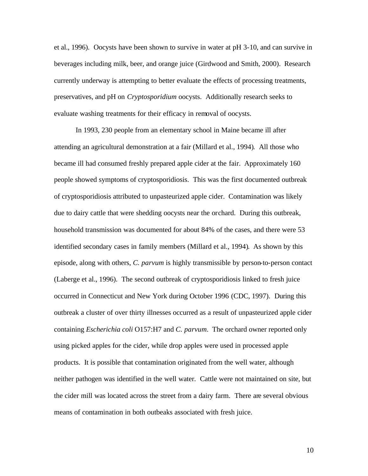et al., 1996). Oocysts have been shown to survive in water at pH 3-10, and can survive in beverages including milk, beer, and orange juice (Girdwood and Smith, 2000). Research currently underway is attempting to better evaluate the effects of processing treatments, preservatives, and pH on *Cryptosporidium* oocysts. Additionally research seeks to evaluate washing treatments for their efficacy in removal of oocysts.

In 1993, 230 people from an elementary school in Maine became ill after attending an agricultural demonstration at a fair (Millard et al., 1994). All those who became ill had consumed freshly prepared apple cider at the fair. Approximately 160 people showed symptoms of cryptosporidiosis. This was the first documented outbreak of cryptosporidiosis attributed to unpasteurized apple cider. Contamination was likely due to dairy cattle that were shedding oocysts near the orchard. During this outbreak, household transmission was documented for about 84% of the cases, and there were 53 identified secondary cases in family members (Millard et al., 1994). As shown by this episode, along with others, *C. parvum* is highly transmissible by person-to-person contact (Laberge et al., 1996). The second outbreak of cryptosporidiosis linked to fresh juice occurred in Connecticut and New York during October 1996 (CDC, 1997). During this outbreak a cluster of over thirty illnesses occurred as a result of unpasteurized apple cider containing *Escherichia coli* O157:H7 and *C. parvum*. The orchard owner reported only using picked apples for the cider, while drop apples were used in processed apple products. It is possible that contamination originated from the well water, although neither pathogen was identified in the well water. Cattle were not maintained on site, but the cider mill was located across the street from a dairy farm. There are several obvious means of contamination in both outbeaks associated with fresh juice.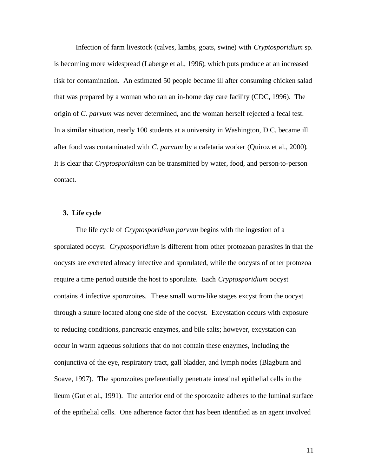Infection of farm livestock (calves, lambs, goats, swine) with *Cryptosporidium* sp. is becoming more widespread (Laberge et al., 1996), which puts produce at an increased risk for contamination. An estimated 50 people became ill after consuming chicken salad that was prepared by a woman who ran an in-home day care facility (CDC, 1996). The origin of *C. parvum* was never determined, and the woman herself rejected a fecal test. In a similar situation, nearly 100 students at a university in Washington, D.C. became ill after food was contaminated with *C. parvum* by a cafetaria worker (Quiroz et al., 2000). It is clear that *Cryptosporidium* can be transmitted by water, food, and person-to-person contact.

# **3. Life cycle**

The life cycle of *Cryptosporidium parvum* begins with the ingestion of a sporulated oocyst. *Cryptosporidium* is different from other protozoan parasites in that the oocysts are excreted already infective and sporulated, while the oocysts of other protozoa require a time period outside the host to sporulate. Each *Cryptosporidium* oocyst contains 4 infective sporozoites. These small worm-like stages excyst from the oocyst through a suture located along one side of the oocyst. Excystation occurs with exposure to reducing conditions, pancreatic enzymes, and bile salts; however, excystation can occur in warm aqueous solutions that do not contain these enzymes, including the conjunctiva of the eye, respiratory tract, gall bladder, and lymph nodes (Blagburn and Soave, 1997). The sporozoites preferentially penetrate intestinal epithelial cells in the ileum (Gut et al., 1991). The anterior end of the sporozoite adheres to the luminal surface of the epithelial cells. One adherence factor that has been identified as an agent involved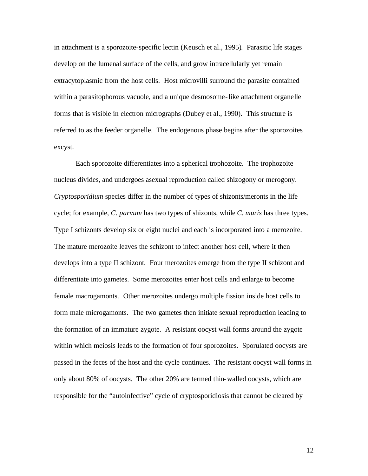in attachment is a sporozoite-specific lectin (Keusch et al., 1995). Parasitic life stages develop on the lumenal surface of the cells, and grow intracellularly yet remain extracytoplasmic from the host cells. Host microvilli surround the parasite contained within a parasitophorous vacuole, and a unique desmosome-like attachment organelle forms that is visible in electron micrographs (Dubey et al., 1990). This structure is referred to as the feeder organelle. The endogenous phase begins after the sporozoites excyst.

Each sporozoite differentiates into a spherical trophozoite. The trophozoite nucleus divides, and undergoes asexual reproduction called shizogony or merogony. *Cryptosporidium* species differ in the number of types of shizonts/meronts in the life cycle; for example, *C. parvum* has two types of shizonts, while *C. muris* has three types. Type I schizonts develop six or eight nuclei and each is incorporated into a merozoite. The mature merozoite leaves the schizont to infect another host cell, where it then develops into a type II schizont. Four merozoites emerge from the type II schizont and differentiate into gametes. Some merozoites enter host cells and enlarge to become female macrogamonts. Other merozoites undergo multiple fission inside host cells to form male microgamonts. The two gametes then initiate sexual reproduction leading to the formation of an immature zygote. A resistant oocyst wall forms around the zygote within which meiosis leads to the formation of four sporozoites. Sporulated oocysts are passed in the feces of the host and the cycle continues. The resistant oocyst wall forms in only about 80% of oocysts. The other 20% are termed thin-walled oocysts, which are responsible for the "autoinfective" cycle of cryptosporidiosis that cannot be cleared by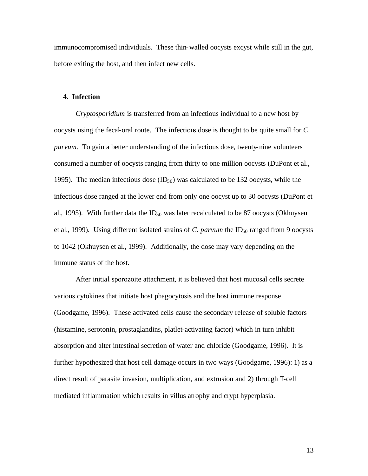immunocompromised individuals. These thin-walled oocysts excyst while still in the gut, before exiting the host, and then infect new cells.

### **4. Infection**

*Cryptosporidium* is transferred from an infectious individual to a new host by oocysts using the fecal-oral route. The infectious dose is thought to be quite small for *C. parvum*. To gain a better understanding of the infectious dose, twenty-nine volunteers consumed a number of oocysts ranging from thirty to one million oocysts (DuPont et al., 1995). The median infectious dose  $(ID_{50})$  was calculated to be 132 oocysts, while the infectious dose ranged at the lower end from only one oocyst up to 30 oocysts (DuPont et al., 1995). With further data the  $ID_{50}$  was later recalculated to be 87 oocysts (Okhuysen et al., 1999). Using different isolated strains of *C. parvum* the ID<sub>50</sub> ranged from 9 oocysts to 1042 (Okhuysen et al., 1999). Additionally, the dose may vary depending on the immune status of the host.

After initial sporozoite attachment, it is believed that host mucosal cells secrete various cytokines that initiate host phagocytosis and the host immune response (Goodgame, 1996). These activated cells cause the secondary release of soluble factors (histamine, serotonin, prostaglandins, platlet-activating factor) which in turn inhibit absorption and alter intestinal secretion of water and chloride (Goodgame, 1996). It is further hypothesized that host cell damage occurs in two ways (Goodgame, 1996): 1) as a direct result of parasite invasion, multiplication, and extrusion and 2) through T-cell mediated inflammation which results in villus atrophy and crypt hyperplasia.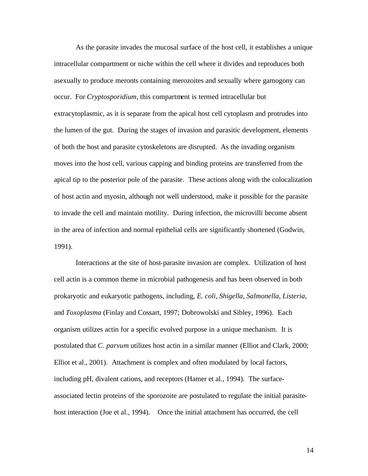As the parasite invades the mucosal surface of the host cell, it establishes a unique intracellular compartment or niche within the cell where it divides and reproduces both asexually to produce meronts containing merozoites and sexually where gamogony can occur. For *Cryptosporidium*, this compartment is termed intracellular but extracytoplasmic, as it is separate from the apical host cell cytoplasm and protrudes into the lumen of the gut. During the stages of invasion and parasitic development, elements of both the host and parasite cytoskeletons are disrupted. As the invading organism moves into the host cell, various capping and binding proteins are transferred from the apical tip to the posterior pole of the parasite. These actions along with the colocalization of host actin and myosin, although not well understood, make it possible for the parasite to invade the cell and maintain motility. During infection, the microvilli become absent in the area of infection and normal epithelial cells are significantly shortened (Godwin, 1991).

Interactions at the site of host-parasite invasion are complex. Utilization of host cell actin is a common theme in microbial pathogenesis and has been observed in both prokaryotic and eukaryotic pathogens, including, *E. coli, Shigella, Salmonella, Listeria,* and *Toxoplasma* (Finlay and Cossart, 1997; Dobrowolski and Sibley, 1996). Each organism utilizes actin for a specific evolved purpose in a unique mechanism. It is postulated that *C. parvum* utilizes host actin in a similar manner (Elliot and Clark, 2000; Elliot et al., 2001). Attachment is complex and often modulated by local factors, including pH, divalent cations, and receptors (Hamer et al., 1994). The surfaceassociated lectin proteins of the sporozoite are postulated to regulate the initial parasitehost interaction (Joe et al., 1994). Once the initial attachment has occurred, the cell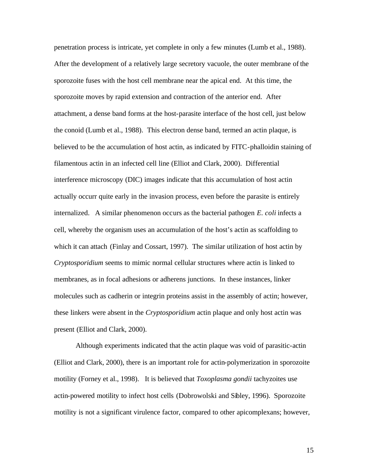penetration process is intricate, yet complete in only a few minutes (Lumb et al., 1988). After the development of a relatively large secretory vacuole, the outer membrane of the sporozoite fuses with the host cell membrane near the apical end. At this time, the sporozoite moves by rapid extension and contraction of the anterior end. After attachment, a dense band forms at the host-parasite interface of the host cell, just below the conoid (Lumb et al., 1988). This electron dense band, termed an actin plaque, is believed to be the accumulation of host actin, as indicated by FITC-phalloidin staining of filamentous actin in an infected cell line (Elliot and Clark, 2000). Differential interference microscopy (DIC) images indicate that this accumulation of host actin actually occurr quite early in the invasion process, even before the parasite is entirely internalized. A similar phenomenon occurs as the bacterial pathogen *E. coli* infects a cell, whereby the organism uses an accumulation of the host's actin as scaffolding to which it can attach (Finlay and Cossart, 1997). The similar utilization of host actin by *Cryptosporidium* seems to mimic normal cellular structures where actin is linked to membranes, as in focal adhesions or adherens junctions. In these instances, linker molecules such as cadherin or integrin proteins assist in the assembly of actin; however, these linkers were absent in the *Cryptosporidium* actin plaque and only host actin was present (Elliot and Clark, 2000).

Although experiments indicated that the actin plaque was void of parasitic-actin (Elliot and Clark, 2000), there is an important role for actin-polymerization in sporozoite motility (Forney et al., 1998). It is believed that *Toxoplasma gondii* tachyzoites use actin-powered motility to infect host cells (Dobrowolski and Sibley, 1996). Sporozoite motility is not a significant virulence factor, compared to other apicomplexans; however,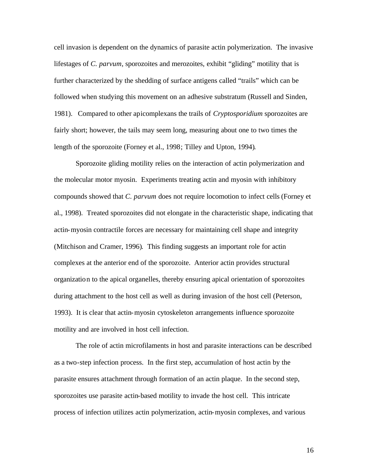cell invasion is dependent on the dynamics of parasite actin polymerization. The invasive lifestages of *C. parvum*, sporozoites and merozoites, exhibit "gliding" motility that is further characterized by the shedding of surface antigens called "trails" which can be followed when studying this movement on an adhesive substratum (Russell and Sinden, 1981). Compared to other apicomplexans the trails of *Cryptosporidium* sporozoites are fairly short; however, the tails may seem long, measuring about one to two times the length of the sporozoite (Forney et al., 1998; Tilley and Upton, 1994).

Sporozoite gliding motility relies on the interaction of actin polymerization and the molecular motor myosin. Experiments treating actin and myosin with inhibitory compounds showed that *C. parvum* does not require locomotion to infect cells (Forney et al., 1998). Treated sporozoites did not elongate in the characteristic shape, indicating that actin-myosin contractile forces are necessary for maintaining cell shape and integrity (Mitchison and Cramer, 1996). This finding suggests an important role for actin complexes at the anterior end of the sporozoite. Anterior actin provides structural organization to the apical organelles, thereby ensuring apical orientation of sporozoites during attachment to the host cell as well as during invasion of the host cell (Peterson, 1993). It is clear that actin-myosin cytoskeleton arrangements influence sporozoite motility and are involved in host cell infection.

The role of actin microfilaments in host and parasite interactions can be described as a two-step infection process. In the first step, accumulation of host actin by the parasite ensures attachment through formation of an actin plaque. In the second step, sporozoites use parasite actin-based motility to invade the host cell. This intricate process of infection utilizes actin polymerization, actin-myosin complexes, and various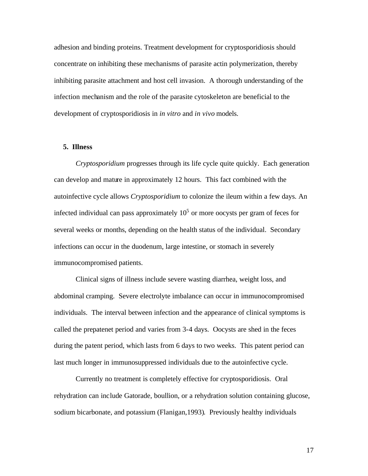adhesion and binding proteins. Treatment development for cryptosporidiosis should concentrate on inhibiting these mechanisms of parasite actin polymerization, thereby inhibiting parasite attachment and host cell invasion. A thorough understanding of the infection mechanism and the role of the parasite cytoskeleton are beneficial to the development of cryptosporidiosis in *in vitro* and *in vivo* models.

#### **5. Illness**

*Cryptosporidium* progresses through its life cycle quite quickly. Each generation can develop and mature in approximately 12 hours. This fact combined with the autoinfective cycle allows *Cryptosporidium* to colonize the ileum within a few days. An infected individual can pass approximately  $10<sup>5</sup>$  or more oocysts per gram of feces for several weeks or months, depending on the health status of the individual. Secondary infections can occur in the duodenum, large intestine, or stomach in severely immunocompromised patients.

Clinical signs of illness include severe wasting diarrhea, weight loss, and abdominal cramping. Severe electrolyte imbalance can occur in immunocompromised individuals. The interval between infection and the appearance of clinical symptoms is called the prepatenet period and varies from 3-4 days. Oocysts are shed in the feces during the patent period, which lasts from 6 days to two weeks. This patent period can last much longer in immunosuppressed individuals due to the autoinfective cycle.

Currently no treatment is completely effective for cryptosporidiosis. Oral rehydration can include Gatorade, boullion, or a rehydration solution containing glucose, sodium bicarbonate, and potassium (Flanigan,1993). Previously healthy individuals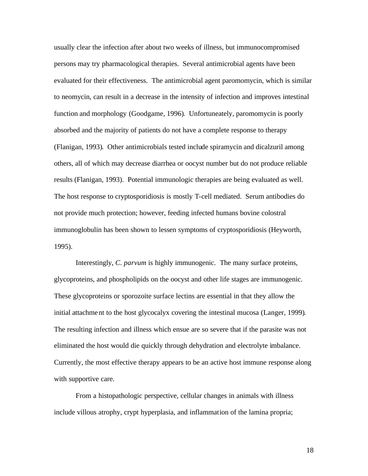usually clear the infection after about two weeks of illness, but immunocompromised persons may try pharmacological therapies. Several antimicrobial agents have been evaluated for their effectiveness. The antimicrobial agent paromomycin, which is similar to neomycin, can result in a decrease in the intensity of infection and improves intestinal function and morphology (Goodgame, 1996). Unfortuneately, paromomycin is poorly absorbed and the majority of patients do not have a complete response to therapy (Flanigan, 1993). Other antimicrobials tested include spiramycin and dicalzuril among others, all of which may decrease diarrhea or oocyst number but do not produce reliable results (Flanigan, 1993). Potential immunologic therapies are being evaluated as well. The host response to cryptosporidiosis is mostly T-cell mediated. Serum antibodies do not provide much protection; however, feeding infected humans bovine colostral immunoglobulin has been shown to lessen symptoms of cryptosporidiosis (Heyworth, 1995).

Interestingly, *C. parvum* is highly immunogenic. The many surface proteins, glycoproteins, and phospholipids on the oocyst and other life stages are immunogenic. These glycoproteins or sporozoite surface lectins are essential in that they allow the initial attachment to the host glycocalyx covering the intestinal mucosa (Langer, 1999). The resulting infection and illness which ensue are so severe that if the parasite was not eliminated the host would die quickly through dehydration and electrolyte imbalance. Currently, the most effective therapy appears to be an active host immune response along with supportive care.

From a histopathologic perspective, cellular changes in animals with illness include villous atrophy, crypt hyperplasia, and inflammation of the lamina propria;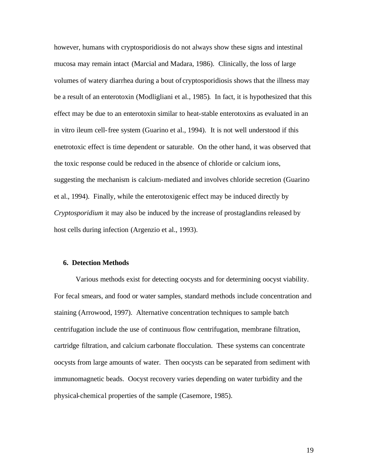however, humans with cryptosporidiosis do not always show these signs and intestinal mucosa may remain intact (Marcial and Madara, 1986). Clinically, the loss of large volumes of watery diarrhea during a bout of cryptosporidiosis shows that the illness may be a result of an enterotoxin (Modligliani et al., 1985). In fact, it is hypothesized that this effect may be due to an enterotoxin similar to heat-stable enterotoxins as evaluated in an in vitro ileum cell-free system (Guarino et al., 1994). It is not well understood if this enetrotoxic effect is time dependent or saturable. On the other hand, it was observed that the toxic response could be reduced in the absence of chloride or calcium ions, suggesting the mechanism is calcium-mediated and involves chloride secretion (Guarino et al., 1994). Finally, while the enterotoxigenic effect may be induced directly by *Cryptosporidium* it may also be induced by the increase of prostaglandins released by host cells during infection (Argenzio et al., 1993).

# **6. Detection Methods**

Various methods exist for detecting oocysts and for determining oocyst viability. For fecal smears, and food or water samples, standard methods include concentration and staining (Arrowood, 1997). Alternative concentration techniques to sample batch centrifugation include the use of continuous flow centrifugation, membrane filtration, cartridge filtration, and calcium carbonate flocculation. These systems can concentrate oocysts from large amounts of water. Then oocysts can be separated from sediment with immunomagnetic beads. Oocyst recovery varies depending on water turbidity and the physical-chemical properties of the sample (Casemore, 1985).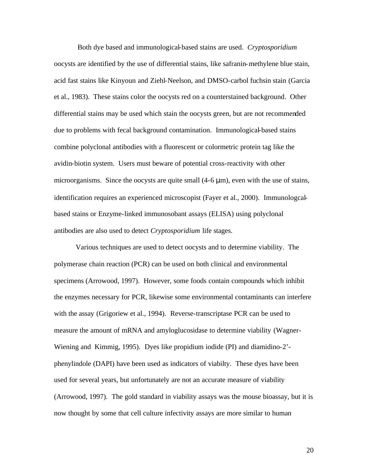Both dye based and immunological-based stains are used. *Cryptosporidium*  oocysts are identified by the use of differential stains, like safranin-methylene blue stain, acid fast stains like Kinyoun and Ziehl-Neelson, and DMSO-carbol fuchsin stain (Garcia et al., 1983). These stains color the oocysts red on a counterstained background. Other differential stains may be used which stain the oocysts green, but are not recommended due to problems with fecal background contamination. Immunological-based stains combine polyclonal antibodies with a fluorescent or colormetric protein tag like the avidin-biotin system. Users must beware of potential cross-reactivity with other microorganisms. Since the oocysts are quite small  $(4-6 \mu m)$ , even with the use of stains, identification requires an experienced microscopist (Fayer et al., 2000). Immunologcalbased stains or Enzyme-linked immunosobant assays (ELISA) using polyclonal antibodies are also used to detect *Cryptosporidium* life stages.

Various techniques are used to detect oocysts and to determine viability. The polymerase chain reaction (PCR) can be used on both clinical and environmental specimens (Arrowood, 1997). However, some foods contain compounds which inhibit the enzymes necessary for PCR, likewise some environmental contaminants can interfere with the assay (Grigoriew et al., 1994). Reverse-transcriptase PCR can be used to measure the amount of mRNA and amyloglucosidase to determine viability (Wagner-Wiening and Kimmig, 1995). Dyes like propidium iodide (PI) and diamidino-2' phenylindole (DAPI) have been used as indicators of viabilty. These dyes have been used for several years, but unfortunately are not an accurate measure of viability (Arrowood, 1997). The gold standard in viability assays was the mouse bioassay, but it is now thought by some that cell culture infectivity assays are more similar to human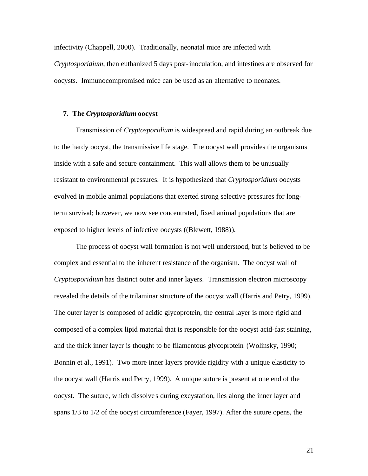infectivity (Chappell, 2000). Traditionally, neonatal mice are infected with *Cryptosporidium*, then euthanized 5 days post-inoculation, and intestines are observed for oocysts. Immunocompromised mice can be used as an alternative to neonates.

## **7. The** *Cryptosporidium* **oocyst**

Transmission of *Cryptosporidium* is widespread and rapid during an outbreak due to the hardy oocyst, the transmissive life stage. The oocyst wall provides the organisms inside with a safe and secure containment. This wall allows them to be unusually resistant to environmental pressures. It is hypothesized that *Cryptosporidium* oocysts evolved in mobile animal populations that exerted strong selective pressures for longterm survival; however, we now see concentrated, fixed animal populations that are exposed to higher levels of infective oocysts ((Blewett, 1988)).

The process of oocyst wall formation is not well understood, but is believed to be complex and essential to the inherent resistance of the organism. The oocyst wall of *Cryptosporidium* has distinct outer and inner layers. Transmission electron microscopy revealed the details of the trilaminar structure of the oocyst wall (Harris and Petry, 1999). The outer layer is composed of acidic glycoprotein, the central layer is more rigid and composed of a complex lipid material that is responsible for the oocyst acid-fast staining, and the thick inner layer is thought to be filamentous glycoprotein (Wolinsky, 1990; Bonnin et al., 1991). Two more inner layers provide rigidity with a unique elasticity to the oocyst wall (Harris and Petry, 1999). A unique suture is present at one end of the oocyst. The suture, which dissolve s during excystation, lies along the inner layer and spans 1/3 to 1/2 of the oocyst circumference (Fayer, 1997). After the suture opens, the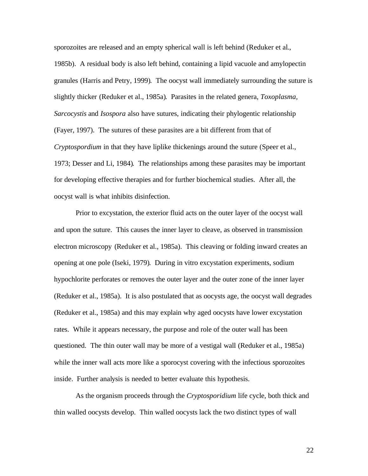sporozoites are released and an empty spherical wall is left behind (Reduker et al., 1985b). A residual body is also left behind, containing a lipid vacuole and amylopectin granules (Harris and Petry, 1999). The oocyst wall immediately surrounding the suture is slightly thicker (Reduker et al., 1985a). Parasites in the related genera, *Toxoplasma, Sarcocystis* and *Isospora* also have sutures, indicating their phylogentic relationship (Fayer, 1997). The sutures of these parasites are a bit different from that of *Cryptospordium* in that they have liplike thickenings around the suture (Speer et al., 1973; Desser and Li, 1984). The relationships among these parasites may be important for developing effective therapies and for further biochemical studies. After all, the oocyst wall is what inhibits disinfection.

Prior to excystation, the exterior fluid acts on the outer layer of the oocyst wall and upon the suture. This causes the inner layer to cleave, as observed in transmission electron microscopy (Reduker et al., 1985a). This cleaving or folding inward creates an opening at one pole (Iseki, 1979). During in vitro excystation experiments, sodium hypochlorite perforates or removes the outer layer and the outer zone of the inner layer (Reduker et al., 1985a). It is also postulated that as oocysts age, the oocyst wall degrades (Reduker et al., 1985a) and this may explain why aged oocysts have lower excystation rates. While it appears necessary, the purpose and role of the outer wall has been questioned. The thin outer wall may be more of a vestigal wall (Reduker et al., 1985a) while the inner wall acts more like a sporocyst covering with the infectious sporozoites inside. Further analysis is needed to better evaluate this hypothesis.

As the organism proceeds through the *Cryptosporidium* life cycle, both thick and thin walled oocysts develop. Thin walled oocysts lack the two distinct types of wall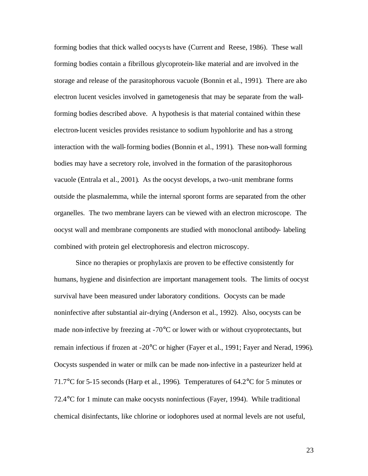forming bodies that thick walled oocysts have (Current and Reese, 1986). These wall forming bodies contain a fibrillous glycoprotein-like material and are involved in the storage and release of the parasitophorous vacuole (Bonnin et al., 1991). There are also electron lucent vesicles involved in gametogenesis that may be separate from the wallforming bodies described above. A hypothesis is that material contained within these electron-lucent vesicles provides resistance to sodium hypohlorite and has a strong interaction with the wall-forming bodies (Bonnin et al., 1991). These non-wall forming bodies may have a secretory role, involved in the formation of the parasitophorous vacuole (Entrala et al., 2001). As the oocyst develops, a two-unit membrane forms outside the plasmalemma, while the internal sporont forms are separated from the other organelles. The two membrane layers can be viewed with an electron microscope. The oocyst wall and membrane components are studied with monoclonal antibody- labeling combined with protein gel electrophoresis and electron microscopy.

Since no therapies or prophylaxis are proven to be effective consistently for humans, hygiene and disinfection are important management tools. The limits of oocyst survival have been measured under laboratory conditions. Oocysts can be made noninfective after substantial air-drying (Anderson et al., 1992). Also, oocysts can be made non-infective by freezing at  $-70^{\circ}$ C or lower with or without cryoprotectants, but remain infectious if frozen at -20°C or higher (Fayer et al., 1991; Fayer and Nerad, 1996). Oocysts suspended in water or milk can be made non-infective in a pasteurizer held at 71.7°C for 5-15 seconds (Harp et al., 1996). Temperatures of 64.2°C for 5 minutes or 72.4°C for 1 minute can make oocysts noninfectious (Fayer, 1994). While traditional chemical disinfectants, like chlorine or iodophores used at normal levels are not useful,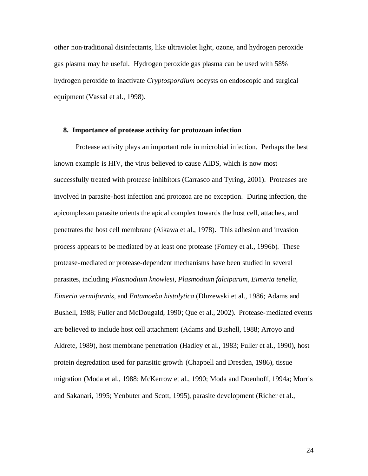other non-traditional disinfectants, like ultraviolet light, ozone, and hydrogen peroxide gas plasma may be useful. Hydrogen peroxide gas plasma can be used with 58% hydrogen peroxide to inactivate *Cryptospordium* oocysts on endoscopic and surgical equipment (Vassal et al., 1998).

#### **8. Importance of protease activity for protozoan infection**

Protease activity plays an important role in microbial infection. Perhaps the best known example is HIV, the virus believed to cause AIDS, which is now most successfully treated with protease inhibitors (Carrasco and Tyring, 2001). Proteases are involved in parasite-host infection and protozoa are no exception. During infection, the apicomplexan parasite orients the apical complex towards the host cell, attaches, and penetrates the host cell membrane (Aikawa et al., 1978). This adhesion and invasion process appears to be mediated by at least one protease (Forney et al., 1996b). These protease-mediated or protease-dependent mechanisms have been studied in several parasites, including *Plasmodium knowlesi, Plasmodium falciparum, Eimeria tenella, Eimeria vermiformis,* and *Entamoeba histolytica* (Dluzewski et al., 1986; Adams and Bushell, 1988; Fuller and McDougald, 1990; Que et al., 2002). Protease-mediated events are believed to include host cell attachment (Adams and Bushell, 1988; Arroyo and Aldrete, 1989), host membrane penetration (Hadley et al., 1983; Fuller et al., 1990), host protein degredation used for parasitic growth (Chappell and Dresden, 1986), tissue migration (Moda et al., 1988; McKerrow et al., 1990; Moda and Doenhoff, 1994a; Morris and Sakanari, 1995; Yenbuter and Scott, 1995), parasite development (Richer et al.,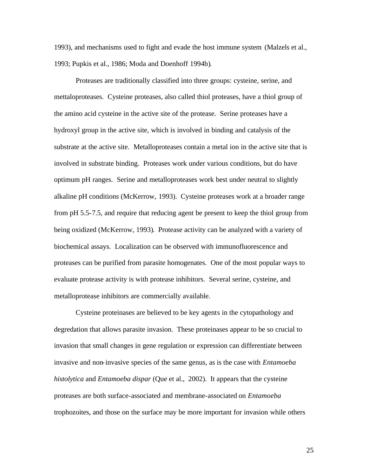1993), and mechanisms used to fight and evade the host immune system (Malzels et al., 1993; Pupkis et al., 1986; Moda and Doenhoff 1994b).

Proteases are traditionally classified into three groups: cysteine, serine, and mettaloproteases. Cysteine proteases, also called thiol proteases, have a thiol group of the amino acid cysteine in the active site of the protease. Serine proteases have a hydroxyl group in the active site, which is involved in binding and catalysis of the substrate at the active site. Metalloproteases contain a metal ion in the active site that is involved in substrate binding. Proteases work under various conditions, but do have optimum pH ranges. Serine and metalloproteases work best under neutral to slightly alkaline pH conditions (McKerrow, 1993). Cysteine proteases work at a broader range from pH 5.5-7.5, and require that reducing agent be present to keep the thiol group from being oxidized (McKerrow, 1993). Protease activity can be analyzed with a variety of biochemical assays. Localization can be observed with immunofluorescence and proteases can be purified from parasite homogenates. One of the most popular ways to evaluate protease activity is with protease inhibitors. Several serine, cysteine, and metalloprotease inhibitors are commercially available.

Cysteine proteinases are believed to be key agents in the cytopathology and degredation that allows parasite invasion. These proteinases appear to be so crucial to invasion that small changes in gene regulation or expression can differentiate between invasive and non-invasive species of the same genus, as is the case with *Entamoeba histolytica* and *Entamoeba dispar* (Que et al., 2002). It appears that the cysteine proteases are both surface-associated and membrane-associated on *Entamoeba*  trophozoites, and those on the surface may be more important for invasion while others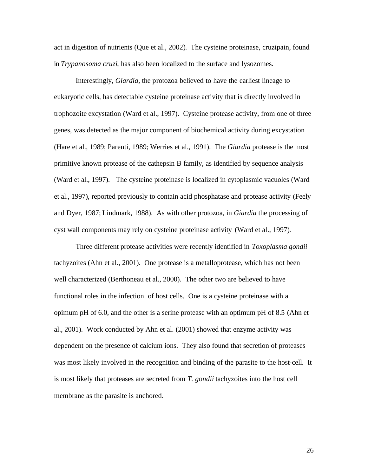act in digestion of nutrients (Que et al., 2002). The cysteine proteinase, cruzipain, found in *Trypanosoma cruzi*, has also been localized to the surface and lysozomes.

Interestingly, *Giardia,* the protozoa believed to have the earliest lineage to eukaryotic cells, has detectable cysteine proteinase activity that is directly involved in trophozoite excystation (Ward et al., 1997). Cysteine protease activity, from one of three genes, was detected as the major component of biochemical activity during excystation (Hare et al., 1989; Parenti, 1989; Werries et al., 1991). The *Giardia* protease is the most primitive known protease of the cathepsin B family, as identified by sequence analysis (Ward et al., 1997). The cysteine proteinase is localized in cytoplasmic vacuoles (Ward et al., 1997), reported previously to contain acid phosphatase and protease activity (Feely and Dyer, 1987; Lindmark, 1988). As with other protozoa, in *Giardia* the processing of cyst wall components may rely on cysteine proteinase activity (Ward et al., 1997).

Three different protease activities were recently identified in *Toxoplasma gondii*  tachyzoites (Ahn et al., 2001). One protease is a metalloprotease, which has not been well characterized (Berthoneau et al., 2000). The other two are believed to have functional roles in the infection of host cells. One is a cysteine proteinase with a opimum pH of 6.0, and the other is a serine protease with an optimum pH of 8.5 (Ahn et al., 2001). Work conducted by Ahn et al. (2001) showed that enzyme activity was dependent on the presence of calcium ions. They also found that secretion of proteases was most likely involved in the recognition and binding of the parasite to the host-cell. It is most likely that proteases are secreted from *T. gondii* tachyzoites into the host cell membrane as the parasite is anchored.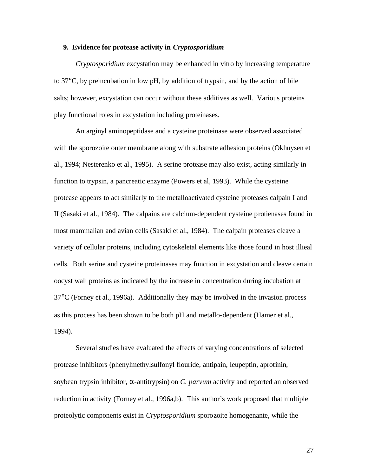# **9. Evidence for protease activity in** *Cryptosporidium*

*Cryptosporidium* excystation may be enhanced in vitro by increasing temperature to 37°C, by preincubation in low pH, by addition of trypsin, and by the action of bile salts; however, excystation can occur without these additives as well. Various proteins play functional roles in excystation including proteinases.

An arginyl aminopeptidase and a cysteine proteinase were observed associated with the sporozoite outer membrane along with substrate adhesion proteins (Okhuysen et al., 1994; Nesterenko et al., 1995). A serine protease may also exist, acting similarly in function to trypsin, a pancreatic enzyme (Powers et al, 1993). While the cysteine protease appears to act similarly to the metalloactivated cysteine proteases calpain I and II (Sasaki et al., 1984). The calpains are calcium-dependent cysteine protienases found in most mammalian and avian cells (Sasaki et al., 1984). The calpain proteases cleave a variety of cellular proteins, including cytoskeletal elements like those found in host illieal cells. Both serine and cysteine proteinases may function in excystation and cleave certain oocyst wall proteins as indicated by the increase in concentration during incubation at 37°C (Forney et al., 1996a). Additionally they may be involved in the invasion process as this process has been shown to be both pH and metallo-dependent (Hamer et al., 1994).

Several studies have evaluated the effects of varying concentrations of selected protease inhibitors (phenylmethylsulfonyl flouride, antipain, leupeptin, aprotinin, soybean trypsin inhibitor, α-antitrypsin) on *C. parvum* activity and reported an observed reduction in activity (Forney et al., 1996a,b). This author's work proposed that multiple proteolytic components exist in *Cryptosporidium* sporozoite homogenante, while the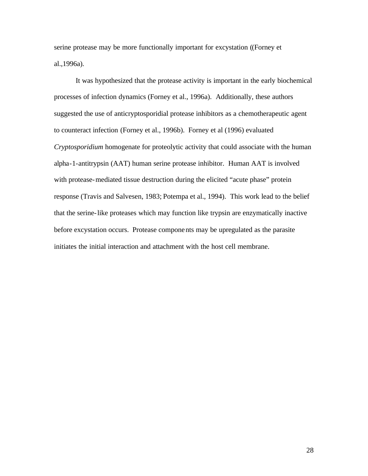serine protease may be more functionally important for excystation ((Forney et al.,1996a).

It was hypothesized that the protease activity is important in the early biochemical processes of infection dynamics (Forney et al., 1996a). Additionally, these authors suggested the use of anticryptosporidial protease inhibitors as a chemotherapeutic agent to counteract infection (Forney et al., 1996b).Forney et al (1996) evaluated *Cryptosporidium* homogenate for proteolytic activity that could associate with the human alpha-1-antitrypsin (AAT) human serine protease inhibitor. Human AAT is involved with protease-mediated tissue destruction during the elicited "acute phase" protein response (Travis and Salvesen, 1983; Potempa et al., 1994). This work lead to the belief that the serine-like proteases which may function like trypsin are enzymatically inactive before excystation occurs. Protease components may be upregulated as the parasite initiates the initial interaction and attachment with the host cell membrane.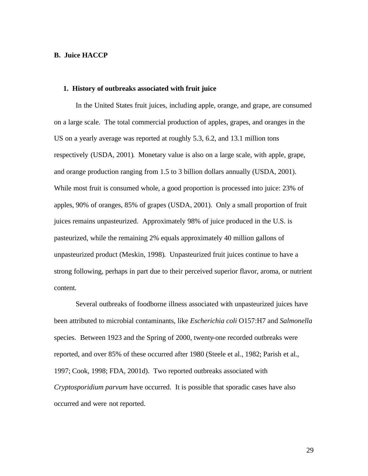# **B. Juice HACCP**

# **1. History of outbreaks associated with fruit juice**

In the United States fruit juices, including apple, orange, and grape, are consumed on a large scale. The total commercial production of apples, grapes, and oranges in the US on a yearly average was reported at roughly 5.3, 6.2, and 13.1 million tons respectively (USDA, 2001). Monetary value is also on a large scale, with apple, grape, and orange production ranging from 1.5 to 3 billion dollars annually (USDA, 2001). While most fruit is consumed whole, a good proportion is processed into juice: 23% of apples, 90% of oranges, 85% of grapes (USDA, 2001). Only a small proportion of fruit juices remains unpasteurized. Approximately 98% of juice produced in the U.S. is pasteurized, while the remaining 2% equals approximately 40 million gallons of unpasteurized product (Meskin, 1998). Unpasteurized fruit juices continue to have a strong following, perhaps in part due to their perceived superior flavor, aroma, or nutrient content.

Several outbreaks of foodborne illness associated with unpasteurized juices have been attributed to microbial contaminants, like *Escherichia coli* O157:H7 and *Salmonella*  species. Between 1923 and the Spring of 2000, twenty-one recorded outbreaks were reported, and over 85% of these occurred after 1980 (Steele et al., 1982; Parish et al., 1997; Cook, 1998; FDA, 2001d). Two reported outbreaks associated with *Cryptosporidium parvum* have occurred. It is possible that sporadic cases have also occurred and were not reported.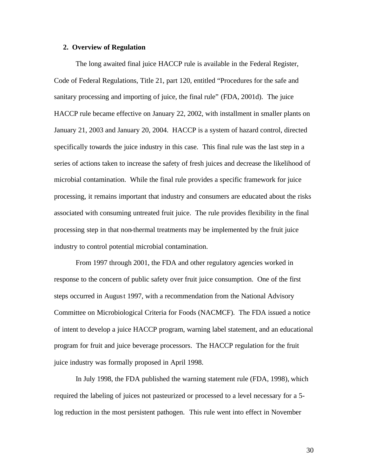# **2. Overview of Regulation**

The long awaited final juice HACCP rule is available in the Federal Register, Code of Federal Regulations, Title 21, part 120, entitled "Procedures for the safe and sanitary processing and importing of juice, the final rule" (FDA, 2001d). The juice HACCP rule became effective on January 22, 2002, with installment in smaller plants on January 21, 2003 and January 20, 2004. HACCP is a system of hazard control, directed specifically towards the juice industry in this case. This final rule was the last step in a series of actions taken to increase the safety of fresh juices and decrease the likelihood of microbial contamination. While the final rule provides a specific framework for juice processing, it remains important that industry and consumers are educated about the risks associated with consuming untreated fruit juice. The rule provides flexibility in the final processing step in that non-thermal treatments may be implemented by the fruit juice industry to control potential microbial contamination.

From 1997 through 2001, the FDA and other regulatory agencies worked in response to the concern of public safety over fruit juice consumption. One of the first steps occurred in August 1997, with a recommendation from the National Advisory Committee on Microbiological Criteria for Foods (NACMCF). The FDA issued a notice of intent to develop a juice HACCP program, warning label statement, and an educational program for fruit and juice beverage processors. The HACCP regulation for the fruit juice industry was formally proposed in April 1998.

In July 1998, the FDA published the warning statement rule (FDA, 1998), which required the labeling of juices not pasteurized or processed to a level necessary for a 5 log reduction in the most persistent pathogen. This rule went into effect in November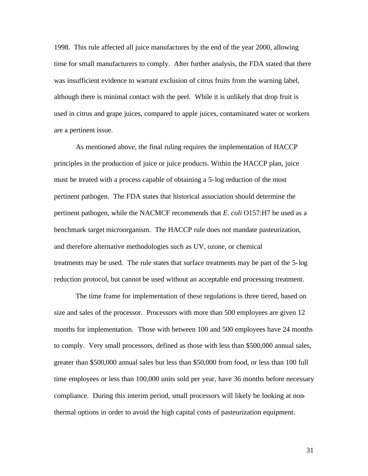1998. This rule affected all juice manufactures by the end of the year 2000, allowing time for small manufacturers to comply. After further analysis, the FDA stated that there was insufficient evidence to warrant exclusion of citrus fruits from the warning label, although there is minimal contact with the peel. While it is unlikely that drop fruit is used in citrus and grape juices, compared to apple juices, contaminated water or workers are a pertinent issue.

As mentioned above, the final ruling requires the implementation of HACCP principles in the production of juice or juice products. Within the HACCP plan, juice must be treated with a process capable of obtaining a 5-log reduction of the most pertinent pathogen. The FDA states that historical association should determine the pertinent pathogen, while the NACMCF recommends that *E. coli* O157:H7 be used as a benchmark target microorganism. The HACCP rule does not mandate pasteurization, and therefore alternative methodologies such as UV, ozone, or chemical treatments may be used. The rule states that surface treatments may be part of the 5-log reduction protocol, but cannot be used without an acceptable end processing treatment.

The time frame for implementation of these regulations is three tiered, based on size and sales of the processor. Processors with more than 500 employees are given 12 months for implementation. Those with between 100 and 500 employees have 24 months to comply. Very small processors, defined as those with less than \$500,000 annual sales, greater than \$500,000 annual sales but less than \$50,000 from food, or less than 100 full time employees or less than 100,000 units sold per year, have 36 months before necessary compliance. During this interim period, small processors will likely be looking at nonthermal options in order to avoid the high capital costs of pasteurization equipment.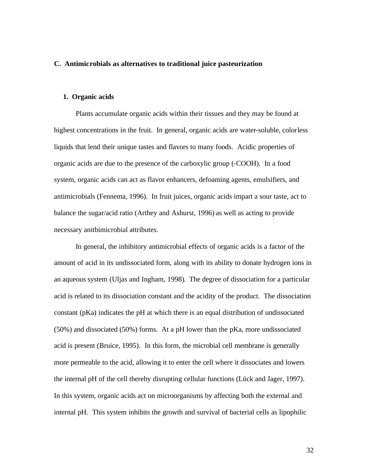# **C. Antimicrobials as alternatives to traditional juice pasteurization**

### **1. Organic acids**

Plants accumulate organic acids within their tissues and they may be found at highest concentrations in the fruit. In general, organic acids are water-soluble, colorless liquids that lend their unique tastes and flavors to many foods. Acidic properties of organic acids are due to the presence of the carboxylic group (-COOH). In a food system, organic acids can act as flavor enhancers, defoaming agents, emulsifiers, and antimicrobials (Fennema, 1996). In fruit juices, organic acids impart a sour taste, act to balance the sugar/acid ratio (Arthey and Ashurst, 1996) as well as acting to provide necessary anitbimicrobial attributes.

In general, the inhibitory antimicrobial effects of organic acids is a factor of the amount of acid in its undissociated form, along with its ability to donate hydrogen ions in an aqueous system (Uljas and Ingham, 1998). The degree of dissociation for a particular acid is related to its dissociation constant and the acidity of the product. The dissociation constant (pKa) indicates the pH at which there is an equal distribution of undissociated (50%) and dissociated (50%) forms. At a pH lower than the pKa, more undissociated acid is present (Bruice, 1995). In this form, the microbial cell membrane is generally more permeable to the acid, allowing it to enter the cell where it dissociates and lowers the internal pH of the cell thereby disrupting cellular functions (Lück and Jager, 1997). In this system, organic acids act on microorganisms by affecting both the external and internal pH. This system inhibits the growth and survival of bacterial cells as lipophilic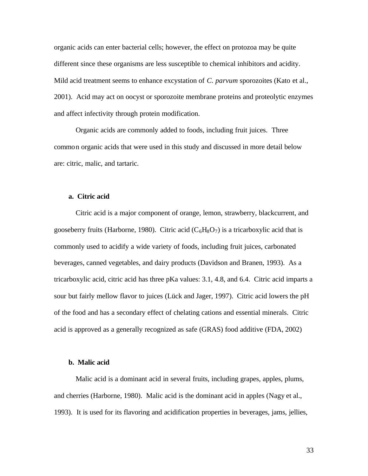organic acids can enter bacterial cells; however, the effect on protozoa may be quite different since these organisms are less susceptible to chemical inhibitors and acidity. Mild acid treatment seems to enhance excystation of *C. parvum* sporozoites (Kato et al., 2001). Acid may act on oocyst or sporozoite membrane proteins and proteolytic enzymes and affect infectivity through protein modification.

Organic acids are commonly added to foods, including fruit juices. Three common organic acids that were used in this study and discussed in more detail below are: citric, malic, and tartaric.

# **a. Citric acid**

Citric acid is a major component of orange, lemon, strawberry, blackcurrent, and gooseberry fruits (Harborne, 1980). Citric acid ( $C_6H_8O_7$ ) is a tricarboxylic acid that is commonly used to acidify a wide variety of foods, including fruit juices, carbonated beverages, canned vegetables, and dairy products (Davidson and Branen, 1993). As a tricarboxylic acid, citric acid has three pKa values: 3.1, 4.8, and 6.4. Citric acid imparts a sour but fairly mellow flavor to juices (Lück and Jager, 1997). Citric acid lowers the pH of the food and has a secondary effect of chelating cations and essential minerals. Citric acid is approved as a generally recognized as safe (GRAS) food additive (FDA, 2002)

# **b. Malic acid**

Malic acid is a dominant acid in several fruits, including grapes, apples, plums, and cherries (Harborne, 1980). Malic acid is the dominant acid in apples (Nagy et al., 1993). It is used for its flavoring and acidification properties in beverages, jams, jellies,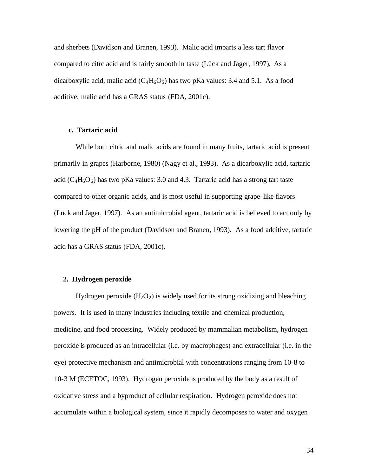and sherbets (Davidson and Branen, 1993). Malic acid imparts a less tart flavor compared to citrc acid and is fairly smooth in taste (Lück and Jager, 1997). As a dicarboxylic acid, malic acid  $(C_4H_6O_5)$  has two pKa values: 3.4 and 5.1. As a food additive, malic acid has a GRAS status (FDA, 2001c).

# **c. Tartaric acid**

While both citric and malic acids are found in many fruits, tartaric acid is present primarily in grapes (Harborne, 1980) (Nagy et al., 1993). As a dicarboxylic acid, tartaric acid ( $C_4H_6O_6$ ) has two pKa values: 3.0 and 4.3. Tartaric acid has a strong tart taste compared to other organic acids, and is most useful in supporting grape-like flavors (Lück and Jager, 1997). As an antimicrobial agent, tartaric acid is believed to act only by lowering the pH of the product (Davidson and Branen, 1993). As a food additive, tartaric acid has a GRAS status (FDA, 2001c).

#### **2. Hydrogen peroxide**

Hydrogen peroxide  $(H_2O_2)$  is widely used for its strong oxidizing and bleaching powers. It is used in many industries including textile and chemical production, medicine, and food processing. Widely produced by mammalian metabolism, hydrogen peroxide is produced as an intracellular (i.e. by macrophages) and extracellular (i.e. in the eye) protective mechanism and antimicrobial with concentrations ranging from 10-8 to 10-3 M (ECETOC, 1993). Hydrogen peroxide is produced by the body as a result of oxidative stress and a byproduct of cellular respiration. Hydrogen peroxide does not accumulate within a biological system, since it rapidly decomposes to water and oxygen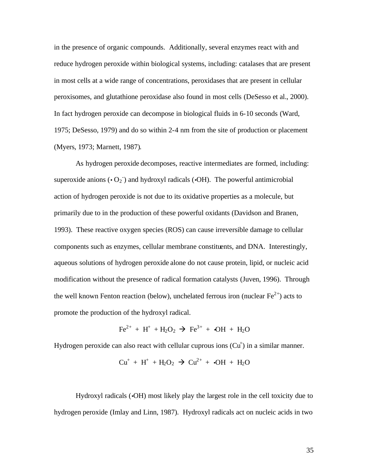in the presence of organic compounds. Additionally, several enzymes react with and reduce hydrogen peroxide within biological systems, including: catalases that are present in most cells at a wide range of concentrations, peroxidases that are present in cellular peroxisomes, and glutathione peroxidase also found in most cells (DeSesso et al., 2000). In fact hydrogen peroxide can decompose in biological fluids in 6-10 seconds (Ward, 1975; DeSesso, 1979) and do so within 2-4 nm from the site of production or placement (Myers, 1973; Marnett, 1987).

As hydrogen peroxide decomposes, reactive intermediates are formed, including: superoxide anions  $\left($ • O<sub>2</sub>  $\right)$  and hydroxyl radicals  $\left($ •OH). The powerful antimicrobial action of hydrogen peroxide is not due to its oxidative properties as a molecule, but primarily due to in the production of these powerful oxidants (Davidson and Branen, 1993). These reactive oxygen species (ROS) can cause irreversible damage to cellular components such as enzymes, cellular membrane constituents, and DNA. Interestingly, aqueous solutions of hydrogen peroxide alone do not cause protein, lipid, or nucleic acid modification without the presence of radical formation catalysts (Juven, 1996). Through the well known Fenton reaction (below), unchelated ferrous iron (nuclear  $Fe^{2+}$ ) acts to promote the production of the hydroxyl radical.

$$
Fe^{2+} + H^{+} + H_{2}O_{2} \rightarrow Fe^{3+} + \bullet OH + H_{2}O
$$

Hydrogen peroxide can also react with cellular cuprous ions  $(Cu<sup>+</sup>)$  in a similar manner.

$$
Cu^+ + H^+ + H_2O_2 \rightarrow Cu^{2+} + \bullet OH + H_2O
$$

Hydroxyl radicals (•OH) most likely play the largest role in the cell toxicity due to hydrogen peroxide (Imlay and Linn, 1987). Hydroxyl radicals act on nucleic acids in two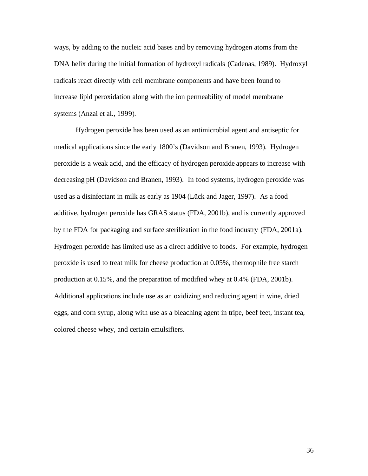ways, by adding to the nucleic acid bases and by removing hydrogen atoms from the DNA helix during the initial formation of hydroxyl radicals (Cadenas, 1989). Hydroxyl radicals react directly with cell membrane components and have been found to increase lipid peroxidation along with the ion permeability of model membrane systems (Anzai et al., 1999).

Hydrogen peroxide has been used as an antimicrobial agent and antiseptic for medical applications since the early 1800's (Davidson and Branen, 1993). Hydrogen peroxide is a weak acid, and the efficacy of hydrogen peroxide appears to increase with decreasing pH (Davidson and Branen, 1993). In food systems, hydrogen peroxide was used as a disinfectant in milk as early as 1904 (Lück and Jager, 1997). As a food additive, hydrogen peroxide has GRAS status (FDA, 2001b), and is currently approved by the FDA for packaging and surface sterilization in the food industry (FDA, 2001a). Hydrogen peroxide has limited use as a direct additive to foods. For example, hydrogen peroxide is used to treat milk for cheese production at 0.05%, thermophile free starch production at 0.15%, and the preparation of modified whey at 0.4% (FDA, 2001b). Additional applications include use as an oxidizing and reducing agent in wine, dried eggs, and corn syrup, along with use as a bleaching agent in tripe, beef feet, instant tea, colored cheese whey, and certain emulsifiers.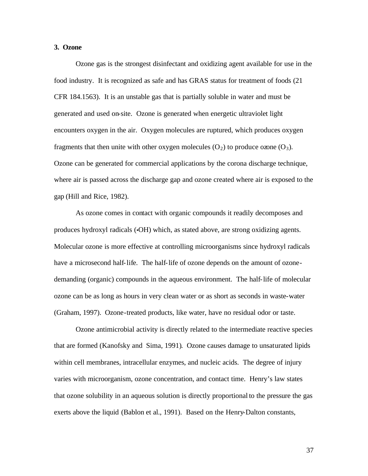#### **3. Ozone**

Ozone gas is the strongest disinfectant and oxidizing agent available for use in the food industry. It is recognized as safe and has GRAS status for treatment of foods (21 CFR 184.1563). It is an unstable gas that is partially soluble in water and must be generated and used on-site. Ozone is generated when energetic ultraviolet light encounters oxygen in the air. Oxygen molecules are ruptured, which produces oxygen fragments that then unite with other oxygen molecules  $(O_2)$  to produce ozone  $(O_3)$ . Ozone can be generated for commercial applications by the corona discharge technique, where air is passed across the discharge gap and ozone created where air is exposed to the gap (Hill and Rice, 1982).

As ozone comes in contact with organic compounds it readily decomposes and produces hydroxyl radicals (•OH) which, as stated above, are strong oxidizing agents. Molecular ozone is more effective at controlling microorganisms since hydroxyl radicals have a microsecond half-life. The half-life of ozone depends on the amount of ozonedemanding (organic) compounds in the aqueous environment. The half-life of molecular ozone can be as long as hours in very clean water or as short as seconds in waste-water (Graham, 1997). Ozone-treated products, like water, have no residual odor or taste.

Ozone antimicrobial activity is directly related to the intermediate reactive species that are formed (Kanofsky and Sima, 1991). Ozone causes damage to unsaturated lipids within cell membranes, intracellular enzymes, and nucleic acids. The degree of injury varies with microorganism, ozone concentration, and contact time. Henry's law states that ozone solubility in an aqueous solution is directly proportional to the pressure the gas exerts above the liquid (Bablon et al., 1991). Based on the Henry-Dalton constants,

37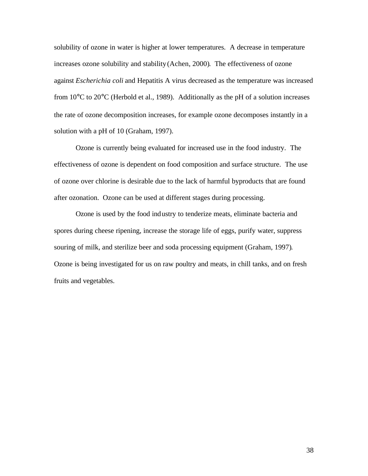solubility of ozone in water is higher at lower temperatures. A decrease in temperature increases ozone solubility and stability (Achen, 2000). The effectiveness of ozone against *Escherichia coli* and Hepatitis A virus decreased as the temperature was increased from  $10^{\circ}$ C to  $20^{\circ}$ C (Herbold et al., 1989). Additionally as the pH of a solution increases the rate of ozone decomposition increases, for example ozone decomposes instantly in a solution with a pH of 10 (Graham, 1997).

Ozone is currently being evaluated for increased use in the food industry. The effectiveness of ozone is dependent on food composition and surface structure. The use of ozone over chlorine is desirable due to the lack of harmful byproducts that are found after ozonation. Ozone can be used at different stages during processing.

Ozone is used by the food industry to tenderize meats, eliminate bacteria and spores during cheese ripening, increase the storage life of eggs, purify water, suppress souring of milk, and sterilize beer and soda processing equipment (Graham, 1997). Ozone is being investigated for us on raw poultry and meats, in chill tanks, and on fresh fruits and vegetables.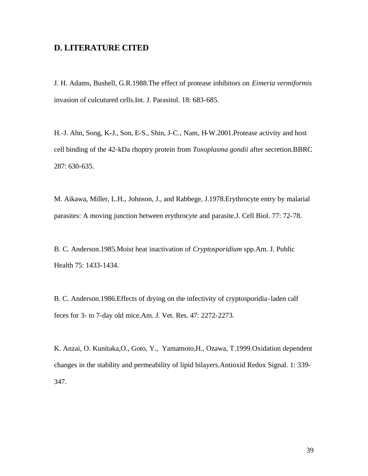### **D. LITERATURE CITED**

J. H. Adams, Bushell, G.R.1988.The effect of protease inhibitors on *Eimeria vermiformis* invasion of culcutured cells.Int. J. Parasitol. 18: 683-685.

H.-J. Ahn, Song, K-J., Son, E-S., Shin, J-C., Nam, H-W.2001.Protease activity and host cell binding of the 42-kDa rhoptry protein from *Toxoplasma gondii* after secretion.BBRC 287: 630-635.

M. Aikawa, Miller, L.H., Johnson, J., and Rabbege, J.1978.Erythrocyte entry by malarial parasites: A moving junction between erythrocyte and parasite.J. Cell Biol. 77: 72-78.

B. C. Anderson.1985.Moist heat inactivation of *Cryptosporidium* spp.Am. J. Public Health 75: 1433-1434.

B. C. Anderson.1986.Effects of drying on the infectivity of cryptosporidia-laden calf feces for 3- to 7-day old mice.Am. J. Vet. Res. 47: 2272-2273.

K. Anzai, O. Kunitaka,O., Goto, Y., Yamamoto,H., Ozawa, T.1999.Oxidation dependent changes in the stability and permeability of lipid bilayers.Antioxid Redox Signal. 1: 339- 347.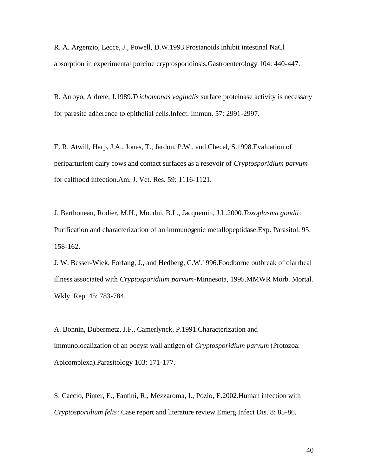R. A. Argenzio, Lecce, J., Powell, D.W.1993.Prostanoids inhibit intestinal NaCl absorption in experimental porcine cryptosporidiosis.Gastroenterology 104: 440-447.

R. Arroyo, Aldrete, J.1989.*Trichomonas vaginalis* surface proteinase activity is necessary for parasite adherence to epithelial cells.Infect. Immun. 57: 2991-2997.

E. R. Atwill, Harp, J.A., Jones, T., Jardon, P.W., and Checel, S.1998.Evaluation of periparturient dairy cows and contact surfaces as a resevoir of *Cryptosporidium parvum* for calfhood infection.Am. J. Vet. Res. 59: 1116-1121.

J. Berthoneau, Rodier, M.H., Moudni, B.L., Jacquemin, J.L.2000.*Toxoplasma gondii*: Purification and characterization of an immunogenic metallopeptidase.Exp. Parasitol. 95: 158-162.

J. W. Besser-Wiek, Forfang, J., and Hedberg, C.W.1996.Foodborne outbreak of diarrheal illness associated with *Cryptosporidium parvum*-Minnesota, 1995.MMWR Morb. Mortal. Wkly. Rep. 45: 783-784.

A. Bonnin, Dubermetz, J.F., Camerlynck, P.1991.Characterization and immunolocalization of an oocyst wall antigen of *Cryptosporidium parvum* (Protozoa: Apicomplexa).Parasitology 103: 171-177.

S. Caccio, Pinter, E., Fantini, R., Mezzaroma, I., Pozio, E.2002.Human infection with *Cryptosporidium felis*: Case report and literature review.Emerg Infect Dis. 8: 85-86.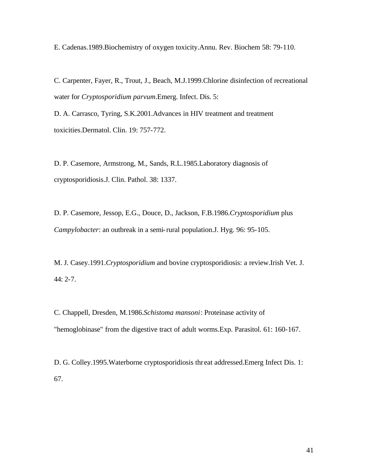E. Cadenas.1989.Biochemistry of oxygen toxicity.Annu. Rev. Biochem 58: 79-110.

C. Carpenter, Fayer, R., Trout, J., Beach, M.J.1999.Chlorine disinfection of recreational water for *Cryptosporidium parvum*.Emerg. Infect. Dis. 5:

D. A. Carrasco, Tyring, S.K.2001.Advances in HIV treatment and treatment toxicities.Dermatol. Clin. 19: 757-772.

D. P. Casemore, Armstrong, M., Sands, R.L.1985.Laboratory diagnosis of cryptosporidiosis.J. Clin. Pathol. 38: 1337.

D. P. Casemore, Jessop, E.G., Douce, D., Jackson, F.B.1986.*Cryptosporidium* plus *Campylobacter*: an outbreak in a semi-rural population.J. Hyg. 96: 95-105.

M. J. Casey.1991.*Cryptosporidium* and bovine cryptosporidiosis: a review.Irish Vet. J. 44: 2-7.

C. Chappell, Dresden, M.1986.*Schistoma mansoni*: Proteinase activity of "hemoglobinase" from the digestive tract of adult worms.Exp. Parasitol. 61: 160-167.

D. G. Colley.1995.Waterborne cryptosporidiosis thr eat addressed.Emerg Infect Dis. 1: 67.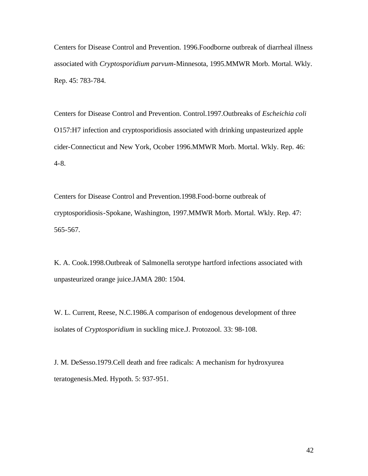Centers for Disease Control and Prevention. 1996.Foodborne outbreak of diarrheal illness associated with *Cryptosporidium parvum*-Minnesota, 1995.MMWR Morb. Mortal. Wkly. Rep. 45: 783-784.

Centers for Disease Control and Prevention. Control.1997.Outbreaks of *Escheichia coli* O157:H7 infection and cryptosporidiosis associated with drinking unpasteurized apple cider-Connecticut and New York, Ocober 1996.MMWR Morb. Mortal. Wkly. Rep. 46: 4-8.

Centers for Disease Control and Prevention.1998.Food-borne outbreak of cryptosporidiosis-Spokane, Washington, 1997.MMWR Morb. Mortal. Wkly. Rep. 47: 565-567.

K. A. Cook.1998.Outbreak of Salmonella serotype hartford infections associated with unpasteurized orange juice.JAMA 280: 1504.

W. L. Current, Reese, N.C.1986.A comparison of endogenous development of three isolates of *Cryptosporidium* in suckling mice.J. Protozool. 33: 98-108.

J. M. DeSesso.1979.Cell death and free radicals: A mechanism for hydroxyurea teratogenesis.Med. Hypoth. 5: 937-951.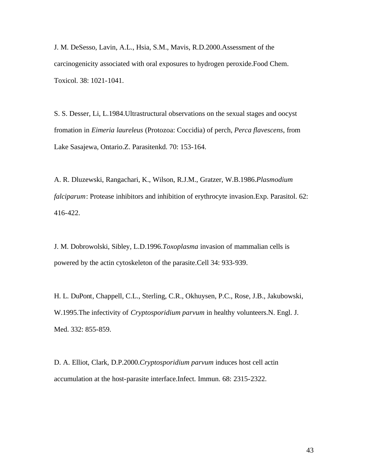J. M. DeSesso, Lavin, A.L., Hsia, S.M., Mavis, R.D.2000.Assessment of the carcinogenicity associated with oral exposures to hydrogen peroxide.Food Chem. Toxicol. 38: 1021-1041.

S. S. Desser, Li, L.1984.Ultrastructural observations on the sexual stages and oocyst fromation in *Eimeria laureleus* (Protozoa: Coccidia) of perch, *Perca flavescens*, from Lake Sasajewa, Ontario.Z. Parasitenkd. 70: 153-164.

A. R. Dluzewski, Rangachari, K., Wilson, R.J.M., Gratzer, W.B.1986.*Plasmodium falciparum*: Protease inhibitors and inhibition of erythrocyte invasion.Exp. Parasitol. 62: 416-422.

J. M. Dobrowolski, Sibley, L.D.1996.*Toxoplasma* invasion of mammalian cells is powered by the actin cytoskeleton of the parasite.Cell 34: 933-939.

H. L. DuPont, Chappell, C.L., Sterling, C.R., Okhuysen, P.C., Rose, J.B., Jakubowski, W.1995.The infectivity of *Cryptosporidium parvum* in healthy volunteers.N. Engl. J. Med. 332: 855-859.

D. A. Elliot, Clark, D.P.2000.*Cryptosporidium parvum* induces host cell actin accumulation at the host-parasite interface.Infect. Immun. 68: 2315-2322.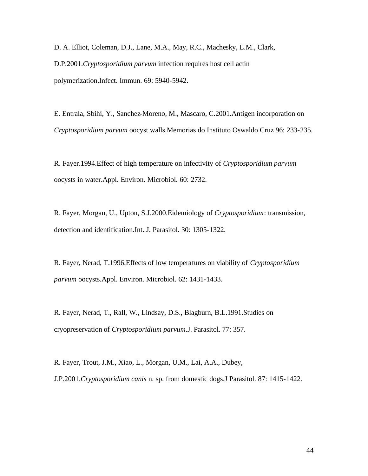D. A. Elliot, Coleman, D.J., Lane, M.A., May, R.C., Machesky, L.M., Clark, D.P.2001.*Cryptosporidium parvum* infection requires host cell actin polymerization.Infect. Immun. 69: 5940-5942.

E. Entrala, Sbihi, Y., Sanchez-Moreno, M., Mascaro, C.2001.Antigen incorporation on *Cryptosporidium parvum* oocyst walls.Memorias do Instituto Oswaldo Cruz 96: 233-235.

R. Fayer.1994.Effect of high temperature on infectivity of *Cryptosporidium parvum* oocysts in water.Appl. Environ. Microbiol. 60: 2732.

R. Fayer, Morgan, U., Upton, S.J.2000.Eidemiology of *Cryptosporidium*: transmission, detection and identification.Int. J. Parasitol. 30: 1305-1322.

R. Fayer, Nerad, T.1996.Effects of low temperatures on viability of *Cryptosporidium parvum* oocysts.Appl. Environ. Microbiol. 62: 1431-1433.

R. Fayer, Nerad, T., Rall, W., Lindsay, D.S., Blagburn, B.L.1991.Studies on cryopreservation of *Cryptosporidium parvum*.J. Parasitol. 77: 357.

R. Fayer, Trout, J.M., Xiao, L., Morgan, U,M., Lai, A.A., Dubey, J.P.2001.*Cryptosporidium canis* n. sp. from domestic dogs.J Parasitol. 87: 1415-1422.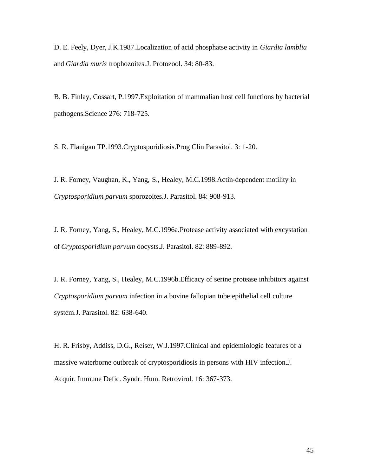D. E. Feely, Dyer, J.K.1987.Localization of acid phosphatse activity in *Giardia lamblia*  and *Giardia muris* trophozoites.J. Protozool. 34: 80-83.

B. B. Finlay, Cossart, P.1997.Exploitation of mammalian host cell functions by bacterial pathogens.Science 276: 718-725.

S. R. Flanigan TP.1993.Cryptosporidiosis.Prog Clin Parasitol. 3: 1-20.

J. R. Forney, Vaughan, K., Yang, S., Healey, M.C.1998.Actin-dependent motility in *Cryptosporidium parvum* sporozoites.J. Parasitol. 84: 908-913.

J. R. Forney, Yang, S., Healey, M.C.1996a.Protease activity associated with excystation of *Cryptosporidium parvum* oocysts.J. Parasitol. 82: 889-892.

J. R. Forney, Yang, S., Healey, M.C.1996b.Efficacy of serine protease inhibitors against *Cryptosporidium parvum* infection in a bovine fallopian tube epithelial cell culture system.J. Parasitol. 82: 638-640.

H. R. Frisby, Addiss, D.G., Reiser, W.J.1997.Clinical and epidemiologic features of a massive waterborne outbreak of cryptosporidiosis in persons with HIV infection.J. Acquir. Immune Defic. Syndr. Hum. Retrovirol. 16: 367-373.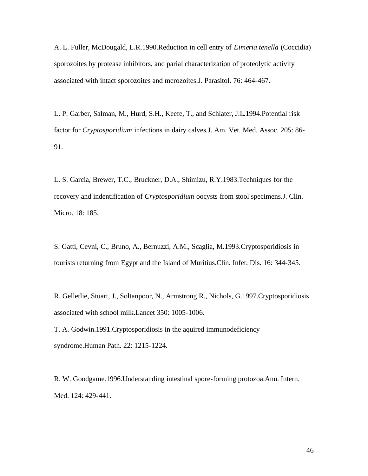A. L. Fuller, McDougald, L.R.1990.Reduction in cell entry of *Eimeria tenella* (Coccidia) sporozoites by protease inhibitors, and parial characterization of proteolytic activity associated with intact sporozoites and merozoites.J. Parasitol. 76: 464-467.

L. P. Garber, Salman, M., Hurd, S.H., Keefe, T., and Schlater, J.L.1994.Potential risk factor for *Cryptosporidium* infections in dairy calves.J. Am. Vet. Med. Assoc. 205: 86- 91.

L. S. Garcia, Brewer, T.C., Bruckner, D.A., Shimizu, R.Y.1983.Techniques for the recovery and indentification of *Cryptosporidium* oocysts from stool specimens.J. Clin. Micro. 18: 185.

S. Gatti, Cevni, C., Bruno, A., Bernuzzi, A.M., Scaglia, M.1993.Cryptosporidiosis in tourists returning from Egypt and the Island of Muritius.Clin. Infet. Dis. 16: 344-345.

R. Gelletlie, Stuart, J., Soltanpoor, N., Armstrong R., Nichols, G.1997.Cryptosporidiosis associated with school milk.Lancet 350: 1005-1006.

T. A. Godwin.1991.Cryptosporidiosis in the aquired immunodeficiency syndrome.Human Path. 22: 1215-1224.

R. W. Goodgame.1996.Understanding intestinal spore-forming protozoa.Ann. Intern. Med. 124: 429-441.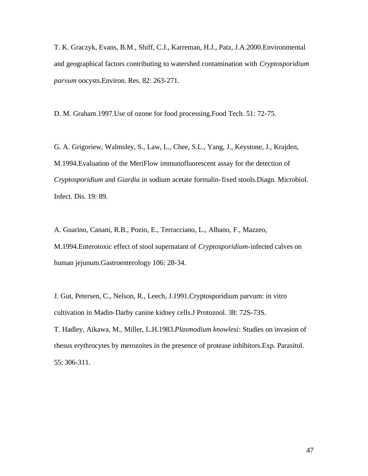T. K. Graczyk, Evans, B.M., Shiff, C.J., Karreman, H.J., Patz, J.A.2000.Environmental and geographical factors contributing to watershed contamination with *Cryptosporidium parvum* oocysts.Environ. Res. 82: 263-271.

D. M. Graham.1997.Use of ozone for food processing.Food Tech. 51: 72-75.

G. A. Grigoriew, Walmsley, S., Law, L., Chee, S.L., Yang, J., Keystone, J., Krajden, M.1994.Evaluation of the MeriFlow immunofluorescent assay for the detection of *Cryptosporidium* and *Giardia* in sodium acetate formalin-fixed stools.Diagn. Microbiol. Infect. Dis. 19: 89.

A. Guarino, Canani, R.B., Pozio, E., Terracciano, L., Albano, F., Mazzeo, M.1994.Enterotoxic effect of stool supernatant of *Cryptosporidium*-infected calves on human jejunum.Gastroenterology 106: 28-34.

J. Gut, Petersen, C., Nelson, R., Leech, J.1991.Cryptosporidium parvum: in vitro cultivation in Madin-Darby canine kidney cells.J Protozool. 38: 72S-73S. T. Hadley, Aikawa, M., Miller, L.H.1983.*Plasmodium knowlesi*: Studies on invasion of rhesus erythrocytes by merozoites in the presence of protease inhibitors.Exp. Parasitol. 55: 306-311.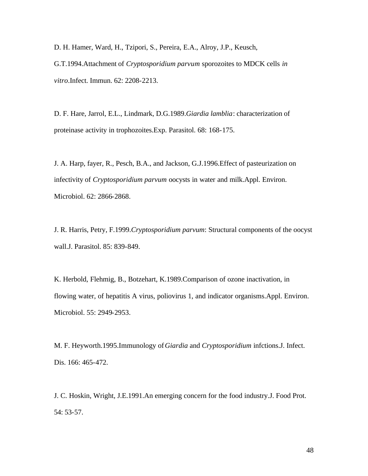D. H. Hamer, Ward, H., Tzipori, S., Pereira, E.A., Alroy, J.P., Keusch, G.T.1994.Attachment of *Cryptosporidium parvum* sporozoites to MDCK cells *in vitro*.Infect. Immun. 62: 2208-2213.

D. F. Hare, Jarrol, E.L., Lindmark, D.G.1989.*Giardia lamblia*: characterization of proteinase activity in trophozoites.Exp. Parasitol. 68: 168-175.

J. A. Harp, fayer, R., Pesch, B.A., and Jackson, G.J.1996.Effect of pasteurization on infectivity of *Cryptosporidium parvum* oocysts in water and milk.Appl. Environ. Microbiol. 62: 2866-2868.

J. R. Harris, Petry, F.1999.*Cryptosporidium parvum*: Structural components of the oocyst wall.J. Parasitol. 85: 839-849.

K. Herbold, Flehmig, B., Botzehart, K.1989.Comparison of ozone inactivation, in flowing water, of hepatitis A virus, poliovirus 1, and indicator organisms.Appl. Environ. Microbiol. 55: 2949-2953.

M. F. Heyworth.1995.Immunology of*Giardia* and *Cryptosporidium* infctions.J. Infect. Dis. 166: 465-472.

J. C. Hoskin, Wright, J.E.1991.An emerging concern for the food industry.J. Food Prot. 54: 53-57.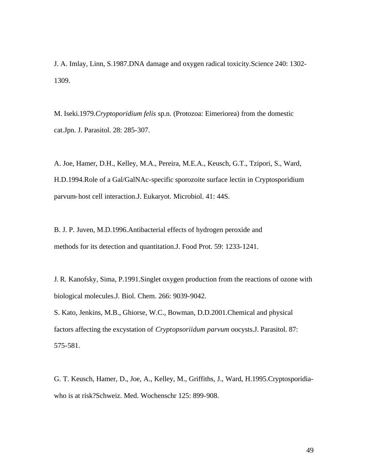J. A. Imlay, Linn, S.1987.DNA damage and oxygen radical toxicity.Science 240: 1302- 1309.

M. Iseki.1979.*Cryptoporidium felis* sp.n. (Protozoa: Eimeriorea) from the domestic cat.Jpn. J. Parasitol. 28: 285-307.

A. Joe, Hamer, D.H., Kelley, M.A., Pereira, M.E.A., Keusch, G.T., Tzipori, S., Ward, H.D.1994.Role of a Gal/GalNAc-specific sporozoite surface lectin in Cryptosporidium parvum-host cell interaction.J. Eukaryot. Microbiol. 41: 44S.

B. J. P. Juven, M.D.1996.Antibacterial effects of hydrogen peroxide and methods for its detection and quantitation.J. Food Prot. 59: 1233-1241.

J. R. Kanofsky, Sima, P.1991.Singlet oxygen production from the reactions of ozone with biological molecules.J. Biol. Chem. 266: 9039-9042.

S. Kato, Jenkins, M.B., Ghiorse, W.C., Bowman, D.D.2001.Chemical and physical factors affecting the excystation of *Cryptopsoriidum parvum* oocysts.J. Parasitol. 87: 575-581.

G. T. Keusch, Hamer, D., Joe, A., Kelley, M., Griffiths, J., Ward, H.1995.Cryptosporidiawho is at risk?Schweiz. Med. Wochenschr 125: 899-908.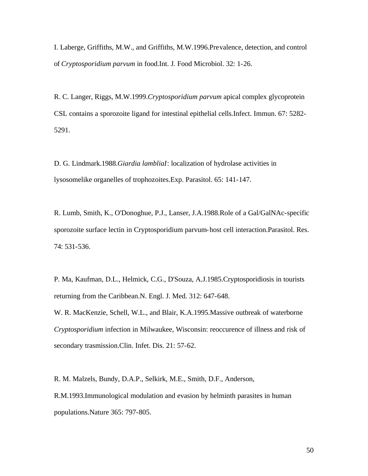I. Laberge, Griffiths, M.W., and Griffiths, M.W.1996.Prevalence, detection, and control of *Cryptosporidium parvum* in food.Int. J. Food Microbiol. 32: 1-26.

R. C. Langer, Riggs, M.W.1999.*Cryptosporidium parvum* apical complex glycoprotein CSL contains a sporozoite ligand for intestinal epithelial cells.Infect. Immun. 67: 5282- 5291.

D. G. Lindmark.1988.*Giardia lambliaI*: localization of hydrolase activities in lysosomelike organelles of trophozoites.Exp. Parasitol. 65: 141-147.

R. Lumb, Smith, K., O'Donoghue, P.J., Lanser, J.A.1988.Role of a Gal/GalNAc-specific sporozoite surface lectin in Cryptosporidium parvum-host cell interaction.Parasitol. Res. 74: 531-536.

P. Ma, Kaufman, D.L., Helmick, C.G., D'Souza, A.J.1985.Cryptosporidiosis in tourists returning from the Caribbean.N. Engl. J. Med. 312: 647-648. W. R. MacKenzie, Schell, W.L., and Blair, K.A.1995.Massive outbreak of waterborne *Cryptosporidium* infection in Milwaukee, Wisconsin: reoccurence of illness and risk of secondary trasmission.Clin. Infet. Dis. 21: 57-62.

R. M. Malzels, Bundy, D.A.P., Selkirk, M.E., Smith, D.F., Anderson, R.M.1993.Immunological modulation and evasion by helminth parasites in human populations.Nature 365: 797-805.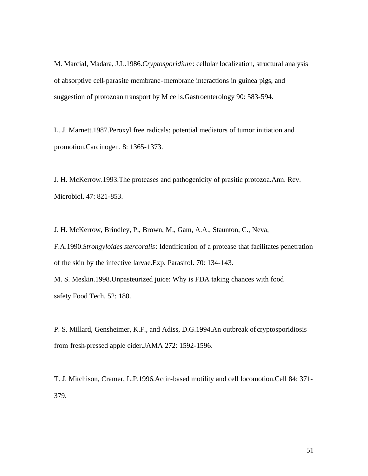M. Marcial, Madara, J.L.1986.*Cryptosporidium*: cellular localization, structural analysis of absorptive cell-parasite membrane-membrane interactions in guinea pigs, and suggestion of protozoan transport by M cells.Gastroenterology 90: 583-594.

L. J. Marnett.1987.Peroxyl free radicals: potential mediators of tumor initiation and promotion.Carcinogen. 8: 1365-1373.

J. H. McKerrow.1993.The proteases and pathogenicity of prasitic protozoa.Ann. Rev. Microbiol. 47: 821-853.

J. H. McKerrow, Brindley, P., Brown, M., Gam, A.A., Staunton, C., Neva,

F.A.1990.*Strongyloides stercoralis*: Identification of a protease that facilitates penetration of the skin by the infective larvae.Exp. Parasitol. 70: 134-143.

M. S. Meskin.1998.Unpasteurized juice: Why is FDA taking chances with food safety.Food Tech. 52: 180.

P. S. Millard, Gensheimer, K.F., and Adiss, D.G.1994.An outbreak of cryptosporidiosis from fresh-pressed apple cider.JAMA 272: 1592-1596.

T. J. Mitchison, Cramer, L.P.1996.Actin-based motility and cell locomotion.Cell 84: 371- 379.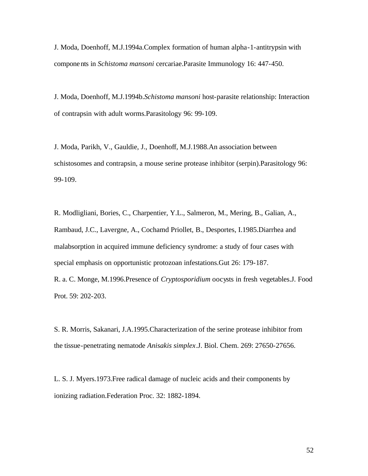J. Moda, Doenhoff, M.J.1994a.Complex formation of human alpha-1-antitrypsin with components in *Schistoma mansoni* cercariae.Parasite Immunology 16: 447-450.

J. Moda, Doenhoff, M.J.1994b.*Schistoma mansoni* host-parasite relationship: Interaction of contrapsin with adult worms.Parasitology 96: 99-109.

J. Moda, Parikh, V., Gauldie, J., Doenhoff, M.J.1988.An association between schistosomes and contrapsin, a mouse serine protease inhibitor (serpin).Parasitology 96: 99-109.

R. Modligliani, Bories, C., Charpentier, Y.L., Salmeron, M., Mering, B., Galian, A., Rambaud, J.C., Lavergne, A., Cochamd Priollet, B., Desportes, I.1985.Diarrhea and malabsorption in acquired immune deficiency syndrome: a study of four cases with special emphasis on opportunistic protozoan infestations.Gut 26: 179-187. R. a. C. Monge, M.1996.Presence of *Cryptosporidium* oocysts in fresh vegetables.J. Food

Prot. 59: 202-203.

S. R. Morris, Sakanari, J.A.1995.Characterization of the serine protease inhibitor from the tissue-penetrating nematode *Anisakis simplex*.J. Biol. Chem. 269: 27650-27656.

L. S. J. Myers.1973.Free radical damage of nucleic acids and their components by ionizing radiation.Federation Proc. 32: 1882-1894.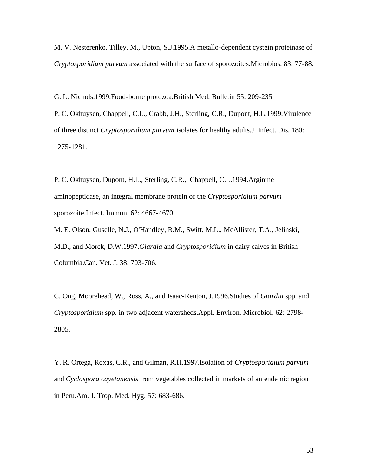M. V. Nesterenko, Tilley, M., Upton, S.J.1995.A metallo-dependent cystein proteinase of *Cryptosporidium parvum* associated with the surface of sporozoites.Microbios. 83: 77-88.

G. L. Nichols.1999.Food-borne protozoa.British Med. Bulletin 55: 209-235.

P. C. Okhuysen, Chappell, C.L., Crabb, J.H., Sterling, C.R., Dupont, H.L.1999.Virulence of three distinct *Cryptosporidium parvum* isolates for healthy adults.J. Infect. Dis. 180: 1275-1281.

P. C. Okhuysen, Dupont, H.L., Sterling, C.R., Chappell, C.L.1994.Arginine aminopeptidase, an integral membrane protein of the *Cryptosporidium parvum* sporozoite.Infect. Immun. 62: 4667-4670.

M. E. Olson, Guselle, N.J., O'Handley, R.M., Swift, M.L., McAllister, T.A., Jelinski, M.D., and Morck, D.W.1997.*Giardia* and *Cryptosporidium* in dairy calves in British Columbia.Can. Vet. J. 38: 703-706.

C. Ong, Moorehead, W., Ross, A., and Isaac-Renton, J.1996.Studies of *Giardia* spp. and *Cryptosporidium* spp. in two adjacent watersheds.Appl. Environ. Microbiol. 62: 2798- 2805.

Y. R. Ortega, Roxas, C.R., and Gilman, R.H.1997.Isolation of *Cryptosporidium parvum*  and *Cyclospora cayetanensis* from vegetables collected in markets of an endemic region in Peru.Am. J. Trop. Med. Hyg. 57: 683-686.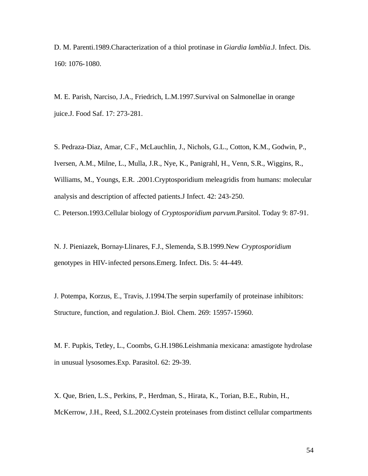D. M. Parenti.1989.Characterization of a thiol protinase in *Giardia lamblia*.J. Infect. Dis. 160: 1076-1080.

M. E. Parish, Narciso, J.A., Friedrich, L.M.1997.Survival on Salmonellae in orange juice.J. Food Saf. 17: 273-281.

S. Pedraza-Diaz, Amar, C.F., McLauchlin, J., Nichols, G.L., Cotton, K.M., Godwin, P., Iversen, A.M., Milne, L., Mulla, J.R., Nye, K., Panigrahl, H., Venn, S.R., Wiggins, R., Williams, M., Youngs, E.R. .2001.Cryptosporidium meleagridis from humans: molecular analysis and description of affected patients.J Infect. 42: 243-250.

C. Peterson.1993.Cellular biology of *Cryptosporidium parvum*.Parsitol. Today 9: 87-91.

N. J. Pieniazek, Bornay-Llinares, F.J., Slemenda, S.B.1999.New *Cryptosporidium* genotypes in HIV-infected persons.Emerg. Infect. Dis. 5: 44-449.

J. Potempa, Korzus, E., Travis, J.1994.The serpin superfamily of proteinase inhibitors: Structure, function, and regulation.J. Biol. Chem. 269: 15957-15960.

M. F. Pupkis, Tetley, L., Coombs, G.H.1986.Leishmania mexicana: amastigote hydrolase in unusual lysosomes.Exp. Parasitol. 62: 29-39.

X. Que, Brien, L.S., Perkins, P., Herdman, S., Hirata, K., Torian, B.E., Rubin, H., McKerrow, J.H., Reed, S.L.2002.Cystein proteinases from distinct cellular compartments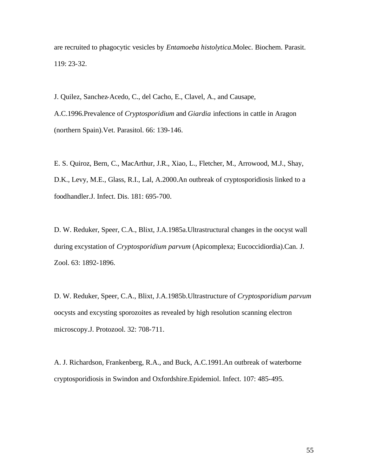are recruited to phagocytic vesicles by *Entamoeba histolytica*.Molec. Biochem. Parasit. 119: 23-32.

J. Quilez, Sanchez-Acedo, C., del Cacho, E., Clavel, A., and Causape,

A.C.1996.Prevalence of *Cryptosporidium* and *Giardia* infections in cattle in Aragon (northern Spain).Vet. Parasitol. 66: 139-146.

E. S. Quiroz, Bern, C., MacArthur, J.R., Xiao, L., Fletcher, M., Arrowood, M.J., Shay, D.K., Levy, M.E., Glass, R.I., Lal, A.2000.An outbreak of cryptosporidiosis linked to a foodhandler.J. Infect. Dis. 181: 695-700.

D. W. Reduker, Speer, C.A., Blixt, J.A.1985a.Ultrastructural changes in the oocyst wall during excystation of *Cryptosporidium parvum* (Apicomplexa; Eucoccidiordia).Can. J. Zool. 63: 1892-1896.

D. W. Reduker, Speer, C.A., Blixt, J.A.1985b.Ultrastructure of *Cryptosporidium parvum* oocysts and excysting sporozoites as revealed by high resolution scanning electron microscopy.J. Protozool. 32: 708-711.

A. J. Richardson, Frankenberg, R.A., and Buck, A.C.1991.An outbreak of waterborne cryptosporidiosis in Swindon and Oxfordshire.Epidemiol. Infect. 107: 485-495.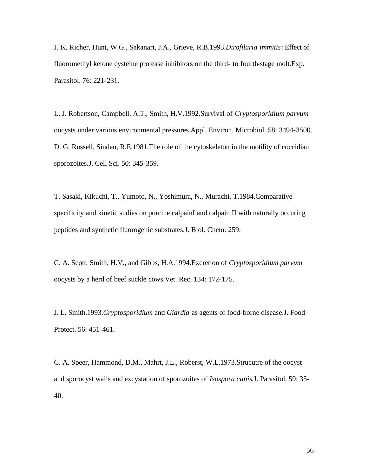J. K. Richer, Hunt, W.G., Sakanari, J.A., Grieve, R.B.1993.*Dirofilaria immitis*: Effect of fluoromethyl ketone cysteine protease inhibitors on the third- to fourth-stage molt.Exp. Parasitol. 76: 221-231.

L. J. Robertson, Campbell, A.T., Smith, H.V.1992.Survival of *Cryptosporidium parvum* oocysts under various environmental pressures.Appl. Environ. Microbiol. 58: 3494-3500. D. G. Russell, Sinden, R.E.1981.The role of the cytoskeleton in the motility of coccidian sporozoites.J. Cell Sci. 50: 345-359.

T. Sasaki, Kikuchi, T., Yumoto, N., Yoshimura, N., Murachi, T.1984.Comparative specificity and kinetic sudies on porcine calpainI and calpain II with naturally occuring peptides and synthetic fluorogenic substrates.J. Biol. Chem. 259:

C. A. Scott, Smith, H.V., and Gibbs, H.A.1994.Excretion of *Cryptosporidium parvum* oocysts by a herd of beef suckle cows.Vet. Rec. 134: 172-175.

J. L. Smith.1993.*Cryptosporidium* and *Giardia* as agents of food-borne disease.J. Food Protect. 56: 451-461.

C. A. Speer, Hammond, D.M., Mahrt, J.L., Roberst, W.L.1973.Strucutre of the oocyst and sporocyst walls and excystation of sporozoites of *Isospora canis*.J. Parasitol. 59: 35- 40.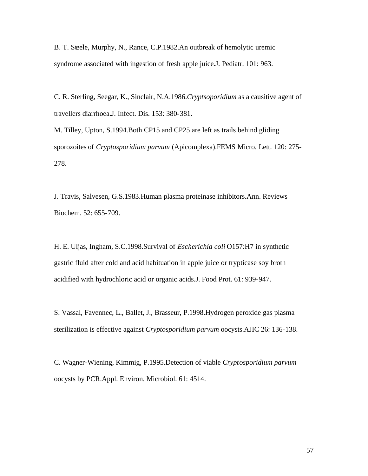B. T. Steele, Murphy, N., Rance, C.P.1982.An outbreak of hemolytic uremic syndrome associated with ingestion of fresh apple juice.J. Pediatr. 101: 963.

C. R. Sterling, Seegar, K., Sinclair, N.A.1986.*Cryptsoporidium* as a causitive agent of travellers diarrhoea.J. Infect. Dis. 153: 380-381.

M. Tilley, Upton, S.1994.Both CP15 and CP25 are left as trails behind gliding sporozoites of *Cryptosporidium parvum* (Apicomplexa).FEMS Micro. Lett. 120: 275- 278.

J. Travis, Salvesen, G.S.1983.Human plasma proteinase inhibitors.Ann. Reviews Biochem. 52: 655-709.

H. E. Uljas, Ingham, S.C.1998.Survival of *Escherichia coli* O157:H7 in synthetic gastric fluid after cold and acid habituation in apple juice or trypticase soy broth acidified with hydrochloric acid or organic acids.J. Food Prot. 61: 939-947.

S. Vassal, Favennec, L., Ballet, J., Brasseur, P.1998.Hydrogen peroxide gas plasma sterilization is effective against *Cryptosporidium parvum* oocysts.AJIC 26: 136-138.

C. Wagner-Wiening, Kimmig, P.1995.Detection of viable *Cryptosporidium parvum* oocysts by PCR.Appl. Environ. Microbiol. 61: 4514.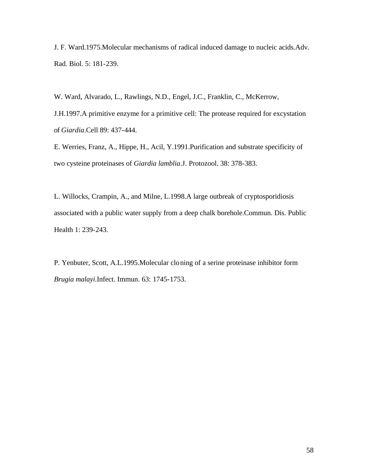J. F. Ward.1975.Molecular mechanisms of radical induced damage to nucleic acids.Adv. Rad. Biol. 5: 181-239.

W. Ward, Alvarado, L., Rawlings, N.D., Engel, J.C., Franklin, C., McKerrow, J.H.1997.A primitive enzyme for a primitive cell: The protease required for excystation of *Giardia*.Cell 89: 437-444.

E. Werries, Franz, A., Hippe, H., Acil, Y.1991.Purification and substrate specificity of two cysteine proteinases of *Giardia lamblia*.J. Protozool. 38: 378-383.

L. Willocks, Crampin, A., and Milne, L.1998.A large outbreak of cryptosporidiosis associated with a public water supply from a deep chalk borehole.Commun. Dis. Public Health 1: 239-243.

P. Yenbuter, Scott, A.L.1995.Molecular cloning of a serine proteinase inhibitor form *Brugia malayi*.Infect. Immun. 63: 1745-1753.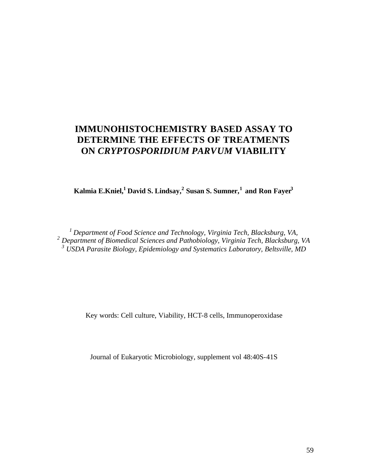# **IMMUNOHISTOCHEMISTRY BASED ASSAY TO DETERMINE THE EFFECTS OF TREATMENTS ON** *CRYPTOSPORIDIUM PARVUM* **VIABILITY**

**Kalmia E.Kniel,<sup>1</sup>David S. Lindsay,<sup>2</sup> Susan S. Sumner,<sup>1</sup>and Ron Fayer<sup>3</sup>**

*<sup>1</sup>Department of Food Science and Technology, Virginia Tech, Blacksburg, VA, 2 Department of Biomedical Sciences and Pathobiology, Virginia Tech, Blacksburg, VA 3 USDA Parasite Biology, Epidemiology and Systematics Laboratory, Beltsville, MD*

Key words: Cell culture, Viability, HCT-8 cells, Immunoperoxidase

Journal of Eukaryotic Microbiology, supplement vol 48:40S-41S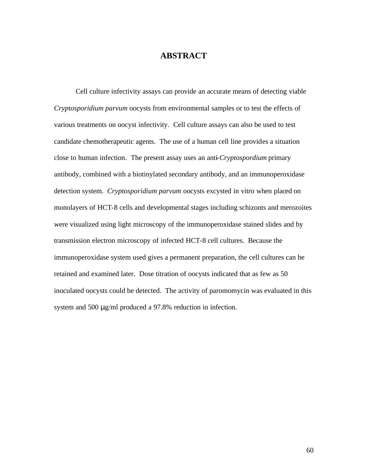#### **ABSTRACT**

Cell culture infectivity assays can provide an accurate means of detecting viable *Cryptosporidium parvum* oocysts from environmental samples or to test the effects of various treatments on oocyst infectivity. Cell culture assays can also be used to test candidate chemotherapeutic agents. The use of a human cell line provides a situation close to human infection. The present assay uses an anti-*Cryptospordium* primary antibody, combined with a biotinylated secondary antibody, and an immunoperoxidase detection system. *Cryptosporidium parvum* oocysts excysted in vitro when placed on monolayers of HCT-8 cells and developmental stages including schizonts and merozoites were visualized using light microscopy of the immunoperoxidase stained slides and by transmission electron microscopy of infected HCT-8 cell cultures. Because the immunoperoxidase system used gives a permanent preparation, the cell cultures can be retained and examined later. Dose titration of oocysts indicated that as few as 50 inoculated oocysts could be detected. The activity of paromomycin was evaluated in this system and 500 μg/ml produced a 97.8% reduction in infection.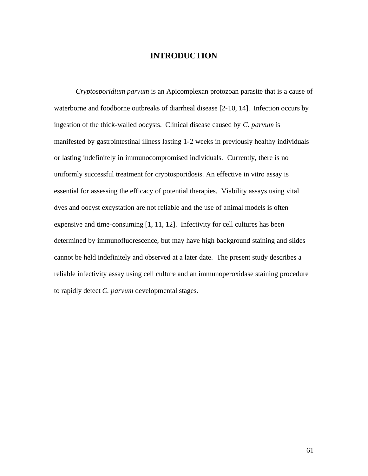#### **INTRODUCTION**

*Cryptosporidium parvum* is an Apicomplexan protozoan parasite that is a cause of waterborne and foodborne outbreaks of diarrheal disease [2-10, 14]. Infection occurs by ingestion of the thick-walled oocysts. Clinical disease caused by *C. parvum* is manifested by gastrointestinal illness lasting 1-2 weeks in previously healthy individuals or lasting indefinitely in immunocompromised individuals. Currently, there is no uniformly successful treatment for cryptosporidosis. An effective in vitro assay is essential for assessing the efficacy of potential therapies. Viability assays using vital dyes and oocyst excystation are not reliable and the use of animal models is often expensive and time-consuming [1, 11, 12]. Infectivity for cell cultures has been determined by immunofluorescence, but may have high background staining and slides cannot be held indefinitely and observed at a later date. The present study describes a reliable infectivity assay using cell culture and an immunoperoxidase staining procedure to rapidly detect *C. parvum* developmental stages.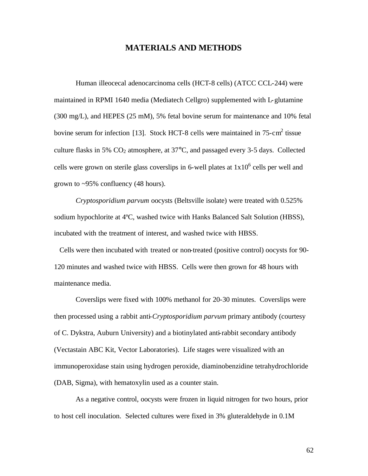#### **MATERIALS AND METHODS**

Human illeocecal adenocarcinoma cells (HCT-8 cells) (ATCC CCL-244) were maintained in RPMI 1640 media (Mediatech Cellgro) supplemented with L-glutamine (300 mg/L), and HEPES (25 mM), 5% fetal bovine serum for maintenance and 10% fetal bovine serum for infection [13]. Stock HCT-8 cells were maintained in  $75$ -cm<sup>2</sup> tissue culture flasks in 5%  $CO_2$  atmosphere, at 37 $\degree$ C, and passaged every 3-5 days. Collected cells were grown on sterile glass coverslips in 6-well plates at  $1x10^6$  cells per well and grown to ~95% confluency (48 hours).

*Cryptosporidium parvum* oocysts (Beltsville isolate) were treated with 0.525% sodium hypochlorite at 4ºC, washed twice with Hanks Balanced Salt Solution (HBSS), incubated with the treatment of interest, and washed twice with HBSS.

 Cells were then incubated with treated or non-treated (positive control) oocysts for 90- 120 minutes and washed twice with HBSS. Cells were then grown for 48 hours with maintenance media.

Coverslips were fixed with 100% methanol for 20-30 minutes. Coverslips were then processed using a rabbit anti-*Cryptosporidium parvum* primary antibody (courtesy of C. Dykstra, Auburn University) and a biotinylated anti-rabbit secondary antibody (Vectastain ABC Kit, Vector Laboratories). Life stages were visualized with an immunoperoxidase stain using hydrogen peroxide, diaminobenzidine tetrahydrochloride (DAB, Sigma), with hematoxylin used as a counter stain.

As a negative control, oocysts were frozen in liquid nitrogen for two hours, prior to host cell inoculation. Selected cultures were fixed in 3% gluteraldehyde in 0.1M

62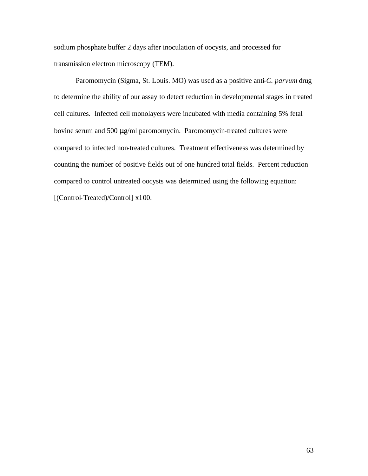sodium phosphate buffer 2 days after inoculation of oocysts, and processed for transmission electron microscopy (TEM).

Paromomycin (Sigma, St. Louis. MO) was used as a positive anti-*C. parvum* drug to determine the ability of our assay to detect reduction in developmental stages in treated cell cultures. Infected cell monolayers were incubated with media containing 5% fetal bovine serum and 500 μg/ml paromomycin. Paromomycin-treated cultures were compared to infected non-treated cultures. Treatment effectiveness was determined by counting the number of positive fields out of one hundred total fields. Percent reduction compared to control untreated oocysts was determined using the following equation: [(Control-Treated)/Control] x100.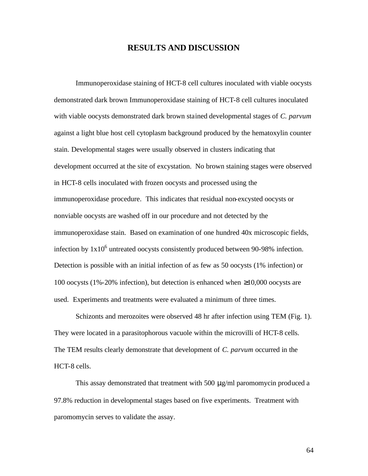#### **RESULTS AND DISCUSSION**

 Immunoperoxidase staining of HCT-8 cell cultures inoculated with viable oocysts demonstrated dark brown Immunoperoxidase staining of HCT-8 cell cultures inoculated with viable oocysts demonstrated dark brown stained developmental stages of *C. parvum* against a light blue host cell cytoplasm background produced by the hematoxylin counter stain. Developmental stages were usually observed in clusters indicating that development occurred at the site of excystation. No brown staining stages were observed in HCT-8 cells inoculated with frozen oocysts and processed using the immunoperoxidase procedure. This indicates that residual non-excysted oocysts or nonviable oocysts are washed off in our procedure and not detected by the immunoperoxidase stain. Based on examination of one hundred 40x microscopic fields, infection by  $1x10^6$  untreated oocysts consistently produced between 90-98% infection. Detection is possible with an initial infection of as few as 50 oocysts (1% infection) or 100 oocysts (1%-20% infection), but detection is enhanced when ≥10,000 oocysts are used. Experiments and treatments were evaluated a minimum of three times.

 Schizonts and merozoites were observed 48 hr after infection using TEM (Fig. 1). They were located in a parasitophorous vacuole within the microvilli of HCT-8 cells. The TEM results clearly demonstrate that development of *C. parvum* occurred in the HCT-8 cells.

 This assay demonstrated that treatment with 500 μg/ml paromomycin produced a 97.8% reduction in developmental stages based on five experiments. Treatment with paromomycin serves to validate the assay.

64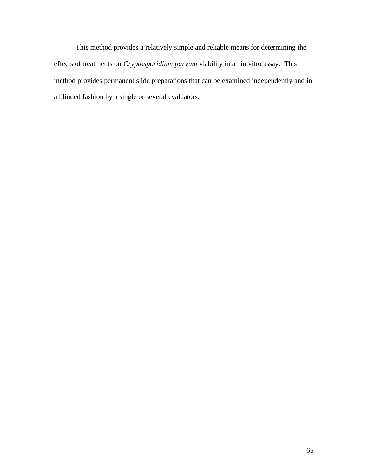This method provides a relatively simple and reliable means for determining the effects of treatments on *Cryptosporidium parvum* viability in an in vitro assay. This method provides permanent slide preparations that can be examined independently and in a blinded fashion by a single or several evaluators.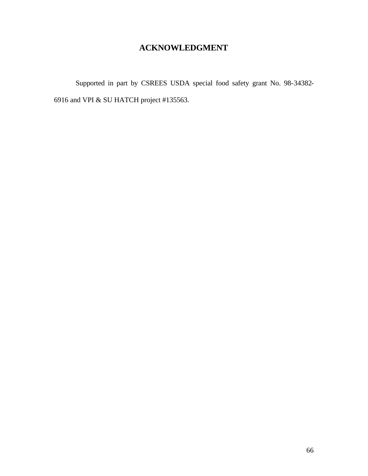## **ACKNOWLEDGMENT**

Supported in part by CSREES USDA special food safety grant No. 98-34382- 6916 and VPI & SU HATCH project #135563.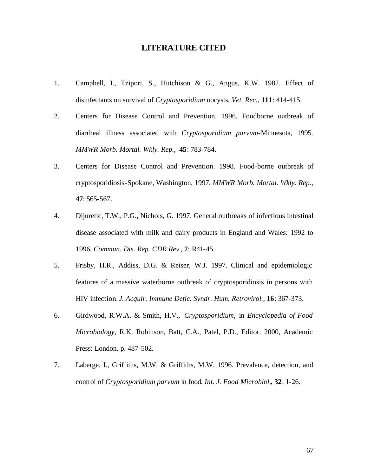#### **LITERATURE CITED**

- 1. Campbell, I., Tzipori, S., Hutchison & G., Angus, K.W. 1982. Effect of disinfectants on survival of *Cryptosporidium* oocysts*. Vet. Rec.*, **111**: 414-415.
- 2. Centers for Disease Control and Prevention. 1996. Foodborne outbreak of diarrheal illness associated with *Cryptosporidium parvum*-Minnesota, 1995*. MMWR Morb. Mortal. Wkly. Rep.*, **45**: 783-784.
- 3. Centers for Disease Control and Prevention. 1998. Food-borne outbreak of cryptosporidiosis-Spokane, Washington, 1997*. MMWR Morb. Mortal. Wkly. Rep.*, **47**: 565-567.
- 4. Dijuretic, T.W., P.G., Nichols, G. 1997. General outbreaks of infectious intestinal disease associated with milk and dairy products in England and Wales: 1992 to 1996*. Commun. Dis. Rep. CDR Rev.*, **7**: R41-45.
- 5. Frisby, H.R., Addiss, D.G. & Reiser, W.J. 1997. Clinical and epidemiologic features of a massive waterborne outbreak of cryptosporidiosis in persons with HIV infection*. J. Acquir. Immune Defic. Syndr. Hum. Retrovirol.*, **16**: 367-373.
- 6. Girdwood, R.W.A. & Smith, H.V., *Cryptosporidium*, in *Encyclopedia of Food Microbiology*, R.K. Robinson, Batt, C.A., Patel, P.D., Editor. 2000, Academic Press: London. p. 487-502.
- 7. Laberge, I., Griffiths, M.W. & Griffiths, M.W. 1996. Prevalence, detection, and control of *Cryptosporidium parvum* in food*. Int. J. Food Microbiol.*, **32**: 1-26.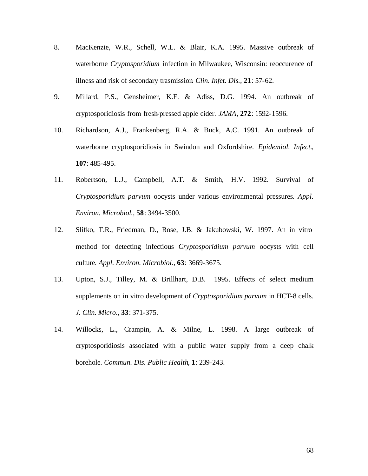- 8. MacKenzie, W.R., Schell, W.L. & Blair, K.A. 1995. Massive outbreak of waterborne *Cryptosporidium* infection in Milwaukee, Wisconsin: reoccurence of illness and risk of secondary trasmission*. Clin. Infet. Dis.*, **21**: 57-62.
- 9. Millard, P.S., Gensheimer, K.F. & Adiss, D.G. 1994. An outbreak of cryptosporidiosis from fresh-pressed apple cider*. JAMA*, **272**: 1592-1596.
- 10. Richardson, A.J., Frankenberg, R.A. & Buck, A.C. 1991. An outbreak of waterborne cryptosporidiosis in Swindon and Oxfordshire*. Epidemiol. Infect.*, **107**: 485-495.
- 11. Robertson, L.J., Campbell, A.T. & Smith, H.V. 1992. Survival of *Cryptosporidium parvum* oocysts under various environmental pressures*. Appl. Environ. Microbiol.*, **58**: 3494-3500.
- 12. Slifko, T.R., Friedman, D., Rose, J.B. & Jakubowski, W. 1997. An in vitro method for detecting infectious *Cryptosporidium parvum* oocysts with cell culture*. Appl. Environ. Microbiol.*, **63**: 3669-3675.
- 13. Upton, S.J., Tilley, M. & Brillhart, D.B. 1995. Effects of select medium supplements on in vitro development of *Cryptosporidium parvum* in HCT-8 cells. *J. Clin. Micro*., **33**: 371-375.
- 14. Willocks, L., Crampin, A. & Milne, L. 1998. A large outbreak of cryptosporidiosis associated with a public water supply from a deep chalk borehole*. Commun. Dis. Public Health*, **1**: 239-243.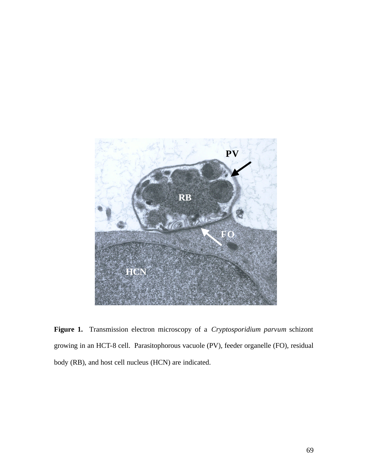

**Figure 1.** Transmission electron microscopy of a *Cryptosporidium parvum* schizont growing in an HCT-8 cell. Parasitophorous vacuole (PV), feeder organelle (FO), residual body (RB), and host cell nucleus (HCN) are indicated.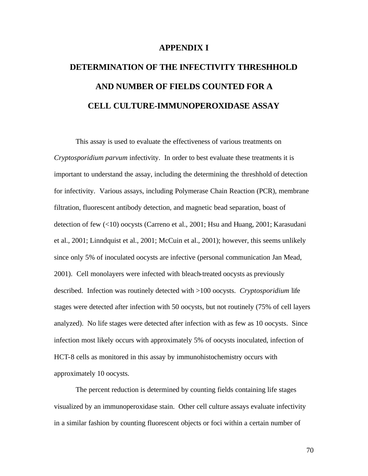#### **APPENDIX I**

# **DETERMINATION OF THE INFECTIVITY THRESHHOLD AND NUMBER OF FIELDS COUNTED FOR A CELL CULTURE-IMMUNOPEROXIDASE ASSAY**

This assay is used to evaluate the effectiveness of various treatments on *Cryptosporidium parvum* infectivity. In order to best evaluate these treatments it is important to understand the assay, including the determining the threshhold of detection for infectivity. Various assays, including Polymerase Chain Reaction (PCR), membrane filtration, fluorescent antibody detection, and magnetic bead separation, boast of detection of few (<10) oocysts (Carreno et al., 2001; Hsu and Huang, 2001; Karasudani et al., 2001; Linndquist et al., 2001; McCuin et al., 2001); however, this seems unlikely since only 5% of inoculated oocysts are infective (personal communication Jan Mead, 2001). Cell monolayers were infected with bleach-treated oocysts as previously described. Infection was routinely detected with >100 oocysts. *Cryptosporidium* life stages were detected after infection with 50 oocysts, but not routinely (75% of cell layers analyzed). No life stages were detected after infection with as few as 10 oocysts. Since infection most likely occurs with approximately 5% of oocysts inoculated, infection of HCT-8 cells as monitored in this assay by immunohistochemistry occurs with approximately 10 oocysts.

The percent reduction is determined by counting fields containing life stages visualized by an immunoperoxidase stain. Other cell culture assays evaluate infectivity in a similar fashion by counting fluorescent objects or foci within a certain number of

70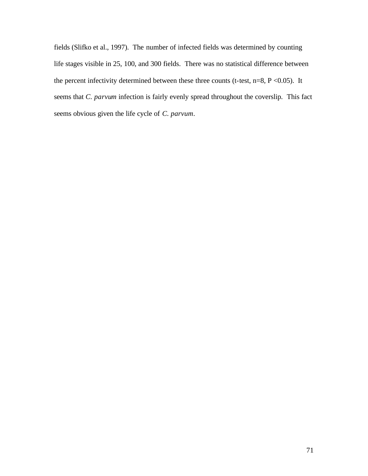fields (Slifko et al., 1997). The number of infected fields was determined by counting life stages visible in 25, 100, and 300 fields. There was no statistical difference between the percent infectivity determined between these three counts (t-test,  $n=8$ ,  $P < 0.05$ ). It seems that *C. parvum* infection is fairly evenly spread throughout the coverslip. This fact seems obvious given the life cycle of *C. parvum*.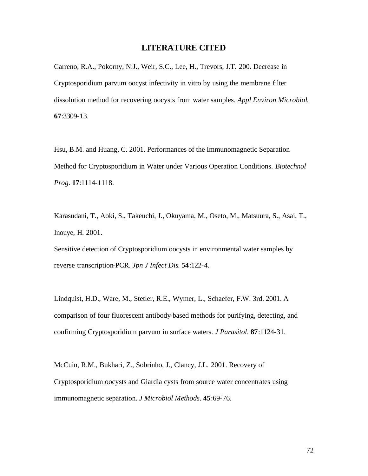#### **LITERATURE CITED**

Carreno, R.A., Pokorny, N.J., Weir, S.C., Lee, H., Trevors, J.T. 200. Decrease in Cryptosporidium parvum oocyst infectivity in vitro by using the membrane filter dissolution method for recovering oocysts from water samples. *Appl Environ Microbiol*. **67**:3309-13.

Hsu, B.M. and Huang, C. 2001. Performances of the Immunomagnetic Separation Method for Cryptosporidium in Water under Various Operation Conditions. *Biotechnol Prog*. **17**:1114-1118.

Karasudani, T., Aoki, S., Takeuchi, J., Okuyama, M., Oseto, M., Matsuura, S., Asai, T., Inouye, H. 2001.

Sensitive detection of Cryptosporidium oocysts in environmental water samples by reverse transcription-PCR. *Jpn J Infect Dis*. **54**:122-4.

Lindquist, H.D., Ware, M., Stetler, R.E., Wymer, L., Schaefer, F.W. 3rd. 2001. A comparison of four fluorescent antibody-based methods for purifying, detecting, and confirming Cryptosporidium parvum in surface waters. *J Parasitol*. **87**:1124-31.

McCuin, R.M., Bukhari, Z., Sobrinho, J., Clancy, J.L. 2001. Recovery of Cryptosporidium oocysts and Giardia cysts from source water concentrates using immunomagnetic separation. *J Microbiol Methods*. **45**:69-76.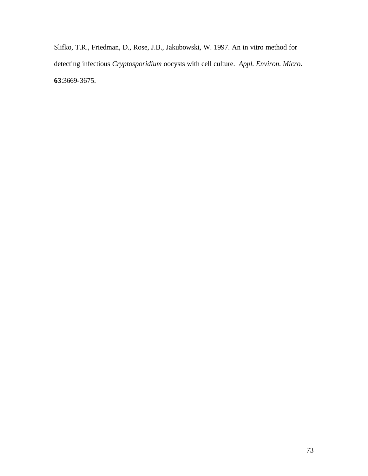Slifko, T.R., Friedman, D., Rose, J.B., Jakubowski, W. 1997. An in vitro method for detecting infectious *Cryptosporidium* oocysts with cell culture. *Appl. Environ. Micro*. **63**:3669-3675.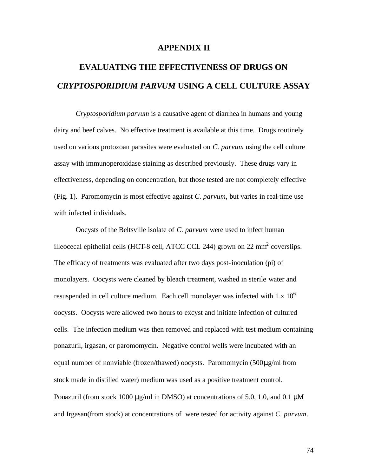#### **APPENDIX II**

# **EVALUATING THE EFFECTIVENESS OF DRUGS ON** *CRYPTOSPORIDIUM PARVUM* **USING A CELL CULTURE ASSAY**

*Cryptosporidium parvum* is a causative agent of diarrhea in humans and young dairy and beef calves. No effective treatment is available at this time. Drugs routinely used on various protozoan parasites were evaluated on *C. parvum* using the cell culture assay with immunoperoxidase staining as described previously. These drugs vary in effectiveness, depending on concentration, but those tested are not completely effective (Fig. 1). Paromomycin is most effective against *C. parvum*, but varies in real-time use with infected individuals.

Oocysts of the Beltsville isolate of *C. parvum* were used to infect human illeocecal epithelial cells (HCT-8 cell, ATCC CCL 244) grown on 22 mm<sup>2</sup> coverslips. The efficacy of treatments was evaluated after two days post-inoculation (pi) of monolayers. Oocysts were cleaned by bleach treatment, washed in sterile water and resuspended in cell culture medium. Each cell monolayer was infected with  $1 \times 10^6$ oocysts. Oocysts were allowed two hours to excyst and initiate infection of cultured cells. The infection medium was then removed and replaced with test medium containing ponazuril, irgasan, or paromomycin. Negative control wells were incubated with an equal number of nonviable (frozen/thawed) oocysts. Paromomycin (500μg/ml from stock made in distilled water) medium was used as a positive treatment control. Ponazuril (from stock 1000  $\mu$ g/ml in DMSO) at concentrations of 5.0, 1.0, and 0.1  $\mu$ M and Irgasan(from stock) at concentrations of were tested for activity against *C. parvum*.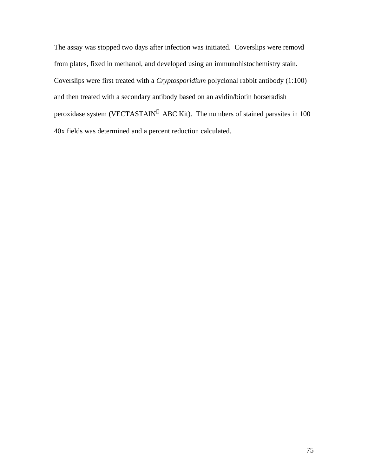The assay was stopped two days after infection was initiated. Coverslips were removd from plates, fixed in methanol, and developed using an immunohistochemistry stain. Coverslips were first treated with a *Cryptosporidium* polyclonal rabbit antibody (1:100) and then treated with a secondary antibody based on an avidin/biotin horseradish peroxidase system (VECTASTAIN<sup>®</sup> ABC Kit). The numbers of stained parasites in 100 40x fields was determined and a percent reduction calculated.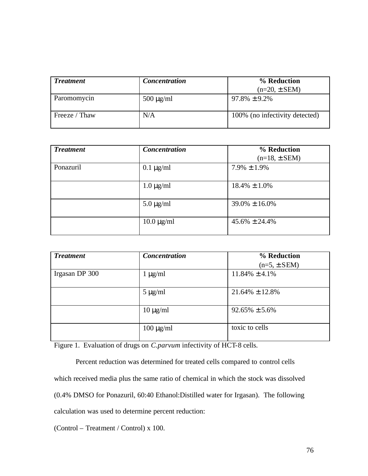| <b>Treatment</b> | <b>Concentration</b> | % Reduction                    |  |
|------------------|----------------------|--------------------------------|--|
|                  |                      | $(n=20, \pm$ SEM)              |  |
| Paromomycin      | $500 \mu g/ml$       | $97.8\% \pm 9.2\%$             |  |
| Freeze / Thaw    | N/A                  | 100% (no infectivity detected) |  |

| <b>Treatment</b> | <b>Concentration</b>       | % Reduction<br>$(n=18, \pm$ SEM) |
|------------------|----------------------------|----------------------------------|
| Ponazuril        | $0.1 \mu g/ml$             | $7.9\% \pm 1.9\%$                |
|                  | $1.0 \mu g/ml$             | $18.4\% \pm 1.0\%$               |
|                  | $5.0 \mu g/ml$             | $39.0\% \pm 16.0\%$              |
|                  | $10.0 \,\mathrm{\mu g/ml}$ | $45.6\% \pm 24.4\%$              |

| <b>Treatment</b> | <b>Concentration</b> | % Reduction          |
|------------------|----------------------|----------------------|
|                  |                      | $(n=5, \pm$ SEM)     |
| Irgasan DP 300   | $1 \mu g/ml$         | $11.84\% \pm 4.1\%$  |
|                  |                      |                      |
|                  | $5 \mu g/ml$         | $21.64\% \pm 12.8\%$ |
|                  |                      |                      |
|                  | $10 \mu g/ml$        | $92.65\% \pm 5.6\%$  |
|                  |                      |                      |
|                  | $100 \mu g/ml$       | toxic to cells       |
|                  |                      |                      |

Figure 1. Evaluation of drugs on *C.parvum* infectivity of HCT-8 cells.

Percent reduction was determined for treated cells compared to control cells which received media plus the same ratio of chemical in which the stock was dissolved (0.4% DMSO for Ponazuril, 60:40 Ethanol:Distilled water for Irgasan). The following calculation was used to determine percent reduction:

(Control – Treatment / Control) x 100.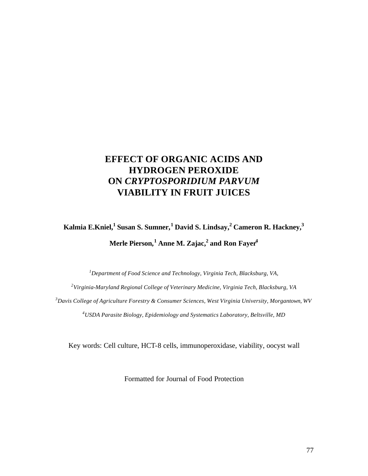## **EFFECT OF ORGANIC ACIDS AND HYDROGEN PEROXIDE ON** *CRYPTOSPORIDIUM PARVUM* **VIABILITY IN FRUIT JUICES**

# **Kalmia E.Kniel,<sup>1</sup>Susan S. Sumner,<sup>1</sup>David S. Lindsay,<sup>2</sup>Cameron R. Hackney,<sup>3</sup> Merle Pierson,<sup>1</sup>Anne M. Zajac,<sup>2</sup>and Ron Fayer<sup>4</sup>**

*<sup>1</sup>Department of Food Science and Technology, Virginia Tech, Blacksburg, VA,*

*2 Virginia-Maryland Regional College of Veterinary Medicine, Virginia Tech, Blacksburg, VA <sup>3</sup>Davis College of Agriculture Forestry & Consumer Sciences, West Virginia University, Morgantown, WV <sup>4</sup>USDA Parasite Biology, Epidemiology and Systematics Laboratory, Beltsville, MD*

Key words: Cell culture, HCT-8 cells, immunoperoxidase, viability, oocyst wall

Formatted for Journal of Food Protection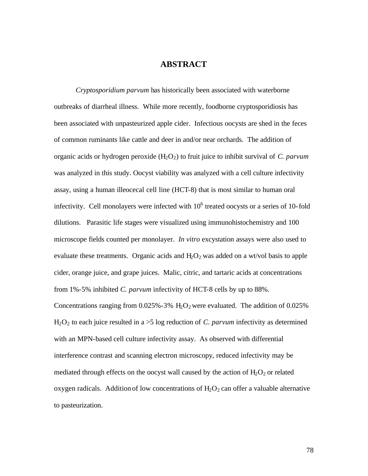### **ABSTRACT**

*Cryptosporidium parvum* has historically been associated with waterborne outbreaks of diarrheal illness. While more recently, foodborne cryptosporidiosis has been associated with unpasteurized apple cider. Infectious oocysts are shed in the feces of common ruminants like cattle and deer in and/or near orchards. The addition of organic acids or hydrogen peroxide (H<sub>2</sub>O<sub>2</sub>) to fruit juice to inhibit survival of *C. parvum* was analyzed in this study. Oocyst viability was analyzed with a cell culture infectivity assay, using a human illeocecal cell line (HCT-8) that is most similar to human oral infectivity. Cell monolayers were infected with  $10<sup>6</sup>$  treated oocysts or a series of 10-fold dilutions. Parasitic life stages were visualized using immunohistochemistry and 100 microscope fields counted per monolayer. *In vitro* excystation assays were also used to evaluate these treatments. Organic acids and  $H_2O_2$  was added on a wt/vol basis to apple cider, orange juice, and grape juices. Malic, citric, and tartaric acids at concentrations from 1%-5% inhibited *C. parvum* infectivity of HCT-8 cells by up to 88%. Concentrations ranging from  $0.025\%$  - 3% H<sub>2</sub>O<sub>2</sub> were evaluated. The addition of 0.025%  $H_2O_2$  to each juice resulted in a  $>5$  log reduction of *C. parvum* infectivity as determined with an MPN-based cell culture infectivity assay. As observed with differential interference contrast and scanning electron microscopy, reduced infectivity may be mediated through effects on the oocyst wall caused by the action of  $H_2O_2$  or related oxygen radicals. Addition of low concentrations of  $H_2O_2$  can offer a valuable alternative to pasteurization.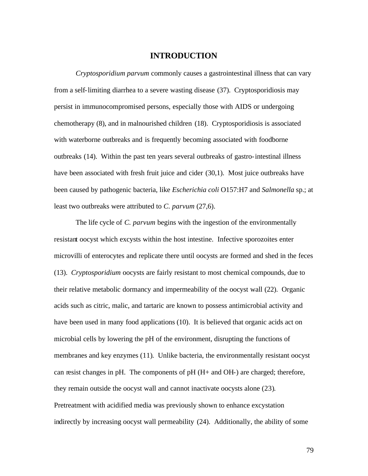#### **INTRODUCTION**

*Cryptosporidium parvum* commonly causes a gastrointestinal illness that can vary from a self-limiting diarrhea to a severe wasting disease (37). Cryptosporidiosis may persist in immunocompromised persons, especially those with AIDS or undergoing chemotherapy (8), and in malnourished children (18). Cryptosporidiosis is associated with waterborne outbreaks and is frequently becoming associated with foodborne outbreaks (14). Within the past ten years several outbreaks of gastro-intestinal illness have been associated with fresh fruit juice and cider (30,1). Most juice outbreaks have been caused by pathogenic bacteria, like *Escherichia coli* O157:H7 and *Salmonella* sp.; at least two outbreaks were attributed to *C. parvum* (27,6).

The life cycle of *C. parvum* begins with the ingestion of the environmentally resistant oocyst which excysts within the host intestine. Infective sporozoites enter microvilli of enterocytes and replicate there until oocysts are formed and shed in the feces (13). *Cryptosporidium* oocysts are fairly resistant to most chemical compounds, due to their relative metabolic dormancy and impermeability of the oocyst wall (22). Organic acids such as citric, malic, and tartaric are known to possess antimicrobial activity and have been used in many food applications (10). It is believed that organic acids act on microbial cells by lowering the pH of the environment, disrupting the functions of membranes and key enzymes (11). Unlike bacteria, the environmentally resistant oocyst can resist changes in pH. The components of  $pH$  ( $H<sub>+</sub>$  and  $OH<sub>-</sub>$ ) are charged; therefore, they remain outside the oocyst wall and cannot inactivate oocysts alone (23). Pretreatment with acidified media was previously shown to enhance excystation indirectly by increasing oocyst wall permeability (24). Additionally, the ability of some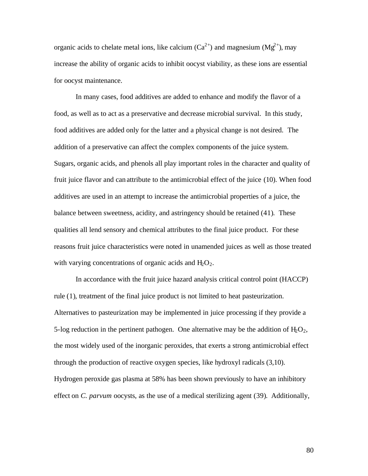organic acids to chelate metal ions, like calcium  $(Ca^{2+})$  and magnesium  $(Mg^{2+})$ , may increase the ability of organic acids to inhibit oocyst viability, as these ions are essential for oocyst maintenance.

In many cases, food additives are added to enhance and modify the flavor of a food, as well as to act as a preservative and decrease microbial survival. In this study, food additives are added only for the latter and a physical change is not desired. The addition of a preservative can affect the complex components of the juice system. Sugars, organic acids, and phenols all play important roles in the character and quality of fruit juice flavor and can attribute to the antimicrobial effect of the juice (10). When food additives are used in an attempt to increase the antimicrobial properties of a juice, the balance between sweetness, acidity, and astringency should be retained (41). These qualities all lend sensory and chemical attributes to the final juice product. For these reasons fruit juice characteristics were noted in unamended juices as well as those treated with varying concentrations of organic acids and  $H_2O_2$ .

In accordance with the fruit juice hazard analysis critical control point (HACCP) rule (1), treatment of the final juice product is not limited to heat pasteurization. Alternatives to pasteurization may be implemented in juice processing if they provide a 5-log reduction in the pertinent pathogen. One alternative may be the addition of  $H_2O_2$ , the most widely used of the inorganic peroxides, that exerts a strong antimicrobial effect through the production of reactive oxygen species, like hydroxyl radicals (3,10). Hydrogen peroxide gas plasma at 58% has been shown previously to have an inhibitory effect on *C. parvum* oocysts, as the use of a medical sterilizing agent (39). Additionally,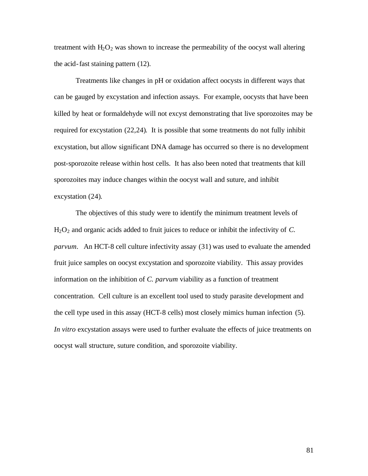treatment with  $H_2O_2$  was shown to increase the permeability of the oocyst wall altering the acid-fast staining pattern (12).

Treatments like changes in pH or oxidation affect oocysts in different ways that can be gauged by excystation and infection assays. For example, oocysts that have been killed by heat or formaldehyde will not excyst demonstrating that live sporozoites may be required for excystation (22,24). It is possible that some treatments do not fully inhibit excystation, but allow significant DNA damage has occurred so there is no development post-sporozoite release within host cells. It has also been noted that treatments that kill sporozoites may induce changes within the oocyst wall and suture, and inhibit excystation (24).

The objectives of this study were to identify the minimum treatment levels of H2O2 and organic acids added to fruit juices to reduce or inhibit the infectivity of *C. parvum*. An HCT-8 cell culture infectivity assay (31) was used to evaluate the amended fruit juice samples on oocyst excystation and sporozoite viability. This assay provides information on the inhibition of *C. parvum* viability as a function of treatment concentration. Cell culture is an excellent tool used to study parasite development and the cell type used in this assay (HCT-8 cells) most closely mimics human infection (5). *In vitro* excystation assays were used to further evaluate the effects of juice treatments on oocyst wall structure, suture condition, and sporozoite viability.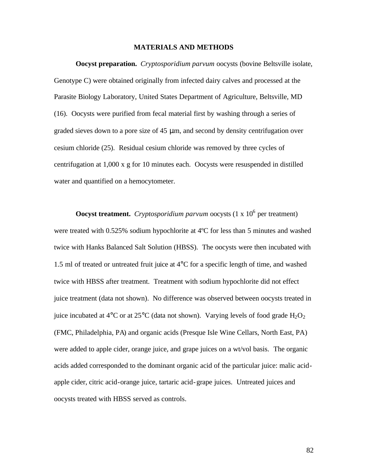#### **MATERIALS AND METHODS**

**Oocyst preparation.** *Cryptosporidium parvum* oocysts (bovine Beltsville isolate, Genotype C) were obtained originally from infected dairy calves and processed at the Parasite Biology Laboratory, United States Department of Agriculture, Beltsville, MD (16). Oocysts were purified from fecal material first by washing through a series of graded sieves down to a pore size of 45 μm, and second by density centrifugation over cesium chloride (25). Residual cesium chloride was removed by three cycles of centrifugation at 1,000 x g for 10 minutes each. Oocysts were resuspended in distilled water and quantified on a hemocytometer.

**Oocyst treatment.** Cryptosporidium parvum oocysts  $(1 \times 10^6)$  per treatment) were treated with 0.525% sodium hypochlorite at 4ºC for less than 5 minutes and washed twice with Hanks Balanced Salt Solution (HBSS). The oocysts were then incubated with 1.5 ml of treated or untreated fruit juice at 4°C for a specific length of time, and washed twice with HBSS after treatment. Treatment with sodium hypochlorite did not effect juice treatment (data not shown). No difference was observed between oocysts treated in juice incubated at 4 $\rm ^{o}C$  or at 25 $\rm ^{o}C$  (data not shown). Varying levels of food grade H<sub>2</sub>O<sub>2</sub> (FMC, Philadelphia, PA) and organic acids (Presque Isle Wine Cellars, North East, PA) were added to apple cider, orange juice, and grape juices on a wt/vol basis. The organic acids added corresponded to the dominant organic acid of the particular juice: malic acidapple cider, citric acid-orange juice, tartaric acid-grape juices. Untreated juices and oocysts treated with HBSS served as controls.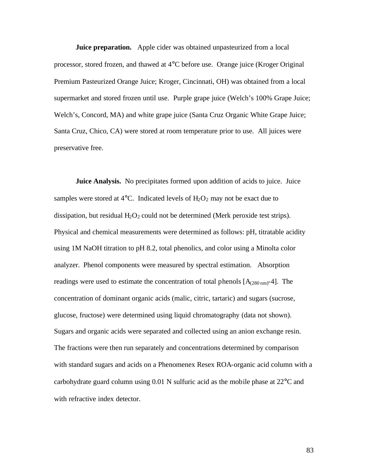**Juice preparation.** Apple cider was obtained unpasteurized from a local processor, stored frozen, and thawed at 4°C before use. Orange juice (Kroger Original Premium Pasteurized Orange Juice; Kroger, Cincinnati, OH) was obtained from a local supermarket and stored frozen until use. Purple grape juice (Welch's 100% Grape Juice; Welch's, Concord, MA) and white grape juice (Santa Cruz Organic White Grape Juice; Santa Cruz, Chico, CA) were stored at room temperature prior to use. All juices were preservative free.

**Juice Analysis.** No precipitates formed upon addition of acids to juice. Juice samples were stored at 4 $\rm ^{o}C$ . Indicated levels of H<sub>2</sub>O<sub>2</sub> may not be exact due to dissipation, but residual  $H_2O_2$  could not be determined (Merk peroxide test strips). Physical and chemical measurements were determined as follows: pH, titratable acidity using 1M NaOH titration to pH 8.2, total phenolics, and color using a Minolta color analyzer. Phenol components were measured by spectral estimation. Absorption readings were used to estimate the concentration of total phenols  $[A_{(280 \text{ nm})}$ -4]. The concentration of dominant organic acids (malic, citric, tartaric) and sugars (sucrose, glucose, fructose) were determined using liquid chromatography (data not shown). Sugars and organic acids were separated and collected using an anion exchange resin. The fractions were then run separately and concentrations determined by comparison with standard sugars and acids on a Phenomenex Resex ROA-organic acid column with a carbohydrate guard column using 0.01 N sulfuric acid as the mobile phase at 22°C and with refractive index detector.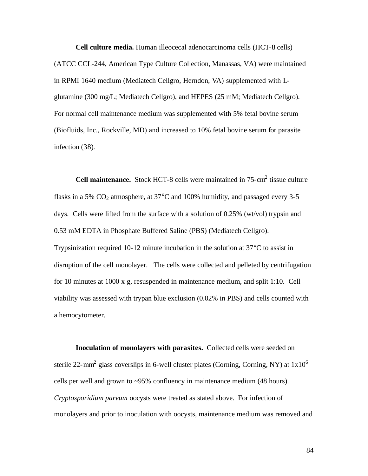**Cell culture media.** Human illeocecal adenocarcinoma cells (HCT-8 cells) (ATCC CCL-244, American Type Culture Collection, Manassas, VA) were maintained in RPMI 1640 medium (Mediatech Cellgro, Herndon, VA) supplemented with Lglutamine (300 mg/L; Mediatech Cellgro), and HEPES (25 mM; Mediatech Cellgro). For normal cell maintenance medium was supplemented with 5% fetal bovine serum (Biofluids, Inc., Rockville, MD) and increased to 10% fetal bovine serum for parasite infection (38).

**Cell maintenance.** Stock HCT-8 cells were maintained in 75-cm<sup>2</sup> tissue culture flasks in a 5%  $CO<sub>2</sub>$  atmosphere, at 37 $\degree$ C and 100% humidity, and passaged every 3-5 days. Cells were lifted from the surface with a solution of 0.25% (wt/vol) trypsin and 0.53 mM EDTA in Phosphate Buffered Saline (PBS) (Mediatech Cellgro). Trypsinization required 10-12 minute incubation in the solution at 37°C to assist in disruption of the cell monolayer. The cells were collected and pelleted by centrifugation for 10 minutes at 1000 x g, resuspended in maintenance medium, and split 1:10. Cell viability was assessed with trypan blue exclusion (0.02% in PBS) and cells counted with a hemocytometer.

**Inoculation of monolayers with parasites.** Collected cells were seeded on sterile 22-mm<sup>2</sup> glass coverslips in 6-well cluster plates (Corning, Corning, NY) at  $1x10^6$ cells per well and grown to ~95% confluency in maintenance medium (48 hours). *Cryptosporidium parvum* oocysts were treated as stated above. For infection of monolayers and prior to inoculation with oocysts, maintenance medium was removed and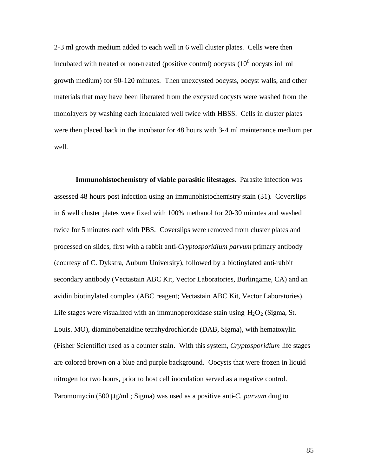2-3 ml growth medium added to each well in 6 well cluster plates. Cells were then incubated with treated or non-treated (positive control) oocysts  $(10^6$  oocysts in1 ml growth medium) for 90-120 minutes. Then unexcysted oocysts, oocyst walls, and other materials that may have been liberated from the excysted oocysts were washed from the monolayers by washing each inoculated well twice with HBSS. Cells in cluster plates were then placed back in the incubator for 48 hours with 3-4 ml maintenance medium per well.

**Immunohistochemistry of viable parasitic lifestages.** Parasite infection was assessed 48 hours post infection using an immunohistochemistry stain (31). Coverslips in 6 well cluster plates were fixed with 100% methanol for 20-30 minutes and washed twice for 5 minutes each with PBS. Coverslips were removed from cluster plates and processed on slides, first with a rabbit anti-*Cryptosporidium parvum* primary antibody (courtesy of C. Dykstra, Auburn University), followed by a biotinylated anti-rabbit secondary antibody (Vectastain ABC Kit, Vector Laboratories, Burlingame, CA) and an avidin biotinylated complex (ABC reagent; Vectastain ABC Kit, Vector Laboratories). Life stages were visualized with an immunoperoxidase stain using  $H_2O_2$  (Sigma, St. Louis. MO), diaminobenzidine tetrahydrochloride (DAB, Sigma), with hematoxylin (Fisher Scientific) used as a counter stain. With this system, *Cryptosporidium* life stages are colored brown on a blue and purple background. Oocysts that were frozen in liquid nitrogen for two hours, prior to host cell inoculation served as a negative control. Paromomycin (500 μg/ml ; Sigma) was used as a positive anti-*C. parvum* drug to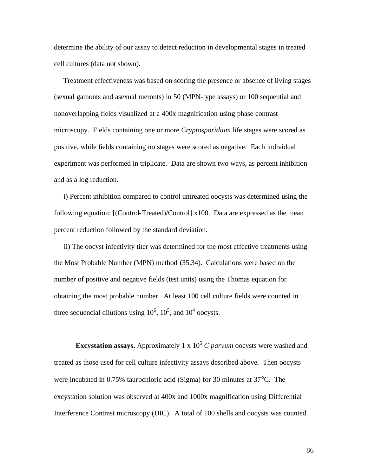determine the ability of our assay to detect reduction in developmental stages in treated cell cultures (data not shown).

 Treatment effectiveness was based on scoring the presence or absence of living stages (sexual gamonts and asexual meronts) in 50 (MPN-type assays) or 100 sequential and nonoverlapping fields visualized at a 400x magnification using phase contrast microscopy. Fields containing one or more *Cryptosporidium* life stages were scored as positive, while fields containing no stages were scored as negative. Each individual experiment was performed in triplicate. Data are shown two ways, as percent inhibition and as a log reduction.

 i) Percent inhibition compared to control untreated oocysts was determined using the following equation: [(Control-Treated)/Control] x100. Data are expressed as the mean percent reduction followed by the standard deviation.

 ii) The oocyst infectivity titer was determined for the most effective treatments using the Most Probable Number (MPN) method (35,34). Calculations were based on the number of positive and negative fields (test units) using the Thomas equation for obtaining the most probable number. At least 100 cell culture fields were counted in three sequencial dilutions using  $10^6$ ,  $10^5$ , and  $10^4$  oocysts.

**Excystation assays.** Approximately 1 x  $10<sup>5</sup>$  C parvum occysts were washed and treated as those used for cell culture infectivity assays described above. Then oocysts were incubated in 0.75% taurochloric acid (Sigma) for 30 minutes at 37°C. The excystation solution was observed at 400x and 1000x magnification using Differential Interference Contrast microscopy (DIC). A total of 100 shells and oocysts was counted.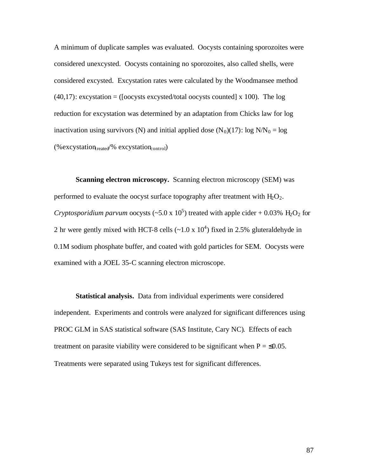A minimum of duplicate samples was evaluated. Oocysts containing sporozoites were considered unexcysted. Oocysts containing no sporozoites, also called shells, were considered excysted. Excystation rates were calculated by the Woodmansee method  $(40,17)$ : excystation = ([oocysts excysted/total oocysts counted] x 100). The log reduction for excystation was determined by an adaptation from Chicks law for log inactivation using survivors (N) and initial applied dose  $(N_0)(17)$ : log  $N/N_0 = \log$  $(\%$ excystation<sub>treated</sub>/% excystation<sub>control</sub>)

**Scanning electron microscopy.** Scanning electron microscopy (SEM) was performed to evaluate the oocyst surface topography after treatment with  $H_2O_2$ . *Cryptosporidium parvum* oocysts (~5.0 x  $10^5$ ) treated with apple cider + 0.03% H<sub>2</sub>O<sub>2</sub> for 2 hr were gently mixed with HCT-8 cells  $(-1.0 \times 10^4)$  fixed in 2.5% gluteraldehyde in 0.1M sodium phosphate buffer, and coated with gold particles for SEM. Oocysts were examined with a JOEL 35-C scanning electron microscope.

**Statistical analysis.** Data from individual experiments were considered independent. Experiments and controls were analyzed for significant differences using PROC GLM in SAS statistical software (SAS Institute, Cary NC). Effects of each treatment on parasite viability were considered to be significant when  $P = \leq 0.05$ . Treatments were separated using Tukeys test for significant differences.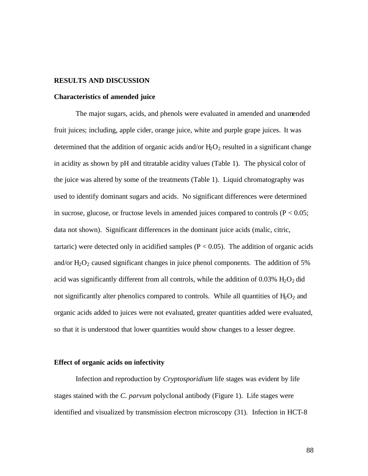#### **RESULTS AND DISCUSSION**

#### **Characteristics of amended juice**

The major sugars, acids, and phenols were evaluated in amended and unamended fruit juices; including, apple cider, orange juice, white and purple grape juices. It was determined that the addition of organic acids and/or  $H_2O_2$  resulted in a significant change in acidity as shown by pH and titratable acidity values (Table 1). The physical color of the juice was altered by some of the treatments (Table 1). Liquid chromatography was used to identify dominant sugars and acids. No significant differences were determined in sucrose, glucose, or fructose levels in amended juices compared to controls ( $P < 0.05$ ; data not shown). Significant differences in the dominant juice acids (malic, citric, tartaric) were detected only in acidified samples ( $P < 0.05$ ). The addition of organic acids and/or  $H_2O_2$  caused significant changes in juice phenol components. The addition of 5% acid was significantly different from all controls, while the addition of 0.03%  $H_2O_2$  did not significantly alter phenolics compared to controls. While all quantities of  $H_2O_2$  and organic acids added to juices were not evaluated, greater quantities added were evaluated, so that it is understood that lower quantities would show changes to a lesser degree.

#### **Effect of organic acids on infectivity**

Infection and reproduction by *Cryptosporidium* life stages was evident by life stages stained with the *C. parvum* polyclonal antibody (Figure 1). Life stages were identified and visualized by transmission electron microscopy (31). Infection in HCT-8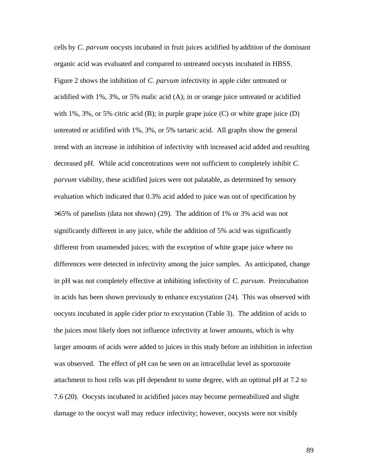cells by *C. parvum* oocysts incubated in fruit juices acidified by addition of the dominant organic acid was evaluated and compared to untreated oocysts incubated in HBSS. Figure 2 shows the inhibition of *C. parvum* infectivity in apple cider untreated or acidified with 1%, 3%, or 5% malic acid (A); in or orange juice untreated or acidified with 1%, 3%, or 5% citric acid (B); in purple grape juice (C) or white grape juice (D) untreated or acidified with 1%, 3%, or 5% tartaric acid. All graphs show the general trend with an increase in inhibition of infectivity with increased acid added and resulting decreased pH. While acid concentrations were not sufficient to completely inhibit *C. parvum* viability, these acidified juices were not palatable, as determined by sensory evaluation which indicated that 0.3% acid added to juice was out of specification by >65% of panelists (data not shown) (29). The addition of 1% or 3% acid was not significantly different in any juice, while the addition of 5% acid was significantly different from unamended juices; with the exception of white grape juice where no differences were detected in infectivity among the juice samples. As anticipated, change in pH was not completely effective at inhibiting infectivity of *C. parvum*. Preincubation in acids has been shown previously to enhance excystation (24). This was observed with oocysts incubated in apple cider prior to excystation (Table 3). The addition of acids to the juices most likely does not influence infectivity at lower amounts, which is why larger amounts of acids were added to juices in this study before an inhibition in infection was observed. The effect of pH can be seen on an intracellular level as sporozoite attachment to host cells was pH dependent to some degree, with an optimal pH at 7.2 to 7.6 (20). Oocysts incubated in acidified juices may become permeabilized and slight damage to the oocyst wall may reduce infectivity; however, oocysts were not visibly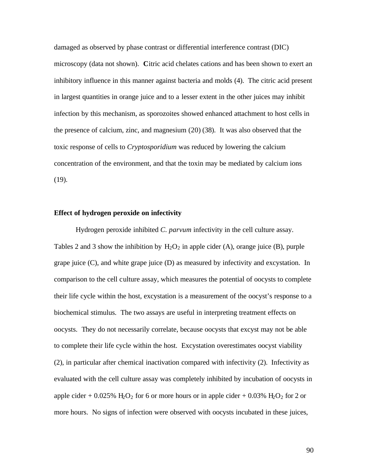damaged as observed by phase contrast or differential interference contrast (DIC) microscopy (data not shown). **C**itric acid chelates cations and has been shown to exert an inhibitory influence in this manner against bacteria and molds (4). The citric acid present in largest quantities in orange juice and to a lesser extent in the other juices may inhibit infection by this mechanism, as sporozoites showed enhanced attachment to host cells in the presence of calcium, zinc, and magnesium (20) (38). It was also observed that the toxic response of cells to *Cryptosporidium* was reduced by lowering the calcium concentration of the environment, and that the toxin may be mediated by calcium ions (19).

#### **Effect of hydrogen peroxide on infectivity**

Hydrogen peroxide inhibited *C. parvum* infectivity in the cell culture assay. Tables 2 and 3 show the inhibition by  $H_2O_2$  in apple cider (A), orange juice (B), purple grape juice (C), and white grape juice (D) as measured by infectivity and excystation. In comparison to the cell culture assay, which measures the potential of oocysts to complete their life cycle within the host, excystation is a measurement of the oocyst's response to a biochemical stimulus. The two assays are useful in interpreting treatment effects on oocysts. They do not necessarily correlate, because oocysts that excyst may not be able to complete their life cycle within the host. Excystation overestimates oocyst viability (2), in particular after chemical inactivation compared with infectivity (2). Infectivity as evaluated with the cell culture assay was completely inhibited by incubation of oocysts in apple cider +  $0.025\%$  H<sub>2</sub>O<sub>2</sub> for 6 or more hours or in apple cider + 0.03% H<sub>2</sub>O<sub>2</sub> for 2 or more hours. No signs of infection were observed with oocysts incubated in these juices,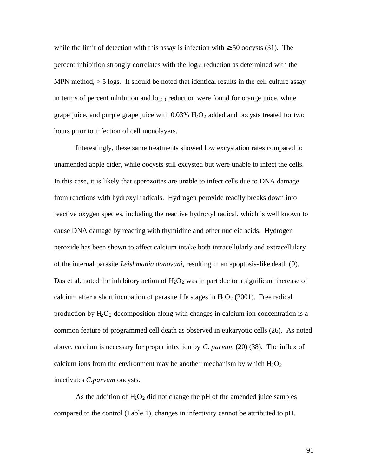while the limit of detection with this assay is infection with  $\geq$  50 oocysts (31). The percent inhibition strongly correlates with the  $log_{10}$  reduction as determined with the MPN method,  $> 5$  logs. It should be noted that identical results in the cell culture assay in terms of percent inhibition and  $log_{10}$  reduction were found for orange juice, white grape juice, and purple grape juice with  $0.03\%$  H<sub>2</sub>O<sub>2</sub> added and oocysts treated for two hours prior to infection of cell monolayers.

Interestingly, these same treatments showed low excystation rates compared to unamended apple cider, while oocysts still excysted but were unable to infect the cells. In this case, it is likely that sporozoites are unable to infect cells due to DNA damage from reactions with hydroxyl radicals. Hydrogen peroxide readily breaks down into reactive oxygen species, including the reactive hydroxyl radical, which is well known to cause DNA damage by reacting with thymidine and other nucleic acids. Hydrogen peroxide has been shown to affect calcium intake both intracellularly and extracellulary of the internal parasite *Leishmania donovani*, resulting in an apoptosis-like death (9). Das et al. noted the inhibitory action of  $H_2O_2$  was in part due to a significant increase of calcium after a short incubation of parasite life stages in  $H_2O_2$  (2001). Free radical production by  $H_2O_2$  decomposition along with changes in calcium ion concentration is a common feature of programmed cell death as observed in eukaryotic cells (26). As noted above, calcium is necessary for proper infection by *C. parvum* (20) (38). The influx of calcium ions from the environment may be another mechanism by which  $H_2O_2$ inactivates *C.parvum* oocysts.

As the addition of  $H_2O_2$  did not change the pH of the amended juice samples compared to the control (Table 1), changes in infectivity cannot be attributed to pH.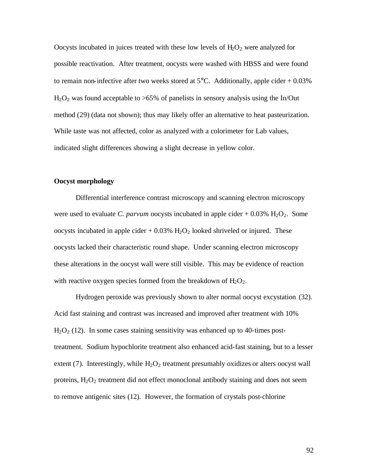Oocysts incubated in juices treated with these low levels of  $H_2O_2$  were analyzed for possible reactivation. After treatment, oocysts were washed with HBSS and were found to remain non-infective after two weeks stored at  $5^{\circ}$ C. Additionally, apple cider + 0.03%  $H_2O_2$  was found acceptable to  $>65\%$  of panelists in sensory analysis using the In/Out method (29) (data not shown); thus may likely offer an alternative to heat pasteurization. While taste was not affected, color as analyzed with a colorimeter for Lab values, indicated slight differences showing a slight decrease in yellow color.

#### **Oocyst morphology**

Differential interference contrast microscopy and scanning electron microscopy were used to evaluate *C. parvum* oocysts incubated in apple cider  $+ 0.03\%$  H<sub>2</sub>O<sub>2</sub>. Some oocysts incubated in apple cider  $+ 0.03\%$  H<sub>2</sub>O<sub>2</sub> looked shriveled or injured. These oocysts lacked their characteristic round shape. Under scanning electron microscopy these alterations in the oocyst wall were still visible. This may be evidence of reaction with reactive oxygen species formed from the breakdown of  $H_2O_2$ .

Hydrogen peroxide was previously shown to alter normal oocyst excystation (32). Acid fast staining and contrast was increased and improved after treatment with 10%  $H<sub>2</sub>O<sub>2</sub>$  (12). In some cases staining sensitivity was enhanced up to 40-times posttreatment. Sodium hypochlorite treatment also enhanced acid-fast staining, but to a lesser extent (7). Interestingly, while  $H_2O_2$  treatment presumably oxidizes or alters oocyst wall proteins,  $H_2O_2$  treatment did not effect monoclonal antibody staining and does not seem to remove antigenic sites (12). However, the formation of crystals post-chlorine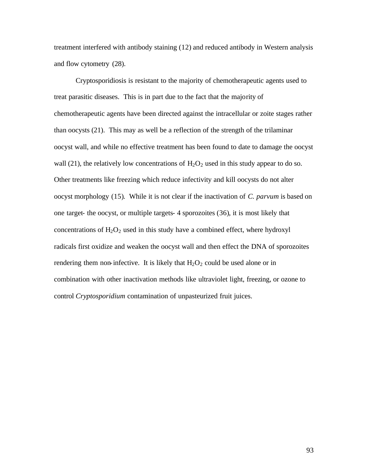treatment interfered with antibody staining (12) and reduced antibody in Western analysis and flow cytometry (28).

Cryptosporidiosis is resistant to the majority of chemotherapeutic agents used to treat parasitic diseases. This is in part due to the fact that the majority of chemotherapeutic agents have been directed against the intracellular or zoite stages rather than oocysts (21). This may as well be a reflection of the strength of the trilaminar oocyst wall, and while no effective treatment has been found to date to damage the oocyst wall (21), the relatively low concentrations of  $H_2O_2$  used in this study appear to do so. Other treatments like freezing which reduce infectivity and kill oocysts do not alter oocyst morphology (15). While it is not clear if the inactivation of *C. parvum* is based on one target- the oocyst, or multiple targets- 4 sporozoites (36), it is most likely that concentrations of  $H_2O_2$  used in this study have a combined effect, where hydroxyl radicals first oxidize and weaken the oocyst wall and then effect the DNA of sporozoites rendering them non-infective. It is likely that  $H_2O_2$  could be used alone or in combination with other inactivation methods like ultraviolet light, freezing, or ozone to control *Cryptosporidium* contamination of unpasteurized fruit juices.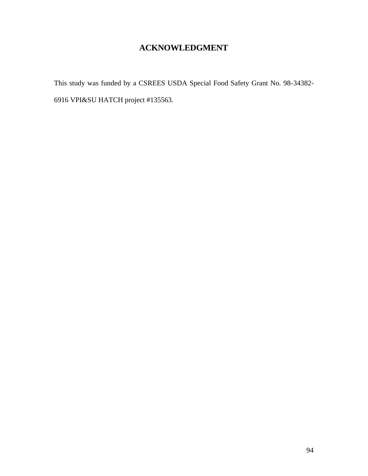## **ACKNOWLEDGMENT**

This study was funded by a CSREES USDA Special Food Safety Grant No. 98-34382- 6916 VPI&SU HATCH project #135563.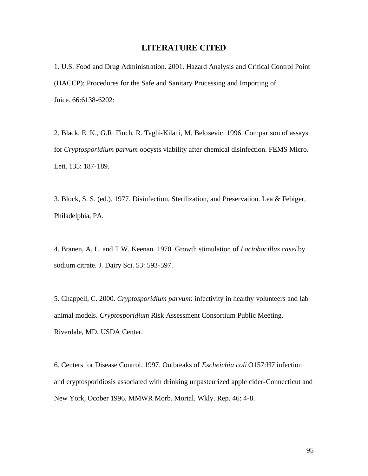### **LITERATURE CITED**

1. U.S. Food and Drug Administration. 2001. Hazard Analysis and Critical Control Point (HACCP); Procedures for the Safe and Sanitary Processing and Importing of Juice. 66:6138-6202:

2. Black, E. K., G.R. Finch, R. Taghi-Kilani, M. Belosevic. 1996. Comparison of assays for *Cryptosporidium parvum* oocysts viability after chemical disinfection. FEMS Micro. Lett. 135: 187-189.

3. Block, S. S. (ed.). 1977. Disinfection, Sterilization, and Preservation. Lea & Febiger, Philadelphia, PA.

4. Branen, A. L. and T.W. Keenan. 1970. Growth stimulation of *Lactobacillus casei* by sodium citrate. J. Dairy Sci. 53: 593-597.

5. Chappell, C. 2000. *Cryptosporidium parvum*: infectivity in healthy volunteers and lab animal models. *Cryptosporidium* Risk Assessment Consortium Public Meeting. Riverdale, MD, USDA Center.

6. Centers for Disease Control. 1997. Outbreaks of *Escheichia coli* O157:H7 infection and cryptosporidiosis associated with drinking unpasteurized apple cider-Connecticut and New York, Ocober 1996. MMWR Morb. Mortal. Wkly. Rep. 46: 4-8.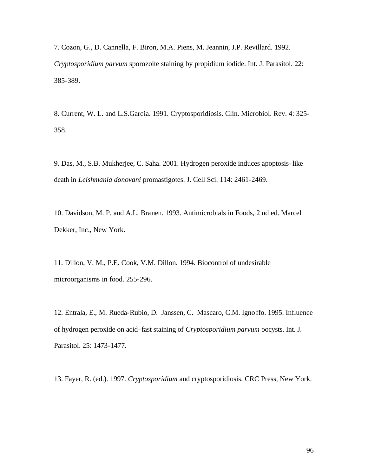7. Cozon, G., D. Cannella, F. Biron, M.A. Piens, M. Jeannin, J.P. Revillard. 1992. *Cryptosporidium parvum* sporozoite staining by propidium iodide. Int. J. Parasitol. 22: 385-389.

8. Current, W. L. and L.S.Garcia. 1991. Cryptosporidiosis. Clin. Microbiol. Rev. 4: 325- 358.

9. Das, M., S.B. Mukherjee, C. Saha. 2001. Hydrogen peroxide induces apoptosis-like death in *Leishmania donovani* promastigotes. J. Cell Sci. 114: 2461-2469.

10. Davidson, M. P. and A.L. Branen. 1993. Antimicrobials in Foods, 2 nd ed. Marcel Dekker, Inc., New York.

11. Dillon, V. M., P.E. Cook, V.M. Dillon. 1994. Biocontrol of undesirable microorganisms in food. 255-296.

12. Entrala, E., M. Rueda-Rubio, D. Janssen, C. Mascaro, C.M. Ignoffo. 1995. Influence of hydrogen peroxide on acid-fast staining of *Cryptosporidium parvum* oocysts. Int. J. Parasitol. 25: 1473-1477.

13. Fayer, R. (ed.). 1997. *Cryptosporidium* and cryptosporidiosis. CRC Press, New York.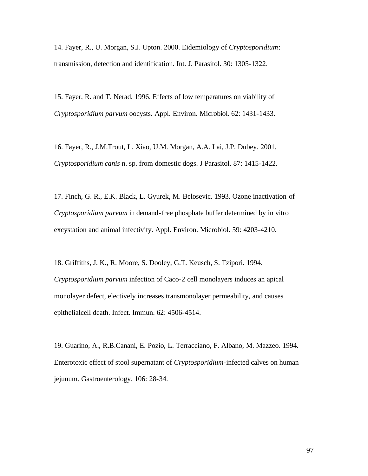14. Fayer, R., U. Morgan, S.J. Upton. 2000. Eidemiology of *Cryptosporidium*: transmission, detection and identification. Int. J. Parasitol. 30: 1305-1322.

15. Fayer, R. and T. Nerad. 1996. Effects of low temperatures on viability of *Cryptosporidium parvum* oocysts. Appl. Environ. Microbiol. 62: 1431-1433.

16. Fayer, R., J.M.Trout, L. Xiao, U.M. Morgan, A.A. Lai, J.P. Dubey. 2001. *Cryptosporidium canis* n. sp. from domestic dogs. J Parasitol. 87: 1415-1422.

17. Finch, G. R., E.K. Black, L. Gyurek, M. Belosevic. 1993. Ozone inactivation of *Cryptosporidium parvum* in demand-free phosphate buffer determined by in vitro excystation and animal infectivity. Appl. Environ. Microbiol. 59: 4203-4210.

18. Griffiths, J. K., R. Moore, S. Dooley, G.T. Keusch, S. Tzipori. 1994. *Cryptosporidium parvum* infection of Caco-2 cell monolayers induces an apical monolayer defect, electively increases transmonolayer permeability, and causes epithelialcell death. Infect. Immun. 62: 4506-4514.

19. Guarino, A., R.B.Canani, E. Pozio, L. Terracciano, F. Albano, M. Mazzeo. 1994. Enterotoxic effect of stool supernatant of *Cryptosporidium*-infected calves on human jejunum. Gastroenterology. 106: 28-34.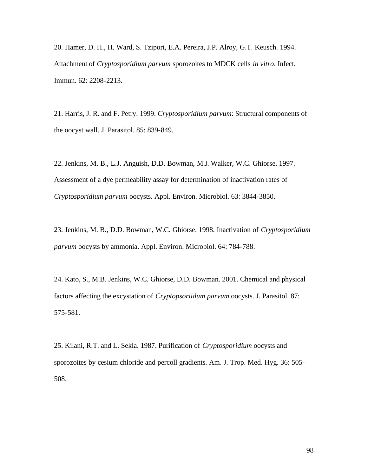20. Hamer, D. H., H. Ward, S. Tzipori, E.A. Pereira, J.P. Alroy, G.T. Keusch. 1994. Attachment of *Cryptosporidium parvum* sporozoites to MDCK cells *in vitro*. Infect. Immun. 62: 2208-2213.

21. Harris, J. R. and F. Petry. 1999. *Cryptosporidium parvum*: Structural components of the oocyst wall. J. Parasitol. 85: 839-849.

22. Jenkins, M. B., L.J. Anguish, D.D. Bowman, M.J. Walker, W.C. Ghiorse. 1997. Assessment of a dye permeability assay for determination of inactivation rates of *Cryptosporidium parvum* oocysts. Appl. Environ. Microbiol. 63: 3844-3850.

23. Jenkins, M. B., D.D. Bowman, W.C. Ghiorse. 1998. Inactivation of *Cryptosporidium parvum* oocysts by ammonia. Appl. Environ. Microbiol. 64: 784-788.

24. Kato, S., M.B. Jenkins, W.C. Ghiorse, D.D. Bowman. 2001. Chemical and physical factors affecting the excystation of *Cryptopsoriidum parvum* oocysts. J. Parasitol. 87: 575-581.

25. Kilani, R.T. and L. Sekla. 1987. Purification of *Cryptosporidium* oocysts and sporozoites by cesium chloride and percoll gradients. Am. J. Trop. Med. Hyg. 36: 505- 508.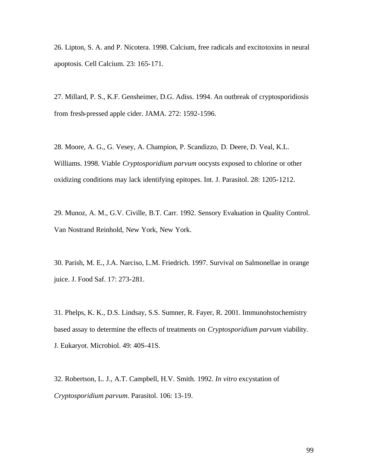26. Lipton, S. A. and P. Nicotera. 1998. Calcium, free radicals and excitotoxins in neural apoptosis. Cell Calcium. 23: 165-171.

27. Millard, P. S., K.F. Gensheimer, D.G. Adiss. 1994. An outbreak of cryptosporidiosis from fresh-pressed apple cider. JAMA. 272: 1592-1596.

28. Moore, A. G., G. Vesey, A. Champion, P. Scandizzo, D. Deere, D. Veal, K.L. Williams. 1998. Viable *Cryptosporidium parvum* oocysts exposed to chlorine or other oxidizing conditions may lack identifying epitopes. Int. J. Parasitol. 28: 1205-1212.

29. Munoz, A. M., G.V. Civille, B.T. Carr. 1992. Sensory Evaluation in Quality Control. Van Nostrand Reinhold, New York, New York.

30. Parish, M. E., J.A. Narciso, L.M. Friedrich. 1997. Survival on Salmonellae in orange juice. J. Food Saf. 17: 273-281.

31. Phelps, K. K., D.S. Lindsay, S.S. Sumner, R. Fayer, R. 2001. Immunohstochemistry based assay to determine the effects of treatments on *Cryptosporidium parvum* viability. J. Eukaryot. Microbiol. 49: 40S-41S.

32. Robertson, L. J., A.T. Campbell, H.V. Smith. 1992. *In vitro* excystation of *Cryptosporidium parvum*. Parasitol. 106: 13-19.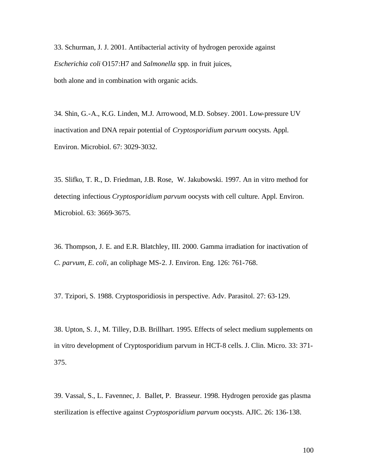33. Schurman, J. J. 2001. Antibacterial activity of hydrogen peroxide against *Escherichia coli* O157:H7 and *Salmonella* spp. in fruit juices, both alone and in combination with organic acids.

34. Shin, G.-A., K.G. Linden, M.J. Arrowood, M.D. Sobsey. 2001. Low-pressure UV inactivation and DNA repair potential of *Cryptosporidium parvum* oocysts. Appl. Environ. Microbiol. 67: 3029-3032.

35. Slifko, T. R., D. Friedman, J.B. Rose, W. Jakubowski. 1997. An in vitro method for detecting infectious *Cryptosporidium parvum* oocysts with cell culture. Appl. Environ. Microbiol. 63: 3669-3675.

36. Thompson, J. E. and E.R. Blatchley, III. 2000. Gamma irradiation for inactivation of *C. parvum, E. coli,* an coliphage MS-2. J. Environ. Eng. 126: 761-768.

37. Tzipori, S. 1988. Cryptosporidiosis in perspective. Adv. Parasitol. 27: 63-129.

38. Upton, S. J., M. Tilley, D.B. Brillhart. 1995. Effects of select medium supplements on in vitro development of Cryptosporidium parvum in HCT-8 cells. J. Clin. Micro. 33: 371- 375.

39. Vassal, S., L. Favennec, J. Ballet, P. Brasseur. 1998. Hydrogen peroxide gas plasma sterilization is effective against *Cryptosporidium parvum* oocysts. AJIC. 26: 136-138.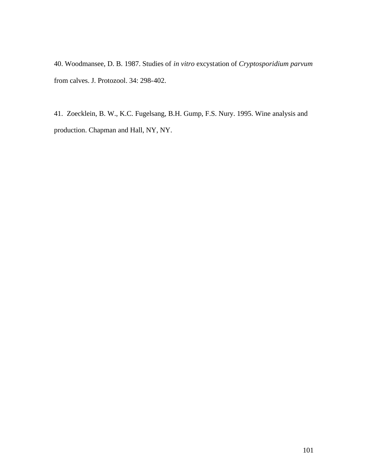40. Woodmansee, D. B. 1987. Studies of *in vitro* excystation of *Cryptosporidium parvum* from calves. J. Protozool. 34: 298-402.

41. Zoecklein, B. W., K.C. Fugelsang, B.H. Gump, F.S. Nury. 1995. Wine analysis and production. Chapman and Hall, NY, NY.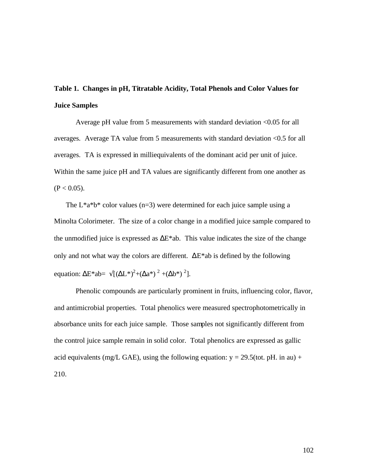## **Table 1. Changes in pH, Titratable Acidity, Total Phenols and Color Values for Juice Samples**

Average pH value from 5 measurements with standard deviation <0.05 for all averages. Average TA value from 5 measurements with standard deviation <0.5 for all averages. TA is expressed in milliequivalents of the dominant acid per unit of juice. Within the same juice pH and TA values are significantly different from one another as  $(P < 0.05)$ .

The  $L^*a^*b^*$  color values (n=3) were determined for each juice sample using a Minolta Colorimeter. The size of a color change in a modified juice sample compared to the unmodified juice is expressed as  $\Delta E^*$ ab. This value indicates the size of the change only and not what way the colors are different.  $\Delta E^*$ ab is defined by the following equation:  $\Delta E^*$ ab=  $\sqrt{[(\Delta L^*)^2+(\Delta a^*)^2+(\Delta b^*)^2]}$ .

Phenolic compounds are particularly prominent in fruits, influencing color, flavor, and antimicrobial properties. Total phenolics were measured spectrophotometrically in absorbance units for each juice sample. Those samples not significantly different from the control juice sample remain in solid color. Total phenolics are expressed as gallic acid equivalents (mg/L GAE), using the following equation:  $y = 29.5$ (tot. pH. in au) + 210.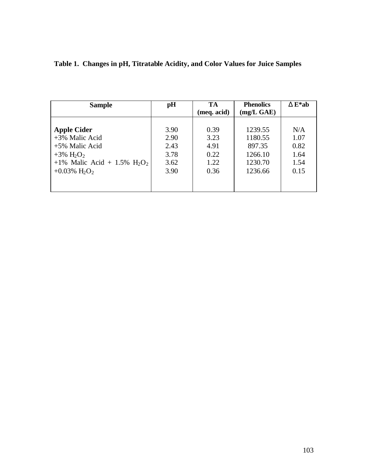| <b>Sample</b>                        | pH   | TA<br>(meq. acid) | <b>Phenolics</b><br>$(mg/L \text{ GAE})$ | $D E^* ab$ |
|--------------------------------------|------|-------------------|------------------------------------------|------------|
| <b>Apple Cider</b>                   | 3.90 | 0.39              | 1239.55                                  | N/A        |
| $+3\%$ Malic Acid                    | 2.90 | 3.23              | 1180.55                                  | 1.07       |
| +5% Malic Acid                       | 2.43 | 4.91              | 897.35                                   | 0.82       |
| $+3\%$ H <sub>2</sub> O <sub>2</sub> | 3.78 | 0.22              | 1266.10                                  | 1.64       |
| +1% Malic Acid + 1.5% $H_2O_2$       | 3.62 | 1.22              | 1230.70                                  | 1.54       |
| +0.03% $H_2O_2$                      | 3.90 | 0.36              | 1236.66                                  | 0.15       |

| Table 1. Changes in pH, Titratable Acidity, and Color Values for Juice Samples |  |  |  |  |
|--------------------------------------------------------------------------------|--|--|--|--|
|                                                                                |  |  |  |  |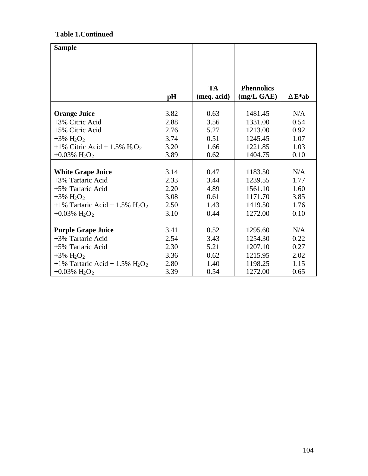## **Table 1.Continued**

| <b>Sample</b>                        |      |             |                   |            |
|--------------------------------------|------|-------------|-------------------|------------|
|                                      |      |             |                   |            |
|                                      |      |             |                   |            |
|                                      |      |             |                   |            |
|                                      |      | <b>TA</b>   | <b>Phennolics</b> |            |
|                                      | pH   | (meq. acid) | (mg/L GAE)        | $D E^* ab$ |
|                                      |      |             |                   |            |
| <b>Orange Juice</b>                  | 3.82 | 0.63        | 1481.45           | N/A        |
| +3% Citric Acid                      | 2.88 | 3.56        | 1331.00           | 0.54       |
| +5% Citric Acid                      | 2.76 | 5.27        | 1213.00           | 0.92       |
| +3% $H_2O_2$                         | 3.74 | 0.51        | 1245.45           | 1.07       |
| +1% Citric Acid + 1.5% $H_2O_2$      | 3.20 | 1.66        | 1221.85           | 1.03       |
| +0.03% $H_2O_2$                      | 3.89 | 0.62        | 1404.75           | 0.10       |
|                                      |      |             |                   |            |
| <b>White Grape Juice</b>             | 3.14 | 0.47        | 1183.50           | N/A        |
| +3% Tartaric Acid                    | 2.33 | 3.44        | 1239.55           | 1.77       |
| +5% Tartaric Acid                    | 2.20 | 4.89        | 1561.10           | 1.60       |
| $+3\%$ H <sub>2</sub> O <sub>2</sub> | 3.08 | 0.61        | 1171.70           | 3.85       |
| +1% Tartaric Acid + 1.5% $H_2O_2$    | 2.50 | 1.43        | 1419.50           | 1.76       |
| +0.03% $H_2O_2$                      | 3.10 | 0.44        | 1272.00           | 0.10       |
|                                      |      |             |                   |            |
| <b>Purple Grape Juice</b>            | 3.41 | 0.52        | 1295.60           | N/A        |
| +3% Tartaric Acid                    | 2.54 | 3.43        | 1254.30           | 0.22       |
| +5% Tartaric Acid                    | 2.30 | 5.21        | 1207.10           | 0.27       |
| $+3\%$ H <sub>2</sub> O <sub>2</sub> | 3.36 | 0.62        | 1215.95           | 2.02       |
| +1% Tartaric Acid + 1.5% $H_2O_2$    | 2.80 | 1.40        | 1198.25           | 1.15       |
| +0.03% $H_2O_2$                      | 3.39 | 0.54        | 1272.00           | 0.65       |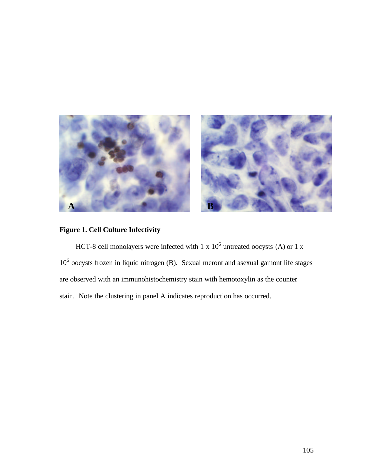

## **Figure 1. Cell Culture Infectivity**

HCT-8 cell monolayers were infected with  $1 \times 10^6$  untreated oocysts (A) or  $1 \times$ 10<sup>6</sup> oocysts frozen in liquid nitrogen (B). Sexual meront and asexual gamont life stages are observed with an immunohistochemistry stain with hemotoxylin as the counter stain. Note the clustering in panel A indicates reproduction has occurred.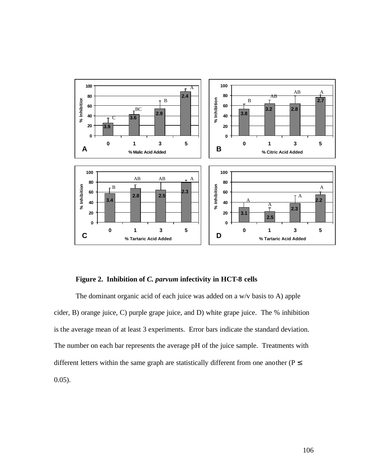

### **Figure 2. Inhibition of** *C. parvum* **infectivity in HCT-8 cells**

The dominant organic acid of each juice was added on a w/v basis to A) apple cider, B) orange juice, C) purple grape juice, and D) white grape juice. The % inhibition is the average mean of at least 3 experiments. Error bars indicate the standard deviation. The number on each bar represents the average pH of the juice sample. Treatments with different letters within the same graph are statistically different from one another ( $P \leq$ 0.05).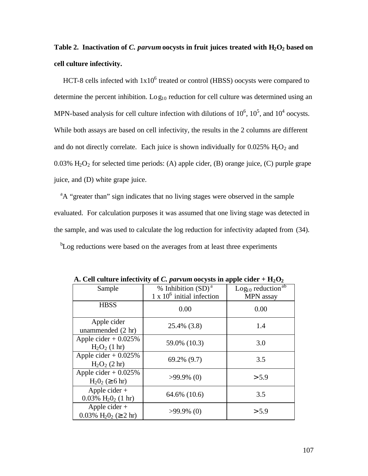## **Table 2. Inactivation of** *C. parvum* **oocysts in fruit juices treated with H2O2 based on cell culture infectivity.**

HCT-8 cells infected with  $1x10^6$  treated or control (HBSS) oocysts were compared to determine the percent inhibition. Log<sub>10</sub> reduction for cell culture was determined using an MPN-based analysis for cell culture infection with dilutions of  $10^6$ ,  $10^5$ , and  $10^4$  oocysts. While both assays are based on cell infectivity, the results in the 2 columns are different and do not directly correlate. Each juice is shown individually for  $0.025\%$  H<sub>2</sub>O<sub>2</sub> and 0.03%  $H_2O_2$  for selected time periods: (A) apple cider, (B) orange juice, (C) purple grape juice, and (D) white grape juice.

<sup>a</sup>A "greater than" sign indicates that no living stages were observed in the sample evaluated. For calculation purposes it was assumed that one living stage was detected in the sample, and was used to calculate the log reduction for infectivity adapted from (34).

<sup>b</sup>Log reductions were based on the averages from at least three experiments

| Sample                                                                   | % Inhibition $(SD)^a$<br>$1 \times 10^6$ initial infection | Log <sub>10</sub> reduction <sup>ab</sup><br><b>MPN</b> assay |
|--------------------------------------------------------------------------|------------------------------------------------------------|---------------------------------------------------------------|
| <b>HBSS</b>                                                              | 0.00                                                       | 0.00                                                          |
| Apple cider<br>unammended (2 hr)                                         | 25.4% (3.8)                                                | 1.4                                                           |
| Apple cider $+0.025%$<br>$H_2O_2$ (1 hr)                                 | 59.0% (10.3)                                               | 3.0                                                           |
| Apple cider $+$ 0.025%<br>$H_2O_2$ (2 hr)                                | $69.2\%$ $(9.7)$                                           | 3.5                                                           |
| Apple cider $+0.025%$<br>$H_2O_2 \ ( \ge 6 \ hr )$                       | $>99.9\%$ (0)                                              | > 5.9                                                         |
| Apple cider $+$<br>$0.03\%$ H <sub>2</sub> O <sub>2</sub> (1 hr)         | 64.6% (10.6)                                               | 3.5                                                           |
| Apple cider $+$<br>$0.03\%$ H <sub>2</sub> O <sub>2</sub> ( $\geq$ 2 hr) | $>99.9\%$ (0)                                              | > 5.9                                                         |

A. Cell culture infectivity of C. parvum oocysts in apple cider  $+ H_2O_2$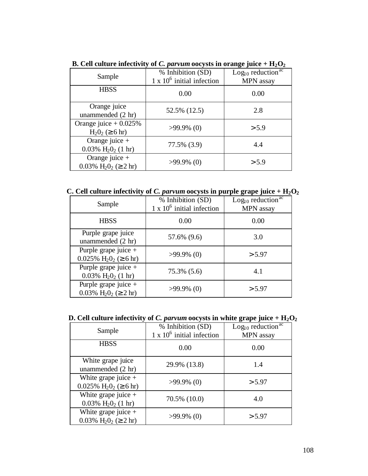| Sample                                                            | % Inhibition (SD)<br>$1 \times 10^6$ initial infection | Log <sub>10</sub> reduction <sup>ac</sup><br>MPN assay |
|-------------------------------------------------------------------|--------------------------------------------------------|--------------------------------------------------------|
| <b>HBSS</b>                                                       | 0.00                                                   | 0.00                                                   |
| Orange juice<br>unammended (2 hr)                                 | 52.5% (12.5)                                           | 2.8                                                    |
| Orange juice $+0.025%$<br>$H_2O_2 \ ( \ge 6 \ hr )$               | $>99.9\%$ (0)                                          | > 5.9                                                  |
| Orange juice $+$<br>$0.03\%$ H <sub>2</sub> O <sub>2</sub> (1 hr) | 77.5% (3.9)                                            | 4.4                                                    |
| Orange juice $+$<br>0.03% $H_2O_2 \ ( \geq 2 \ hr )$              | $>99.9\%$ (0)                                          | > 5.9                                                  |

**B. Cell culture infectivity of** *C. parvum* **oocysts in orange juice + H2O<sup>2</sup>**

**C. Cell culture infectivity of** *C. parvum* **oocysts in purple grape juice + H2O<sup>2</sup>**

| Sample                                                                          | % Inhibition (SD)<br>$1 \times 10^6$ initial infection | Log <sub>10</sub> reduction <sup>ac</sup><br>MPN assay |
|---------------------------------------------------------------------------------|--------------------------------------------------------|--------------------------------------------------------|
| <b>HBSS</b>                                                                     | 0.00                                                   | 0.00                                                   |
| Purple grape juice<br>unammended (2 hr)                                         | 57.6% (9.6)                                            | 3.0                                                    |
| Purple grape juice +<br>$0.025\% \text{ H}_2\text{O}_2 \ (\geq 6 \text{ hr})$   | $>99.9\%$ (0)                                          | > 5.97                                                 |
| Purple grape juice $+$<br>$0.03\%$ H <sub>2</sub> O <sub>2</sub> (1 hr)         | 75.3% (5.6)                                            | 4.1                                                    |
| Purple grape juice $+$<br>$0.03\%$ H <sub>2</sub> O <sub>2</sub> ( $\geq$ 2 hr) | $>99.9\%$ (0)                                          | > 5.97                                                 |

| D. Cell culture infectivity of C. parvum oocysts in white grape juice + $H_2O_2$ |  |  |  |  |
|----------------------------------------------------------------------------------|--|--|--|--|
|----------------------------------------------------------------------------------|--|--|--|--|

| Sample                                                                           | % Inhibition (SD)<br>$1 \times 10^6$ initial infection | Log <sub>10</sub> reduction <sup>ac</sup><br>MPN assay |
|----------------------------------------------------------------------------------|--------------------------------------------------------|--------------------------------------------------------|
| <b>HBSS</b>                                                                      | 0.00                                                   | 0.00                                                   |
| White grape juice<br>unammended (2 hr)                                           | 29.9% (13.8)                                           | 1.4                                                    |
| White grape juice $+$<br>$0.025\% \text{ H}_2\text{O}_2 \ ( \geq 6 \text{ hr} )$ | $>99.9\%$ (0)                                          | > 5.97                                                 |
| White grape juice $+$<br>$0.03\%$ H <sub>2</sub> O <sub>2</sub> (1 hr)           | 70.5% (10.0)                                           | 4.0                                                    |
| White grape juice $+$<br>$0.03\%$ H <sub>2</sub> O <sub>2</sub> ( $\geq$ 2 hr)   | $>99.9\%$ (0)                                          | > 5.97                                                 |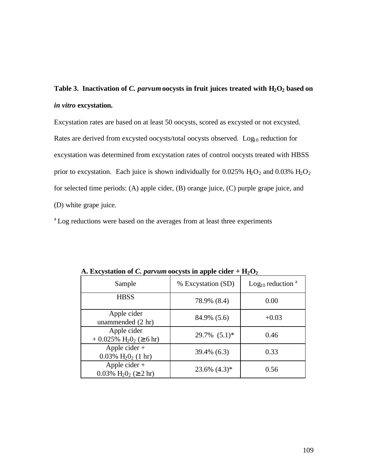**Table 3. Inactivation of** *C. parvum* **oocysts in fruit juices treated with H2O2 based on**  *in vitro* **excystation.**

Excystation rates are based on at least 50 oocysts, scored as excysted or not excysted. Rates are derived from excysted oocysts/total oocysts observed. Log<sub>10</sub> reduction for excystation was determined from excystation rates of control oocysts treated with HBSS prior to excystation. Each juice is shown individually for 0.025%  $H_2O_2$  and 0.03%  $H_2O_2$ for selected time periods: (A) apple cider, (B) orange juice, (C) purple grape juice, and (D) white grape juice.

<sup>a</sup>Log reductions were based on the averages from at least three experiments

| Sample                                                                 | % Excystation (SD) | Log <sub>10</sub> reduction <sup>a</sup> |
|------------------------------------------------------------------------|--------------------|------------------------------------------|
| <b>HBSS</b>                                                            | 78.9% (8.4)        | 0.00                                     |
| Apple cider<br>unammended (2 hr)                                       | 84.9% (5.6)        | $+0.03$                                  |
| Apple cider<br>$+0.025\%$ H <sub>2</sub> O <sub>2</sub> ( $\geq 6$ hr) | $29.7\%$ $(5.1)^*$ | 0.46                                     |
| Apple cider $+$<br>$0.03\%$ H <sub>2</sub> O <sub>2</sub> (1 hr)       | 39.4% (6.3)        | 0.33                                     |
| Apple cider $+$<br>0.03% $H_2O_2 \ ( \geq 2 \ hr )$                    | $23.6\%$ $(4.3)*$  | 0.56                                     |

A. Excystation of *C. parvum* oocysts in apple cider  $+ H_2O_2$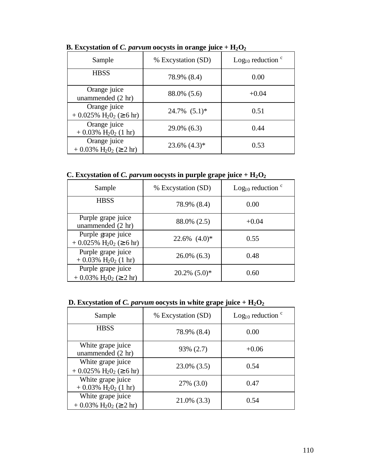| Sample                                                                  | % Excystation (SD) | Log <sub>10</sub> reduction $\degree$ |
|-------------------------------------------------------------------------|--------------------|---------------------------------------|
| <b>HBSS</b>                                                             | 78.9% (8.4)        | 0.00                                  |
| Orange juice<br>unammended (2 hr)                                       | 88.0% (5.6)        | $+0.04$                               |
| Orange juice<br>$+0.025\%$ H <sub>2</sub> O <sub>2</sub> ( $\geq 6$ hr) | $24.7\%$ $(5.1)^*$ | 0.51                                  |
| Orange juice<br>$+0.03\%$ H <sub>2</sub> O <sub>2</sub> (1 hr)          | 29.0% (6.3)        | 0.44                                  |
| Orange juice<br>$+0.03\%$ H <sub>2</sub> O <sub>2</sub> ( $\geq 2$ hr)  | $23.6\%$ $(4.3)*$  | 0.53                                  |

**B.** Excystation of *C. parvum* oocysts in orange juice +  $H_2O_2$ 

**C.** Excystation of *C. parvum* oocysts in purple grape juice +  $H_2O_2$ 

| Sample                                                                        | % Excystation (SD) | Log <sub>10</sub> reduction $\degree$ |
|-------------------------------------------------------------------------------|--------------------|---------------------------------------|
| <b>HBSS</b>                                                                   | 78.9% (8.4)        | 0.00                                  |
| Purple grape juice<br>unammended $(2 \text{ hr})$                             | 88.0% (2.5)        | $+0.04$                               |
| Purple grape juice<br>$+0.025\%$ H <sub>2</sub> O <sub>2</sub> ( $\geq 6$ hr) | $22.6\%$ $(4.0)*$  | 0.55                                  |
| Purple grape juice<br>$+0.03\%$ H <sub>2</sub> O <sub>2</sub> (1 hr)          | $26.0\%$ (6.3)     | 0.48                                  |
| Purple grape juice<br>$+0.03\%$ H <sub>2</sub> O <sub>2</sub> ( $\geq 2$ hr)  | $20.2\%$ $(5.0)*$  | 0.60                                  |

### **D. Excystation of** *C. parvum* **oocysts in white grape juice + H2O<sup>2</sup>**

| Sample                                                                       | % Excystation (SD) | Log <sub>10</sub> reduction $\degree$ |
|------------------------------------------------------------------------------|--------------------|---------------------------------------|
| <b>HBSS</b>                                                                  | 78.9% (8.4)        | 0.00                                  |
| White grape juice<br>unammended (2 hr)                                       | 93% (2.7)          | $+0.06$                               |
| White grape juice<br>$+0.025\%$ H <sub>2</sub> O <sub>2</sub> ( $\geq 6$ hr) | $23.0\%$ (3.5)     | 0.54                                  |
| White grape juice<br>$+0.03\%$ H <sub>2</sub> O <sub>2</sub> (1 hr)          | 27% (3.0)          | 0.47                                  |
| White grape juice<br>$+0.03\%$ H <sub>2</sub> O <sub>2</sub> ( $\geq 2$ hr)  | $21.0\%$ (3.3)     | 0.54                                  |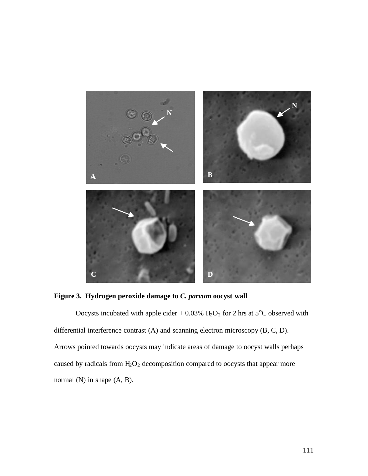

**Figure 3. Hydrogen peroxide damage to** *C. parvum* **oocyst wall**

Oocysts incubated with apple cider + 0.03%  $H_2O_2$  for 2 hrs at 5°C observed with differential interference contrast (A) and scanning electron microscopy (B, C, D). Arrows pointed towards oocysts may indicate areas of damage to oocyst walls perhaps caused by radicals from  $H_2O_2$  decomposition compared to oocysts that appear more normal (N) in shape (A, B).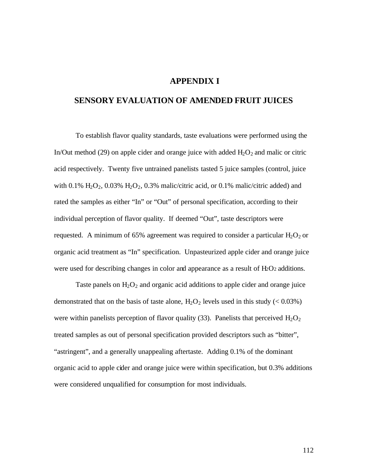#### **APPENDIX I**

#### **SENSORY EVALUATION OF AMENDED FRUIT JUICES**

To establish flavor quality standards, taste evaluations were performed using the In/Out method (29) on apple cider and orange juice with added  $H_2O_2$  and malic or citric acid respectively. Twenty five untrained panelists tasted 5 juice samples (control, juice with  $0.1\%$  H<sub>2</sub>O<sub>2</sub>,  $0.03\%$  H<sub>2</sub>O<sub>2</sub>,  $0.3\%$  malic/citric acid, or 0.1% malic/citric added) and rated the samples as either "In" or "Out" of personal specification, according to their individual perception of flavor quality. If deemed "Out", taste descriptors were requested. A minimum of 65% agreement was required to consider a particular  $H_2O_2$  or organic acid treatment as "In" specification. Unpasteurized apple cider and orange juice were used for describing changes in color and appearance as a result of H<sub>2</sub>O<sub>2</sub> additions.

Taste panels on  $H_2O_2$  and organic acid additions to apple cider and orange juice demonstrated that on the basis of taste alone,  $H_2O_2$  levels used in this study (< 0.03%) were within panelists perception of flavor quality (33). Panelists that perceived  $H_2O_2$ treated samples as out of personal specification provided descriptors such as "bitter", "astringent", and a generally unappealing aftertaste. Adding 0.1% of the dominant organic acid to apple cider and orange juice were within specification, but 0.3% additions were considered unqualified for consumption for most individuals.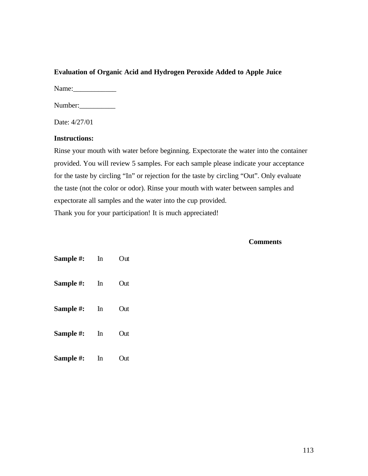#### **Evaluation of Organic Acid and Hydrogen Peroxide Added to Apple Juice**

Name:\_\_\_\_\_\_\_\_\_\_\_\_

Number:

Date: 4/27/01

#### **Instructions:**

Rinse your mouth with water before beginning. Expectorate the water into the container provided. You will review 5 samples. For each sample please indicate your acceptance for the taste by circling "In" or rejection for the taste by circling "Out". Only evaluate the taste (not the color or odor). Rinse your mouth with water between samples and expectorate all samples and the water into the cup provided. Thank you for your participation! It is much appreciated!

#### **Comments**

| Sample #: | In | Out  |
|-----------|----|------|
| Sample #: | In | Out  |
| Sample #: | In | Out  |
| Sample #: | In | Out  |
| Sample #: | In | Out) |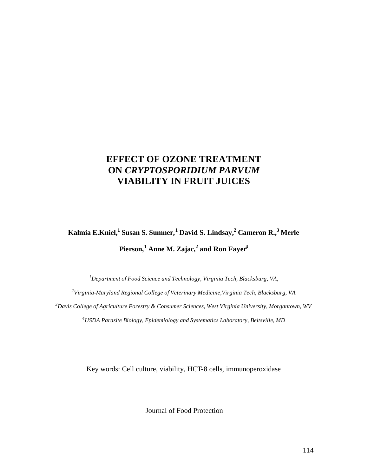## **EFFECT OF OZONE TREATMENT ON** *CRYPTOSPORIDIUM PARVUM* **VIABILITY IN FRUIT JUICES**

# **Kalmia E.Kniel,<sup>1</sup>Susan S. Sumner,<sup>1</sup>David S. Lindsay,<sup>2</sup>Cameron R.,<sup>3</sup>Merle Pierson,<sup>1</sup>Anne M. Zajac,<sup>2</sup>and Ron Fayer<sup>4</sup>**

*Department of Food Science and Technology, Virginia Tech, Blacksburg, VA, Virginia-Maryland Regional College of Veterinary Medicine,Virginia Tech, Blacksburg, VA Davis College of Agriculture Forestry & Consumer Sciences, West Virginia University, Morgantown, WV USDA Parasite Biology, Epidemiology and Systematics Laboratory, Beltsville, MD*

Key words: Cell culture, viability, HCT-8 cells, immunoperoxidase

Journal of Food Protection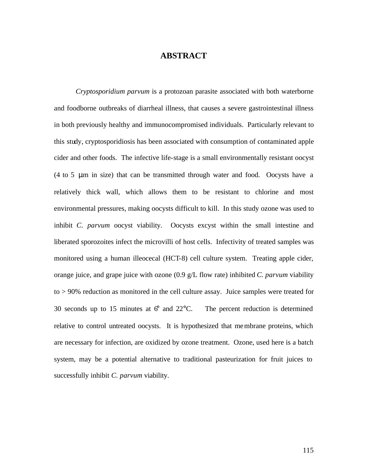#### **ABSTRACT**

*Cryptosporidium parvum* is a protozoan parasite associated with both waterborne and foodborne outbreaks of diarrheal illness, that causes a severe gastrointestinal illness in both previously healthy and immunocompromised individuals. Particularly relevant to this study, cryptosporidiosis has been associated with consumption of contaminated apple cider and other foods. The infective life-stage is a small environmentally resistant oocyst (4 to 5 μm in size) that can be transmitted through water and food. Oocysts have a relatively thick wall, which allows them to be resistant to chlorine and most environmental pressures, making oocysts difficult to kill. In this study ozone was used to inhibit *C. parvum* oocyst viability. Oocysts excyst within the small intestine and liberated sporozoites infect the microvilli of host cells. Infectivity of treated samples was monitored using a human illeocecal (HCT-8) cell culture system. Treating apple cider, orange juice, and grape juice with ozone (0.9 g/L flow rate) inhibited *C. parvum* viability to > 90% reduction as monitored in the cell culture assay. Juice samples were treated for 30 seconds up to 15 minutes at  $6^{\circ}$  and  $22^{\circ}$ C. The percent reduction is determined relative to control untreated oocysts. It is hypothesized that membrane proteins, which are necessary for infection, are oxidized by ozone treatment. Ozone, used here is a batch system, may be a potential alternative to traditional pasteurization for fruit juices to successfully inhibit *C. parvum* viability.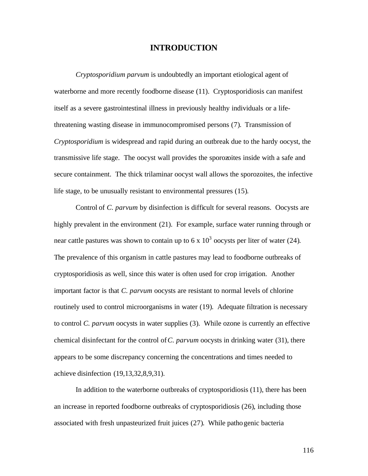#### **INTRODUCTION**

*Cryptosporidium parvum* is undoubtedly an important etiological agent of waterborne and more recently foodborne disease (11). Cryptosporidiosis can manifest itself as a severe gastrointestinal illness in previously healthy individuals or a lifethreatening wasting disease in immunocompromised persons (7). Transmission of *Cryptosporidium* is widespread and rapid during an outbreak due to the hardy oocyst, the transmissive life stage. The oocyst wall provides the sporozoites inside with a safe and secure containment. The thick trilaminar oocyst wall allows the sporozoites, the infective life stage, to be unusually resistant to environmental pressures (15).

Control of *C. parvum* by disinfection is difficult for several reasons. Oocysts are highly prevalent in the environment (21). For example, surface water running through or near cattle pastures was shown to contain up to 6 x  $10^3$  oocysts per liter of water (24). The prevalence of this organism in cattle pastures may lead to foodborne outbreaks of cryptosporidiosis as well, since this water is often used for crop irrigation. Another important factor is that *C. parvum* oocysts are resistant to normal levels of chlorine routinely used to control microorganisms in water (19). Adequate filtration is necessary to control *C. parvum* oocysts in water supplies (3). While ozone is currently an effective chemical disinfectant for the control of*C. parvum* oocysts in drinking water (31), there appears to be some discrepancy concerning the concentrations and times needed to achieve disinfection (19,13,32,8,9,31).

In addition to the waterborne outbreaks of cryptosporidiosis (11), there has been an increase in reported foodborne outbreaks of cryptosporidiosis (26), including those associated with fresh unpasteurized fruit juices (27). While pathogenic bacteria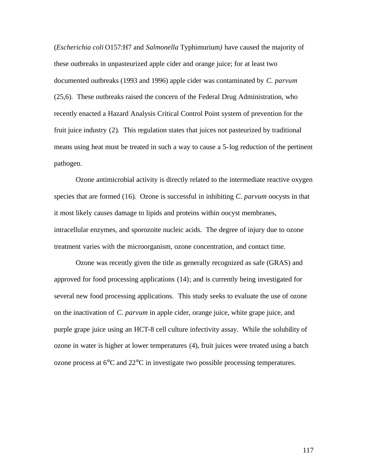(*Escherichia coli* O157:H7 and *Salmonella* Typhimurium*)* have caused the majority of these outbreaks in unpasteurized apple cider and orange juice; for at least two documented outbreaks (1993 and 1996) apple cider was contaminated by *C. parvum* (25,6). These outbreaks raised the concern of the Federal Drug Administration, who recently enacted a Hazard Analysis Critical Control Point system of prevention for the fruit juice industry (2). This regulation states that juices not pasteurized by traditional means using heat must be treated in such a way to cause a 5-log reduction of the pertinent pathogen.

Ozone antimicrobial activity is directly related to the intermediate reactive oxygen species that are formed (16). Ozone is successful in inhibiting *C. parvum* oocysts in that it most likely causes damage to lipids and proteins within oocyst membranes, intracellular enzymes, and sporozoite nucleic acids. The degree of injury due to ozone treatment varies with the microorganism, ozone concentration, and contact time.

Ozone was recently given the title as generally recognized as safe (GRAS) and approved for food processing applications (14); and is currently being investigated for several new food processing applications. This study seeks to evaluate the use of ozone on the inactivation of *C. parvum* in apple cider, orange juice, white grape juice, and purple grape juice using an HCT-8 cell culture infectivity assay. While the solubility of ozone in water is higher at lower temperatures (4), fruit juices were treated using a batch ozone process at 6°C and 22°C in investigate two possible processing temperatures.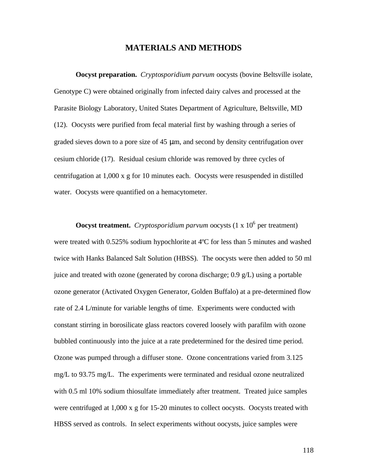#### **MATERIALS AND METHODS**

**Oocyst preparation.** *Cryptosporidium parvum* oocysts (bovine Beltsville isolate, Genotype C) were obtained originally from infected dairy calves and processed at the Parasite Biology Laboratory, United States Department of Agriculture, Beltsville, MD (12). Oocysts were purified from fecal material first by washing through a series of graded sieves down to a pore size of 45 μm, and second by density centrifugation over cesium chloride (17). Residual cesium chloride was removed by three cycles of centrifugation at  $1,000 \times g$  for 10 minutes each. Oocysts were resuspended in distilled water. Oocysts were quantified on a hemacytometer.

**Oocyst treatment.** Cryptosporidium parvum oocysts  $(1 \times 10^6)$  per treatment) were treated with 0.525% sodium hypochlorite at 4ºC for less than 5 minutes and washed twice with Hanks Balanced Salt Solution (HBSS). The oocysts were then added to 50 ml juice and treated with ozone (generated by corona discharge; 0.9 g/L) using a portable ozone generator (Activated Oxygen Generator, Golden Buffalo) at a pre-determined flow rate of 2.4 L/minute for variable lengths of time. Experiments were conducted with constant stirring in borosilicate glass reactors covered loosely with parafilm with ozone bubbled continuously into the juice at a rate predetermined for the desired time period. Ozone was pumped through a diffuser stone. Ozone concentrations varied from 3.125 mg/L to 93.75 mg/L. The experiments were terminated and residual ozone neutralized with 0.5 ml 10% sodium thiosulfate immediately after treatment. Treated juice samples were centrifuged at 1,000 x g for 15-20 minutes to collect oocysts. Oocysts treated with HBSS served as controls. In select experiments without oocysts, juice samples were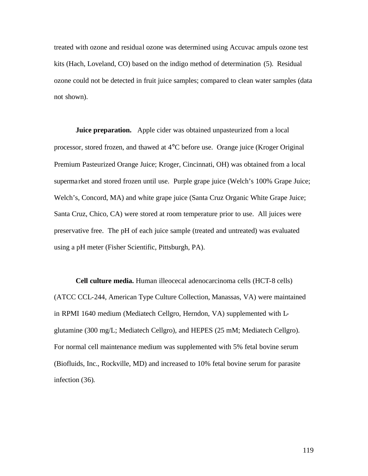treated with ozone and residual ozone was determined using Accuvac ampuls ozone test kits (Hach, Loveland, CO) based on the indigo method of determination (5). Residual ozone could not be detected in fruit juice samples; compared to clean water samples (data not shown).

**Juice preparation.** Apple cider was obtained unpasteurized from a local processor, stored frozen, and thawed at 4°C before use. Orange juice (Kroger Original Premium Pasteurized Orange Juice; Kroger, Cincinnati, OH) was obtained from a local supermarket and stored frozen until use. Purple grape juice (Welch's 100% Grape Juice; Welch's, Concord, MA) and white grape juice (Santa Cruz Organic White Grape Juice; Santa Cruz, Chico, CA) were stored at room temperature prior to use. All juices were preservative free. The pH of each juice sample (treated and untreated) was evaluated using a pH meter (Fisher Scientific, Pittsburgh, PA).

**Cell culture media.** Human illeocecal adenocarcinoma cells (HCT-8 cells) (ATCC CCL-244, American Type Culture Collection, Manassas, VA) were maintained in RPMI 1640 medium (Mediatech Cellgro, Herndon, VA) supplemented with Lglutamine (300 mg/L; Mediatech Cellgro), and HEPES (25 mM; Mediatech Cellgro). For normal cell maintenance medium was supplemented with 5% fetal bovine serum (Biofluids, Inc., Rockville, MD) and increased to 10% fetal bovine serum for parasite infection (36).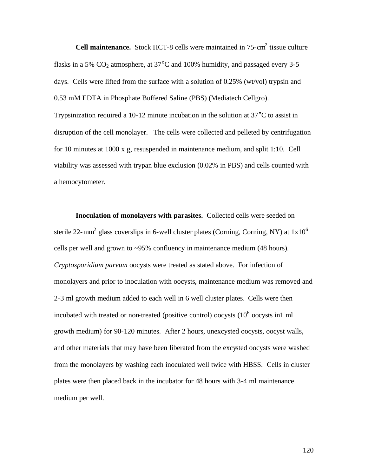**Cell maintenance.** Stock HCT-8 cells were maintained in 75-cm<sup>2</sup> tissue culture flasks in a 5%  $CO<sub>2</sub>$  atmosphere, at 37 $\degree$ C and 100% humidity, and passaged every 3-5 days. Cells were lifted from the surface with a solution of 0.25% (wt/vol) trypsin and 0.53 mM EDTA in Phosphate Buffered Saline (PBS) (Mediatech Cellgro). Trypsinization required a 10-12 minute incubation in the solution at 37°C to assist in disruption of the cell monolayer. The cells were collected and pelleted by centrifugation for 10 minutes at 1000 x g, resuspended in maintenance medium, and split 1:10. Cell viability was assessed with trypan blue exclusion (0.02% in PBS) and cells counted with a hemocytometer.

**Inoculation of monolayers with parasites.** Collected cells were seeded on sterile 22-mm<sup>2</sup> glass coverslips in 6-well cluster plates (Corning, Corning, NY) at  $1x10^6$ cells per well and grown to ~95% confluency in maintenance medium (48 hours). *Cryptosporidium parvum* oocysts were treated as stated above. For infection of monolayers and prior to inoculation with oocysts, maintenance medium was removed and 2-3 ml growth medium added to each well in 6 well cluster plates. Cells were then incubated with treated or non-treated (positive control) oocysts  $(10^6)$  oocysts in 1 ml growth medium) for 90-120 minutes. After 2 hours, unexcysted oocysts, oocyst walls, and other materials that may have been liberated from the excysted oocysts were washed from the monolayers by washing each inoculated well twice with HBSS. Cells in cluster plates were then placed back in the incubator for 48 hours with 3-4 ml maintenance medium per well.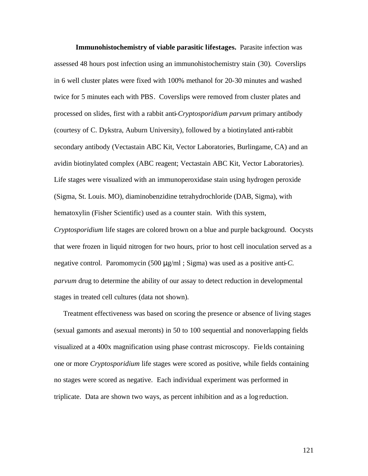**Immunohistochemistry of viable parasitic lifestages.** Parasite infection was assessed 48 hours post infection using an immunohistochemistry stain (30). Coverslips in 6 well cluster plates were fixed with 100% methanol for 20-30 minutes and washed twice for 5 minutes each with PBS. Coverslips were removed from cluster plates and processed on slides, first with a rabbit anti-*Cryptosporidium parvum* primary antibody (courtesy of C. Dykstra, Auburn University), followed by a biotinylated anti-rabbit secondary antibody (Vectastain ABC Kit, Vector Laboratories, Burlingame, CA) and an avidin biotinylated complex (ABC reagent; Vectastain ABC Kit, Vector Laboratories). Life stages were visualized with an immunoperoxidase stain using hydrogen peroxide (Sigma, St. Louis. MO), diaminobenzidine tetrahydrochloride (DAB, Sigma), with hematoxylin (Fisher Scientific) used as a counter stain. With this system, *Cryptosporidium* life stages are colored brown on a blue and purple background. Oocysts that were frozen in liquid nitrogen for two hours, prior to host cell inoculation served as a negative control. Paromomycin (500 μg/ml ; Sigma) was used as a positive anti-*C. parvum* drug to determine the ability of our assay to detect reduction in developmental

stages in treated cell cultures (data not shown).

 Treatment effectiveness was based on scoring the presence or absence of living stages (sexual gamonts and asexual meronts) in 50 to 100 sequential and nonoverlapping fields visualized at a 400x magnification using phase contrast microscopy. Fie lds containing one or more *Cryptosporidium* life stages were scored as positive, while fields containing no stages were scored as negative. Each individual experiment was performed in triplicate. Data are shown two ways, as percent inhibition and as a log reduction.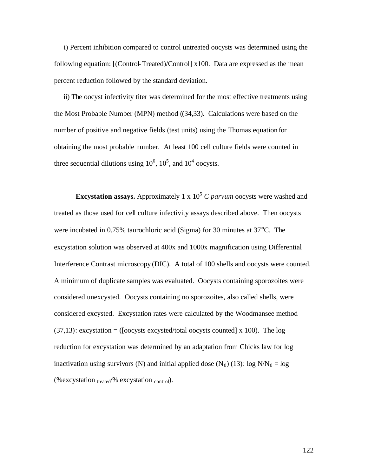i) Percent inhibition compared to control untreated oocysts was determined using the following equation: [(Control-Treated)/Control] x100. Data are expressed as the mean percent reduction followed by the standard deviation.

 ii) The oocyst infectivity titer was determined for the most effective treatments using the Most Probable Number (MPN) method ((34,33). Calculations were based on the number of positive and negative fields (test units) using the Thomas equation for obtaining the most probable number. At least 100 cell culture fields were counted in three sequential dilutions using  $10^6$ ,  $10^5$ , and  $10^4$  oocysts.

**Excystation assays.** Approximately 1 x  $10<sup>5</sup>$  *C parvum* oocysts were washed and treated as those used for cell culture infectivity assays described above. Then oocysts were incubated in 0.75% taurochloric acid (Sigma) for 30 minutes at 37°C. The excystation solution was observed at 400x and 1000x magnification using Differential Interference Contrast microscopy (DIC). A total of 100 shells and oocysts were counted. A minimum of duplicate samples was evaluated. Oocysts containing sporozoites were considered unexcysted. Oocysts containing no sporozoites, also called shells, were considered excysted. Excystation rates were calculated by the Woodmansee method  $(37,13)$ : excystation = ([oocysts excysted/total oocysts counted] x 100). The log reduction for excystation was determined by an adaptation from Chicks law for log inactivation using survivors (N) and initial applied dose  $(N_0)$  (13): log  $N/N_0 = \log$ (%excystation  $t_{\text{read}}$ % excystation  $_{\text{control}}$ ).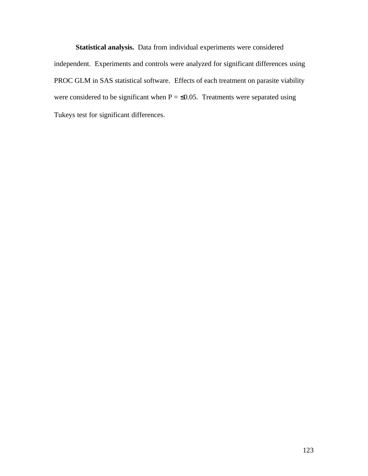**Statistical analysis.** Data from individual experiments were considered independent. Experiments and controls were analyzed for significant differences using PROC GLM in SAS statistical software. Effects of each treatment on parasite viability were considered to be significant when  $P = \le 0.05$ . Treatments were separated using Tukeys test for significant differences.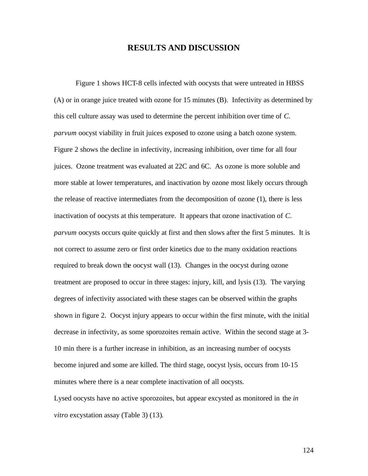#### **RESULTS AND DISCUSSION**

Figure 1 shows HCT-8 cells infected with oocysts that were untreated in HBSS (A) or in orange juice treated with ozone for 15 minutes (B). Infectivity as determined by this cell culture assay was used to determine the percent inhibition over time of *C. parvum* oocyst viability in fruit juices exposed to ozone using a batch ozone system. Figure 2 shows the decline in infectivity, increasing inhibition, over time for all four juices. Ozone treatment was evaluated at 22C and 6C. As ozone is more soluble and more stable at lower temperatures, and inactivation by ozone most likely occurs through the release of reactive intermediates from the decomposition of ozone (1), there is less inactivation of oocysts at this temperature. It appears that ozone inactivation of *C. parvum* oocysts occurs quite quickly at first and then slows after the first 5 minutes. It is not correct to assume zero or first order kinetics due to the many oxidation reactions required to break down the oocyst wall (13). Changes in the oocyst during ozone treatment are proposed to occur in three stages: injury, kill, and lysis (13). The varying degrees of infectivity associated with these stages can be observed within the graphs shown in figure 2. Oocyst injury appears to occur within the first minute, with the initial decrease in infectivity, as some sporozoites remain active. Within the second stage at 3- 10 min there is a further increase in inhibition, as an increasing number of oocysts become injured and some are killed. The third stage, oocyst lysis, occurs from 10-15 minutes where there is a near complete inactivation of all oocysts.

Lysed oocysts have no active sporozoites, but appear excysted as monitored in the *in vitro* excystation assay (Table 3) (13).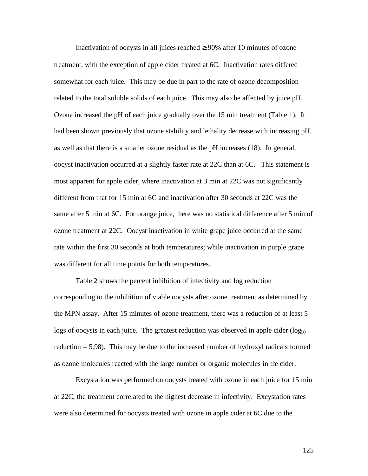Inactivation of oocysts in all juices reached  $\geq 90\%$  after 10 minutes of ozone treatment, with the exception of apple cider treated at 6C. Inactivation rates differed somewhat for each juice. This may be due in part to the rate of ozone decomposition related to the total soluble solids of each juice. This may also be affected by juice pH. Ozone increased the pH of each juice gradually over the 15 min treatment (Table 1). It had been shown previously that ozone stability and lethality decrease with increasing pH, as well as that there is a smaller ozone residual as the pH increases (18). In general, oocyst inactivation occurred at a slightly faster rate at 22C than at 6C. This statement is most apparent for apple cider, where inactivation at 3 min at 22C was not significantly different from that for 15 min at 6C and inactivation after 30 seconds at 22C was the same after 5 min at 6C. For orange juice, there was no statistical difference after 5 min of ozone treatment at 22C. Oocyst inactivation in white grape juice occurred at the same rate within the first 30 seconds at both temperatures; while inactivation in purple grape was different for all time points for both temperatures.

Table 2 shows the percent inhibition of infectivity and log reduction corresponding to the inhibition of viable oocysts after ozone treatment as determined by the MPN assay. After 15 minutes of ozone treatment, there was a reduction of at least 5 logs of oocysts in each juice. The greatest reduction was observed in apple cider  $(\log_{10}$ reduction = 5.98). This may be due to the increased number of hydroxyl radicals formed as ozone molecules reacted with the large number or organic molecules in the cider.

Excystation was performed on oocysts treated with ozone in each juice for 15 min at 22C, the treatment correlated to the highest decrease in infectivity. Excystation rates were also determined for oocysts treated with ozone in apple cider at 6C due to the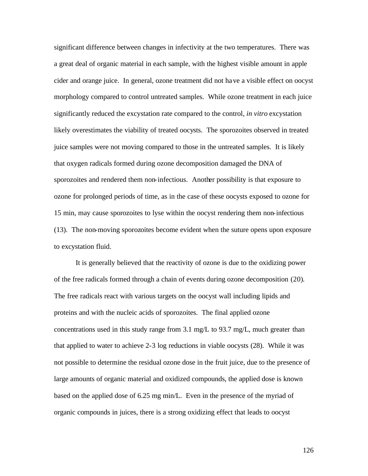significant difference between changes in infectivity at the two temperatures. There was a great deal of organic material in each sample, with the highest visible amount in apple cider and orange juice. In general, ozone treatment did not have a visible effect on oocyst morphology compared to control untreated samples. While ozone treatment in each juice significantly reduced the excystation rate compared to the control, *in vitro* excystation likely overestimates the viability of treated oocysts. The sporozoites observed in treated juice samples were not moving compared to those in the untreated samples. It is likely that oxygen radicals formed during ozone decomposition damaged the DNA of sporozoites and rendered them non-infectious. Another possibility is that exposure to ozone for prolonged periods of time, as in the case of these oocysts exposed to ozone for 15 min, may cause sporozoites to lyse within the oocyst rendering them non-infectious (13). The non-moving sporozoites become evident when the suture opens upon exposure to excystation fluid.

It is generally believed that the reactivity of ozone is due to the oxidizing power of the free radicals formed through a chain of events during ozone decomposition (20). The free radicals react with various targets on the oocyst wall including lipids and proteins and with the nucleic acids of sporozoites. The final applied ozone concentrations used in this study range from 3.1 mg/L to 93.7 mg/L, much greater than that applied to water to achieve 2-3 log reductions in viable oocysts (28). While it was not possible to determine the residual ozone dose in the fruit juice, due to the presence of large amounts of organic material and oxidized compounds, the applied dose is known based on the applied dose of 6.25 mg min/L. Even in the presence of the myriad of organic compounds in juices, there is a strong oxidizing effect that leads to oocyst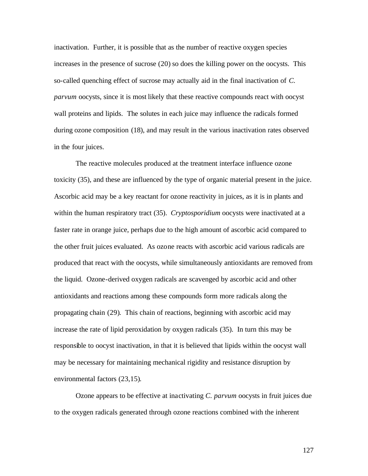inactivation. Further, it is possible that as the number of reactive oxygen species increases in the presence of sucrose (20) so does the killing power on the oocysts. This so-called quenching effect of sucrose may actually aid in the final inactivation of *C. parvum* oocysts, since it is most likely that these reactive compounds react with oocyst wall proteins and lipids. The solutes in each juice may influence the radicals formed during ozone composition (18), and may result in the various inactivation rates observed in the four juices.

The reactive molecules produced at the treatment interface influence ozone toxicity (35), and these are influenced by the type of organic material present in the juice. Ascorbic acid may be a key reactant for ozone reactivity in juices, as it is in plants and within the human respiratory tract (35). *Cryptosporidium* oocysts were inactivated at a faster rate in orange juice, perhaps due to the high amount of ascorbic acid compared to the other fruit juices evaluated. As ozone reacts with ascorbic acid various radicals are produced that react with the oocysts, while simultaneously antioxidants are removed from the liquid. Ozone-derived oxygen radicals are scavenged by ascorbic acid and other antioxidants and reactions among these compounds form more radicals along the propagating chain (29). This chain of reactions, beginning with ascorbic acid may increase the rate of lipid peroxidation by oxygen radicals (35). In turn this may be responsible to oocyst inactivation, in that it is believed that lipids within the oocyst wall may be necessary for maintaining mechanical rigidity and resistance disruption by environmental factors (23,15).

Ozone appears to be effective at inactivating *C. parvum* oocysts in fruit juices due to the oxygen radicals generated through ozone reactions combined with the inherent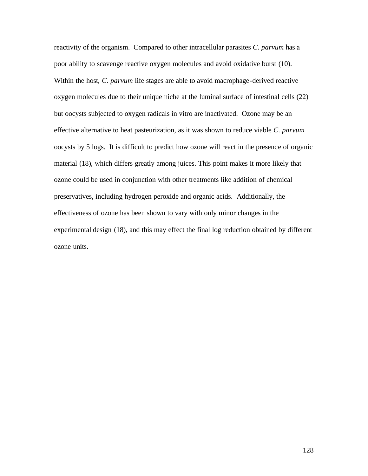reactivity of the organism. Compared to other intracellular parasites *C. parvum* has a poor ability to scavenge reactive oxygen molecules and avoid oxidative burst (10). Within the host, *C. parvum* life stages are able to avoid macrophage-derived reactive oxygen molecules due to their unique niche at the luminal surface of intestinal cells (22) but oocysts subjected to oxygen radicals in vitro are inactivated. Ozone may be an effective alternative to heat pasteurization, as it was shown to reduce viable *C. parvum* oocysts by 5 logs. It is difficult to predict how ozone will react in the presence of organic material (18), which differs greatly among juices. This point makes it more likely that ozone could be used in conjunction with other treatments like addition of chemical preservatives, including hydrogen peroxide and organic acids. Additionally, the effectiveness of ozone has been shown to vary with only minor changes in the experimental design (18), and this may effect the final log reduction obtained by different ozone units.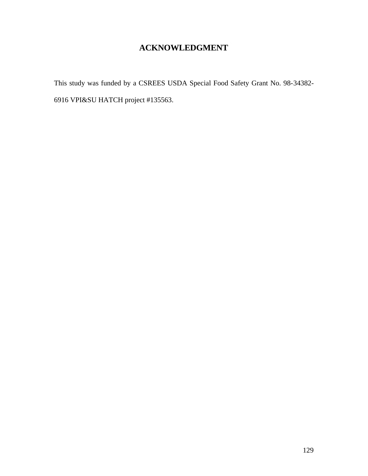## **ACKNOWLEDGMENT**

This study was funded by a CSREES USDA Special Food Safety Grant No. 98-34382- 6916 VPI&SU HATCH project #135563.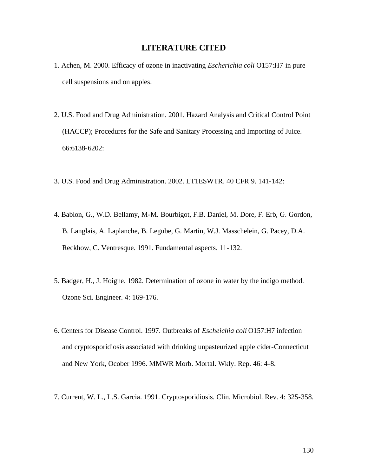#### **LITERATURE CITED**

- 1. Achen, M. 2000. Efficacy of ozone in inactivating *Escherichia coli* O157:H7 in pure cell suspensions and on apples.
- 2. U.S. Food and Drug Administration. 2001. Hazard Analysis and Critical Control Point (HACCP); Procedures for the Safe and Sanitary Processing and Importing of Juice. 66:6138-6202:
- 3. U.S. Food and Drug Administration. 2002. LT1ESWTR. 40 CFR 9. 141-142:
- 4. Bablon, G., W.D. Bellamy, M-M. Bourbigot, F.B. Daniel, M. Dore, F. Erb, G. Gordon, B. Langlais, A. Laplanche, B. Legube, G. Martin, W.J. Masschelein, G. Pacey, D.A. Reckhow, C. Ventresque. 1991. Fundamental aspects. 11-132.
- 5. Badger, H., J. Hoigne. 1982. Determination of ozone in water by the indigo method. Ozone Sci. Engineer. 4: 169-176.
- 6. Centers for Disease Control. 1997. Outbreaks of *Escheichia coli* O157:H7 infection and cryptosporidiosis associated with drinking unpasteurized apple cider-Connecticut and New York, Ocober 1996. MMWR Morb. Mortal. Wkly. Rep. 46: 4-8.
- 7. Current, W. L., L.S. Garcia. 1991. Cryptosporidiosis. Clin. Microbiol. Rev. 4: 325-358.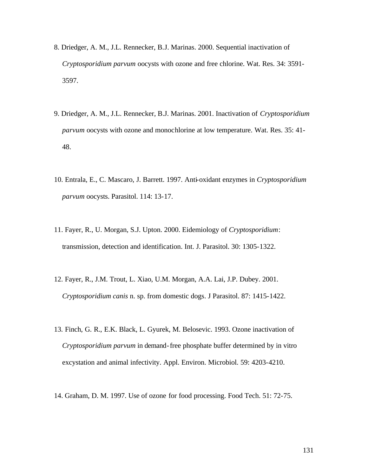- 8. Driedger, A. M., J.L. Rennecker, B.J. Marinas. 2000. Sequential inactivation of *Cryptosporidium parvum* oocysts with ozone and free chlorine. Wat. Res. 34: 3591- 3597.
- 9. Driedger, A. M., J.L. Rennecker, B.J. Marinas. 2001. Inactivation of *Cryptosporidium parvum* oocysts with ozone and monochlorine at low temperature. Wat. Res. 35: 41- 48.
- 10. Entrala, E., C. Mascaro, J. Barrett. 1997. Anti-oxidant enzymes in *Cryptosporidium parvum* oocysts. Parasitol. 114: 13-17.
- 11. Fayer, R., U. Morgan, S.J. Upton. 2000. Eidemiology of *Cryptosporidium*: transmission, detection and identification. Int. J. Parasitol. 30: 1305-1322.
- 12. Fayer, R., J.M. Trout, L. Xiao, U.M. Morgan, A.A. Lai, J.P. Dubey. 2001. *Cryptosporidium canis* n. sp. from domestic dogs. J Parasitol. 87: 1415-1422.
- 13. Finch, G. R., E.K. Black, L. Gyurek, M. Belosevic. 1993. Ozone inactivation of *Cryptosporidium parvum* in demand-free phosphate buffer determined by in vitro excystation and animal infectivity. Appl. Environ. Microbiol. 59: 4203-4210.
- 14. Graham, D. M. 1997. Use of ozone for food processing. Food Tech. 51: 72-75.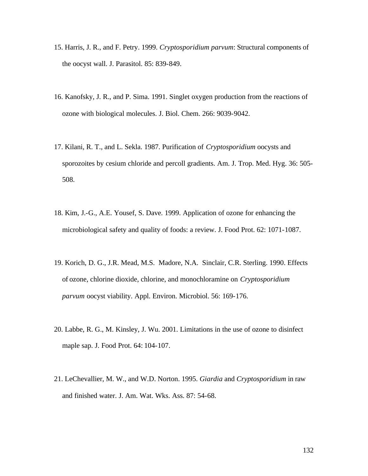- 15. Harris, J. R., and F. Petry. 1999. *Cryptosporidium parvum*: Structural components of the oocyst wall. J. Parasitol. 85: 839-849.
- 16. Kanofsky, J. R., and P. Sima. 1991. Singlet oxygen production from the reactions of ozone with biological molecules. J. Biol. Chem. 266: 9039-9042.
- 17. Kilani, R. T., and L. Sekla. 1987. Purification of *Cryptosporidium* oocysts and sporozoites by cesium chloride and percoll gradients. Am. J. Trop. Med. Hyg. 36: 505- 508.
- 18. Kim, J.-G., A.E. Yousef, S. Dave. 1999. Application of ozone for enhancing the microbiological safety and quality of foods: a review. J. Food Prot. 62: 1071-1087.
- 19. Korich, D. G., J.R. Mead, M.S. Madore, N.A. Sinclair, C.R. Sterling. 1990. Effects of ozone, chlorine dioxide, chlorine, and monochloramine on *Cryptosporidium parvum* oocyst viability. Appl. Environ. Microbiol. 56: 169-176.
- 20. Labbe, R. G., M. Kinsley, J. Wu. 2001. Limitations in the use of ozone to disinfect maple sap. J. Food Prot. 64: 104-107.
- 21. LeChevallier, M. W., and W.D. Norton. 1995. *Giardia* and *Cryptosporidium* in raw and finished water. J. Am. Wat. Wks. Ass. 87: 54-68.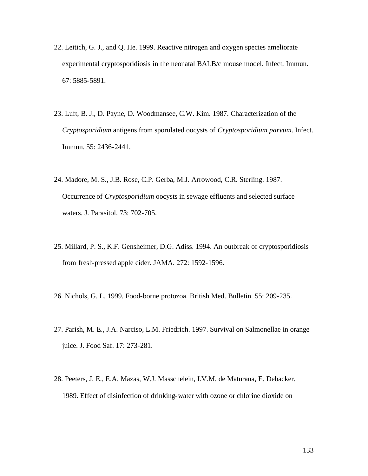- 22. Leitich, G. J., and Q. He. 1999. Reactive nitrogen and oxygen species ameliorate experimental cryptosporidiosis in the neonatal BALB/c mouse model. Infect. Immun. 67: 5885-5891.
- 23. Luft, B. J., D. Payne, D. Woodmansee, C.W. Kim. 1987. Characterization of the *Cryptosporidium* antigens from sporulated oocysts of *Cryptosporidium parvum*. Infect. Immun. 55: 2436-2441.
- 24. Madore, M. S., J.B. Rose, C.P. Gerba, M.J. Arrowood, C.R. Sterling. 1987. Occurrence of *Cryptosporidium* oocysts in sewage effluents and selected surface waters. J. Parasitol. 73: 702-705.
- 25. Millard, P. S., K.F. Gensheimer, D.G. Adiss. 1994. An outbreak of cryptosporidiosis from fresh-pressed apple cider. JAMA. 272: 1592-1596.
- 26. Nichols, G. L. 1999. Food-borne protozoa. British Med. Bulletin. 55: 209-235.
- 27. Parish, M. E., J.A. Narciso, L.M. Friedrich. 1997. Survival on Salmonellae in orange juice. J. Food Saf. 17: 273-281.
- 28. Peeters, J. E., E.A. Mazas, W.J. Masschelein, I.V.M. de Maturana, E. Debacker. 1989. Effect of disinfection of drinking-water with ozone or chlorine dioxide on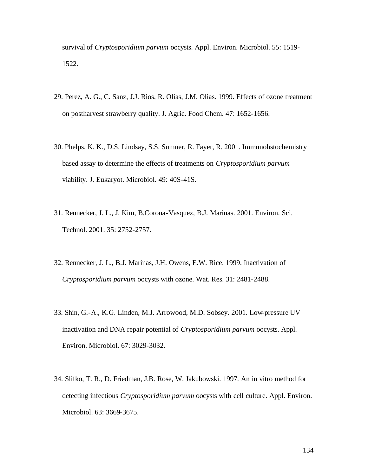survival of *Cryptosporidium parvum* oocysts. Appl. Environ. Microbiol. 55: 1519- 1522.

- 29. Perez, A. G., C. Sanz, J.J. Rios, R. Olias, J.M. Olias. 1999. Effects of ozone treatment on postharvest strawberry quality. J. Agric. Food Chem. 47: 1652-1656.
- 30. Phelps, K. K., D.S. Lindsay, S.S. Sumner, R. Fayer, R. 2001. Immunohstochemistry based assay to determine the effects of treatments on *Cryptosporidium parvum* viability. J. Eukaryot. Microbiol. 49: 40S-41S.
- 31. Rennecker, J. L., J. Kim, B.Corona-Vasquez, B.J. Marinas. 2001. Environ. Sci. Technol. 2001. 35: 2752-2757.
- 32. Rennecker, J. L., B.J. Marinas, J.H. Owens, E.W. Rice. 1999. Inactivation of *Cryptosporidium parvum* oocysts with ozone. Wat. Res. 31: 2481-2488.
- 33. Shin, G.-A., K.G. Linden, M.J. Arrowood, M.D. Sobsey. 2001. Low-pressure UV inactivation and DNA repair potential of *Cryptosporidium parvum* oocysts. Appl. Environ. Microbiol. 67: 3029-3032.
- 34. Slifko, T. R., D. Friedman, J.B. Rose, W. Jakubowski. 1997. An in vitro method for detecting infectious *Cryptosporidium parvum* oocysts with cell culture. Appl. Environ. Microbiol. 63: 3669-3675.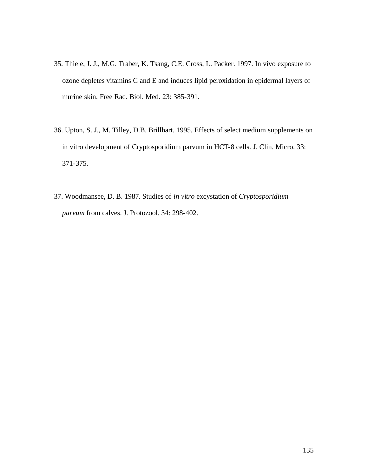- 35. Thiele, J. J., M.G. Traber, K. Tsang, C.E. Cross, L. Packer. 1997. In vivo exposure to ozone depletes vitamins C and E and induces lipid peroxidation in epidermal layers of murine skin. Free Rad. Biol. Med. 23: 385-391.
- 36. Upton, S. J., M. Tilley, D.B. Brillhart. 1995. Effects of select medium supplements on in vitro development of Cryptosporidium parvum in HCT-8 cells. J. Clin. Micro. 33: 371-375.
- 37. Woodmansee, D. B. 1987. Studies of *in vitro* excystation of *Cryptosporidium parvum* from calves. J. Protozool. 34: 298-402.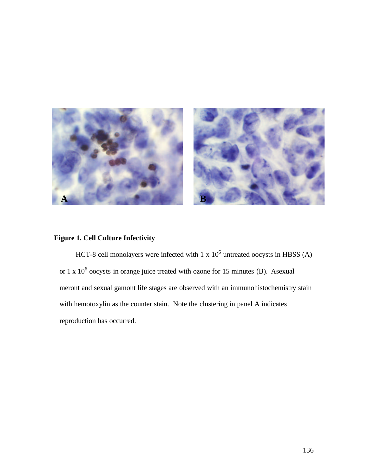

#### **Figure 1. Cell Culture Infectivity**

HCT-8 cell monolayers were infected with  $1 \times 10^6$  untreated oocysts in HBSS (A) or  $1 \times 10^6$  oocysts in orange juice treated with ozone for 15 minutes (B). Asexual meront and sexual gamont life stages are observed with an immunohistochemistry stain with hemotoxylin as the counter stain. Note the clustering in panel A indicates reproduction has occurred.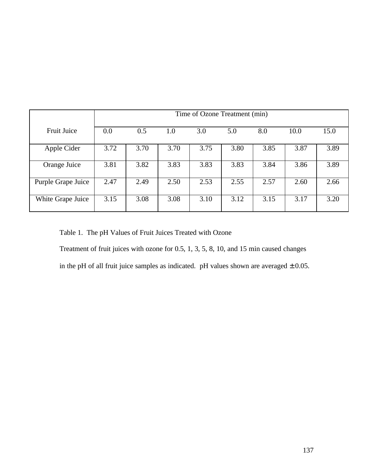|                    | Time of Ozone Treatment (min) |      |      |      |      |      |      |      |
|--------------------|-------------------------------|------|------|------|------|------|------|------|
| <b>Fruit Juice</b> | 0.0                           | 0.5  | 1.0  | 3.0  | 5.0  | 8.0  | 10.0 | 15.0 |
| Apple Cider        | 3.72                          | 3.70 | 3.70 | 3.75 | 3.80 | 3.85 | 3.87 | 3.89 |
| Orange Juice       | 3.81                          | 3.82 | 3.83 | 3.83 | 3.83 | 3.84 | 3.86 | 3.89 |
| Purple Grape Juice | 2.47                          | 2.49 | 2.50 | 2.53 | 2.55 | 2.57 | 2.60 | 2.66 |
| White Grape Juice  | 3.15                          | 3.08 | 3.08 | 3.10 | 3.12 | 3.15 | 3.17 | 3.20 |

Table 1. The pH Values of Fruit Juices Treated with Ozone

Treatment of fruit juices with ozone for 0.5, 1, 3, 5, 8, 10, and 15 min caused changes

in the pH of all fruit juice samples as indicated. pH values shown are averaged  $\pm$  0.05.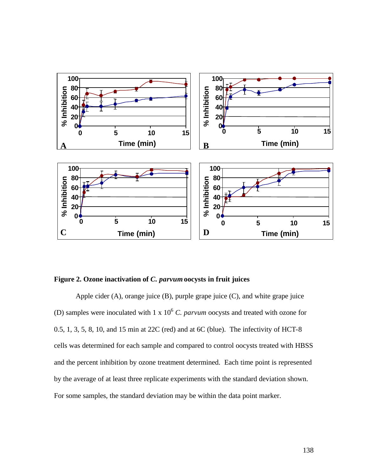

#### **Figure 2. Ozone inactivation of** *C. parvum* **oocysts in fruit juices**

Apple cider  $(A)$ , orange juice  $(B)$ , purple grape juice  $(C)$ , and white grape juice (D) samples were inoculated with  $1 \times 10^6$  *C. parvum* oocysts and treated with ozone for 0.5, 1, 3, 5, 8, 10, and 15 min at 22C (red) and at 6C (blue). The infectivity of HCT-8 cells was determined for each sample and compared to control oocysts treated with HBSS and the percent inhibition by ozone treatment determined. Each time point is represented by the average of at least three replicate experiments with the standard deviation shown. For some samples, the standard deviation may be within the data point marker.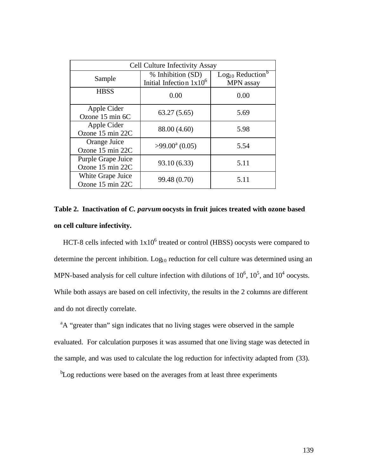| <b>Cell Culture Infectivity Assay</b>  |                                                 |                                                              |  |
|----------------------------------------|-------------------------------------------------|--------------------------------------------------------------|--|
| Sample                                 | % Inhibition (SD)<br>Initial Infection $1x10^6$ | Log <sub>10</sub> Reduction <sup>b</sup><br><b>MPN</b> assay |  |
| <b>HBSS</b>                            | 0.00                                            | 0.00                                                         |  |
| Apple Cider<br>Ozone 15 min 6C         | 63.27(5.65)                                     | 5.69                                                         |  |
| Apple Cider<br>Ozone 15 min 22C        | 88.00 (4.60)                                    | 5.98                                                         |  |
| Orange Juice<br>Ozone 15 min 22C       | $>99.00^{\circ}$ (0.05)                         | 5.54                                                         |  |
| Purple Grape Juice<br>Ozone 15 min 22C | 93.10 (6.33)                                    | 5.11                                                         |  |
| White Grape Juice<br>Ozone 15 min 22C  | 99.48 (0.70)                                    | 5.11                                                         |  |

**Table 2. Inactivation of** *C. parvum* **oocysts in fruit juices treated with ozone based on cell culture infectivity.**

HCT-8 cells infected with  $1x10^6$  treated or control (HBSS) oocysts were compared to determine the percent inhibition.  $Log<sub>10</sub>$  reduction for cell culture was determined using an MPN-based analysis for cell culture infection with dilutions of  $10^6$ ,  $10^5$ , and  $10^4$  oocysts. While both assays are based on cell infectivity, the results in the 2 columns are different and do not directly correlate.

<sup>a</sup>A "greater than" sign indicates that no living stages were observed in the sample evaluated. For calculation purposes it was assumed that one living stage was detected in the sample, and was used to calculate the log reduction for infectivity adapted from (33).

<sup>b</sup>Log reductions were based on the averages from at least three experiments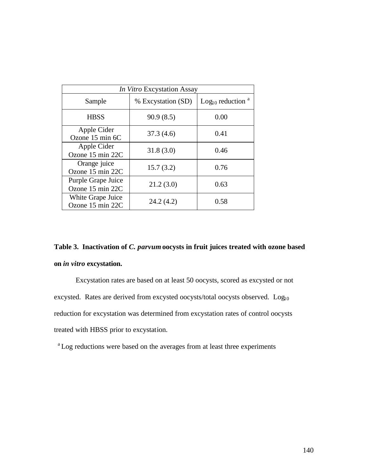| <i>In Vitro</i> Excystation Assay      |                    |                                 |  |
|----------------------------------------|--------------------|---------------------------------|--|
| Sample                                 | % Excystation (SD) | Log <sub>10</sub> reduction $a$ |  |
| <b>HBSS</b>                            | 90.9(8.5)          | 0.00                            |  |
| Apple Cider<br>Ozone 15 min 6C         | 37.3(4.6)          | 0.41                            |  |
| Apple Cider<br>Ozone 15 min 22C        | 31.8(3.0)          | 0.46                            |  |
| Orange juice<br>Ozone 15 min 22C       | 15.7(3.2)          | 0.76                            |  |
| Purple Grape Juice<br>Ozone 15 min 22C | 21.2(3.0)          | 0.63                            |  |
| White Grape Juice<br>Ozone 15 min 22C  | 24.2(4.2)          | 0.58                            |  |

## **Table 3. Inactivation of** *C. parvum* **oocysts in fruit juices treated with ozone based on** *in vitro* **excystation.**

Excystation rates are based on at least 50 oocysts, scored as excysted or not excysted. Rates are derived from excysted oocysts/total oocysts observed. Log<sub>10</sub> reduction for excystation was determined from excystation rates of control oocysts treated with HBSS prior to excystation.

<sup>a</sup>Log reductions were based on the averages from at least three experiments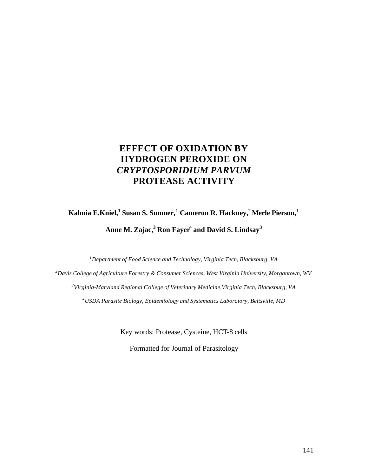## **EFFECT OF OXIDATION BY HYDROGEN PEROXIDE ON** *CRYPTOSPORIDIUM PARVUM* **PROTEASE ACTIVITY**

**Kalmia E.Kniel,<sup>1</sup>Susan S. Sumner,<sup>1</sup>Cameron R. Hackney,<sup>2</sup>Merle Pierson,<sup>1</sup> Anne M. Zajac,<sup>3</sup>Ron Fayer<sup>4</sup>and David S. Lindsay<sup>3</sup>** 

*<sup>1</sup>Department of Food Science and Technology, Virginia Tech, Blacksburg, VA*

*<sup>2</sup>Davis College of Agriculture Forestry & Consumer Sciences, West Virginia University, Morgantown, WV 3 Virginia-Maryland Regional College of Veterinary Medicine,Virginia Tech, Blacksburg, VA <sup>4</sup>USDA Parasite Biology, Epidemiology and Systematics Laboratory, Beltsville, MD*

Key words: Protease, Cysteine, HCT-8 cells

Formatted for Journal of Parasitology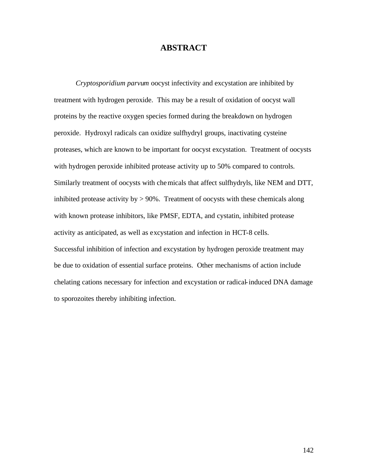#### **ABSTRACT**

*Cryptosporidium parvum* oocyst infectivity and excystation are inhibited by treatment with hydrogen peroxide. This may be a result of oxidation of oocyst wall proteins by the reactive oxygen species formed during the breakdown on hydrogen peroxide. Hydroxyl radicals can oxidize sulfhydryl groups, inactivating cysteine proteases, which are known to be important for oocyst excystation. Treatment of oocysts with hydrogen peroxide inhibited protease activity up to 50% compared to controls. Similarly treatment of oocysts with chemicals that affect sulfhydryls, like NEM and DTT, inhibited protease activity by  $> 90\%$ . Treatment of oocysts with these chemicals along with known protease inhibitors, like PMSF, EDTA, and cystatin, inhibited protease activity as anticipated, as well as excystation and infection in HCT-8 cells. Successful inhibition of infection and excystation by hydrogen peroxide treatment may be due to oxidation of essential surface proteins. Other mechanisms of action include chelating cations necessary for infection and excystation or radical-induced DNA damage to sporozoites thereby inhibiting infection.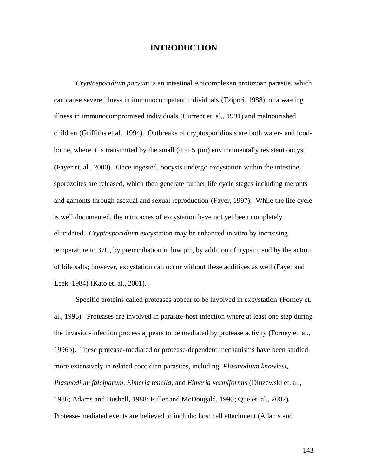#### **INTRODUCTION**

*Cryptosporidium parvum* is an intestinal Apicomplexan protozoan parasite, which can cause severe illness in immunocompetent individuals (Tzipori, 1988), or a wasting illness in immunocompromised individuals (Current et. al., 1991) and malnourished children (Griffiths et.al., 1994). Outbreaks of cryptosporidiosis are both water- and foodborne, where it is transmitted by the small  $(4 \text{ to } 5 \mu m)$  environmentally resistant oocyst (Fayer et. al., 2000). Once ingested, oocysts undergo excystation within the intestine, sporozoites are released, which then generate further life cycle stages including meronts and gamonts through asexual and sexual reproduction (Fayer, 1997). While the life cycle is well documented, the intricacies of excystation have not yet been completely elucidated. *Cryptosporidium* excystation may be enhanced in vitro by increasing temperature to 37C, by preincubation in low pH, by addition of trypsin, and by the action of bile salts; however, excystation can occur without these additives as well (Fayer and Leek, 1984) (Kato et. al., 2001).

Specific proteins called proteases appear to be involved in excystation (Forney et. al., 1996). Proteases are involved in parasite-host infection where at least one step during the invasion-infection process appears to be mediated by protease activity (Forney et. al., 1996b). These protease-mediated or protease-dependent mechanisms have been studied more extensively in related coccidian parasites, including: *Plasmodium knowlesi, Plasmodium falciparum, Eimeria tenella,* and *Eimeria vermiformis* (Dluzewski et. al., 1986; Adams and Bushell, 1988; Fuller and McDougald, 1990; Que et. al., 2002). Protease-mediated events are believed to include: host cell attachment (Adams and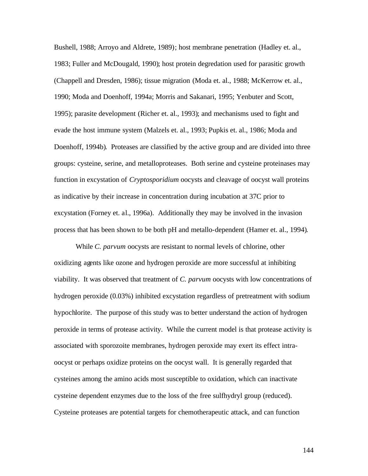Bushell, 1988; Arroyo and Aldrete, 1989); host membrane penetration (Hadley et. al., 1983; Fuller and McDougald, 1990); host protein degredation used for parasitic growth (Chappell and Dresden, 1986); tissue migration (Moda et. al., 1988; McKerrow et. al., 1990; Moda and Doenhoff, 1994a; Morris and Sakanari, 1995; Yenbuter and Scott, 1995); parasite development (Richer et. al., 1993); and mechanisms used to fight and evade the host immune system (Malzels et. al., 1993; Pupkis et. al., 1986; Moda and Doenhoff, 1994b). Proteases are classified by the active group and are divided into three groups: cysteine, serine, and metalloproteases. Both serine and cysteine proteinases may function in excystation of *Cryptosporidium* oocysts and cleavage of oocyst wall proteins as indicative by their increase in concentration during incubation at 37C prior to excystation (Forney et. al., 1996a). Additionally they may be involved in the invasion process that has been shown to be both pH and metallo-dependent (Hamer et. al., 1994).

While *C. parvum* oocysts are resistant to normal levels of chlorine, other oxidizing agents like ozone and hydrogen peroxide are more successful at inhibiting viability. It was observed that treatment of *C. parvum* oocysts with low concentrations of hydrogen peroxide (0.03%) inhibited excystation regardless of pretreatment with sodium hypochlorite. The purpose of this study was to better understand the action of hydrogen peroxide in terms of protease activity. While the current model is that protease activity is associated with sporozoite membranes, hydrogen peroxide may exert its effect intraoocyst or perhaps oxidize proteins on the oocyst wall. It is generally regarded that cysteines among the amino acids most susceptible to oxidation, which can inactivate cysteine dependent enzymes due to the loss of the free sulfhydryl group (reduced). Cysteine proteases are potential targets for chemotherapeutic attack, and can function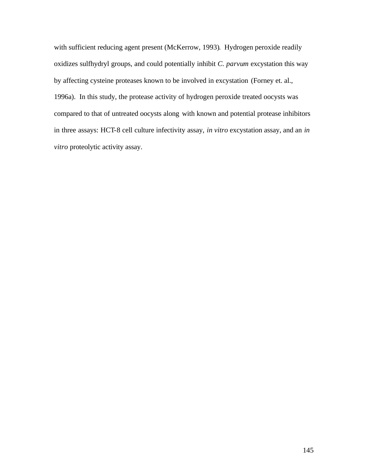with sufficient reducing agent present (McKerrow, 1993). Hydrogen peroxide readily oxidizes sulfhydryl groups, and could potentially inhibit *C. parvum* excystation this way by affecting cysteine proteases known to be involved in excystation (Forney et. al., 1996a). In this study, the protease activity of hydrogen peroxide treated oocysts was compared to that of untreated oocysts along with known and potential protease inhibitors in three assays: HCT-8 cell culture infectivity assay, *in vitro* excystation assay, and an *in vitro* proteolytic activity assay.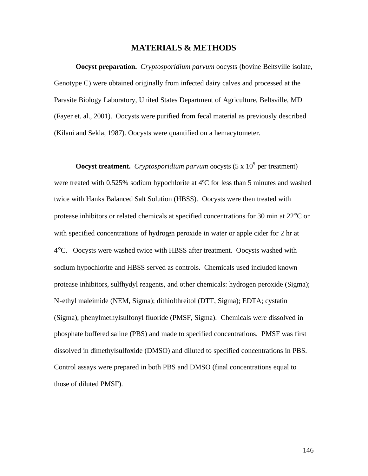### **MATERIALS & METHODS**

**Oocyst preparation.** *Cryptosporidium parvum* oocysts (bovine Beltsville isolate, Genotype C) were obtained originally from infected dairy calves and processed at the Parasite Biology Laboratory, United States Department of Agriculture, Beltsville, MD (Fayer et. al., 2001). Oocysts were purified from fecal material as previously described (Kilani and Sekla, 1987). Oocysts were quantified on a hemacytometer.

**Oocyst treatment.** Cryptosporidium parvum oocysts  $(5 \times 10^5)$  per treatment) were treated with 0.525% sodium hypochlorite at 4ºC for less than 5 minutes and washed twice with Hanks Balanced Salt Solution (HBSS). Oocysts were then treated with protease inhibitors or related chemicals at specified concentrations for 30 min at 22°C or with specified concentrations of hydrogen peroxide in water or apple cider for 2 hr at 4°C. Oocysts were washed twice with HBSS after treatment. Oocysts washed with sodium hypochlorite and HBSS served as controls. Chemicals used included known protease inhibitors, sulfhydyl reagents, and other chemicals: hydrogen peroxide (Sigma); N-ethyl maleimide (NEM, Sigma); dithiolthreitol (DTT, Sigma); EDTA; cystatin (Sigma); phenylmethylsulfonyl fluoride (PMSF, Sigma). Chemicals were dissolved in phosphate buffered saline (PBS) and made to specified concentrations. PMSF was first dissolved in dimethylsulfoxide (DMSO) and diluted to specified concentrations in PBS. Control assays were prepared in both PBS and DMSO (final concentrations equal to those of diluted PMSF).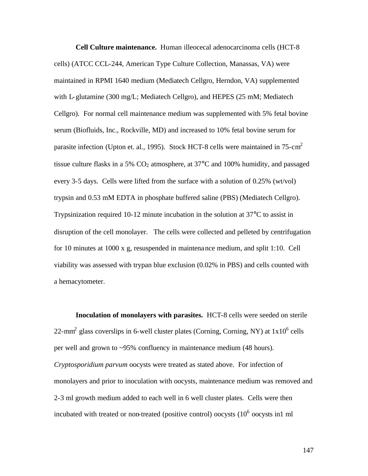**Cell Culture maintenance.** Human illeocecal adenocarcinoma cells (HCT-8 cells) (ATCC CCL-244, American Type Culture Collection, Manassas, VA) were maintained in RPMI 1640 medium (Mediatech Cellgro, Herndon, VA) supplemented with L-glutamine (300 mg/L; Mediatech Cellgro), and HEPES (25 mM; Mediatech Cellgro). For normal cell maintenance medium was supplemented with 5% fetal bovine serum (Biofluids, Inc., Rockville, MD) and increased to 10% fetal bovine serum for parasite infection (Upton et. al., 1995). Stock HCT-8 cells were maintained in  $75 \text{- cm}^2$ tissue culture flasks in a 5%  $CO<sub>2</sub>$  atmosphere, at 37 $\degree$ C and 100% humidity, and passaged every 3-5 days. Cells were lifted from the surface with a solution of 0.25% (wt/vol) trypsin and 0.53 mM EDTA in phosphate buffered saline (PBS) (Mediatech Cellgro). Trypsinization required 10-12 minute incubation in the solution at 37°C to assist in disruption of the cell monolayer. The cells were collected and pelleted by centrifugation for 10 minutes at 1000 x g, resuspended in maintenance medium, and split 1:10. Cell viability was assessed with trypan blue exclusion (0.02% in PBS) and cells counted with a hemacytometer.

**Inoculation of monolayers with parasites.** HCT-8 cells were seeded on sterile 22-mm<sup>2</sup> glass coverslips in 6-well cluster plates (Corning, Corning, NY) at  $1x10^6$  cells per well and grown to ~95% confluency in maintenance medium (48 hours). *Cryptosporidium parvum* oocysts were treated as stated above. For infection of monolayers and prior to inoculation with oocysts, maintenance medium was removed and 2-3 ml growth medium added to each well in 6 well cluster plates. Cells were then incubated with treated or non-treated (positive control) oocysts  $(10^6)$  oocysts in 1 ml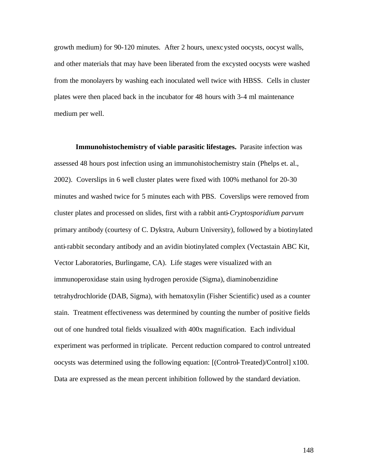growth medium) for 90-120 minutes. After 2 hours, unexcysted oocysts, oocyst walls, and other materials that may have been liberated from the excysted oocysts were washed from the monolayers by washing each inoculated well twice with HBSS. Cells in cluster plates were then placed back in the incubator for 48 hours with 3-4 ml maintenance medium per well.

**Immunohistochemistry of viable parasitic lifestages.** Parasite infection was assessed 48 hours post infection using an immunohistochemistry stain (Phelps et. al., 2002). Coverslips in 6 well cluster plates were fixed with 100% methanol for 20-30 minutes and washed twice for 5 minutes each with PBS. Coverslips were removed from cluster plates and processed on slides, first with a rabbit anti-*Cryptosporidium parvum* primary antibody (courtesy of C. Dykstra, Auburn University), followed by a biotinylated anti-rabbit secondary antibody and an avidin biotinylated complex (Vectastain ABC Kit, Vector Laboratories, Burlingame, CA). Life stages were visualized with an immunoperoxidase stain using hydrogen peroxide (Sigma), diaminobenzidine tetrahydrochloride (DAB, Sigma), with hematoxylin (Fisher Scientific) used as a counter stain. Treatment effectiveness was determined by counting the number of positive fields out of one hundred total fields visualized with 400x magnification. Each individual experiment was performed in triplicate. Percent reduction compared to control untreated oocysts was determined using the following equation: [(Control-Treated)/Control] x100. Data are expressed as the mean percent inhibition followed by the standard deviation.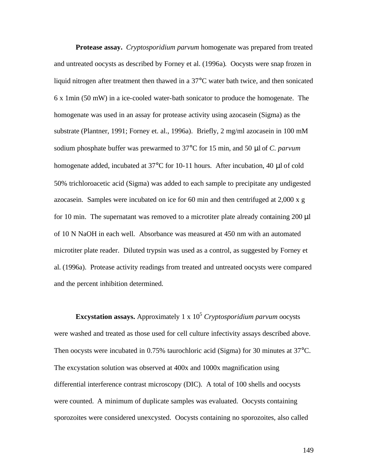**Protease assay.** *Cryptosporidium parvum* homogenate was prepared from treated and untreated oocysts as described by Forney et al. (1996a). Oocysts were snap frozen in liquid nitrogen after treatment then thawed in a 37°C water bath twice, and then sonicated 6 x 1min (50 mW) in a ice-cooled water-bath sonicator to produce the homogenate. The homogenate was used in an assay for protease activity using azocasein (Sigma) as the substrate (Plantner, 1991; Forney et. al., 1996a). Briefly, 2 mg/ml azocasein in 100 mM sodium phosphate buffer was prewarmed to 37°C for 15 min, and 50 μl of *C. parvum* homogenate added, incubated at 37°C for 10-11 hours. After incubation, 40 μl of cold 50% trichloroacetic acid (Sigma) was added to each sample to precipitate any undigested azocasein. Samples were incubated on ice for 60 min and then centrifuged at 2,000 x g for 10 min. The supernatant was removed to a microtiter plate already containing 200 μl of 10 N NaOH in each well. Absorbance was measured at 450 nm with an automated microtiter plate reader. Diluted trypsin was used as a control, as suggested by Forney et al. (1996a). Protease activity readings from treated and untreated oocysts were compared and the percent inhibition determined.

**Excystation assays.** Approximately 1 x 10<sup>5</sup> *Cryptosporidium parvum* oocysts were washed and treated as those used for cell culture infectivity assays described above. Then oocysts were incubated in 0.75% taurochloric acid (Sigma) for 30 minutes at 37<sup>o</sup>C. The excystation solution was observed at 400x and 1000x magnification using differential interference contrast microscopy (DIC). A total of 100 shells and oocysts were counted. A minimum of duplicate samples was evaluated. Oocysts containing sporozoites were considered unexcysted. Oocysts containing no sporozoites, also called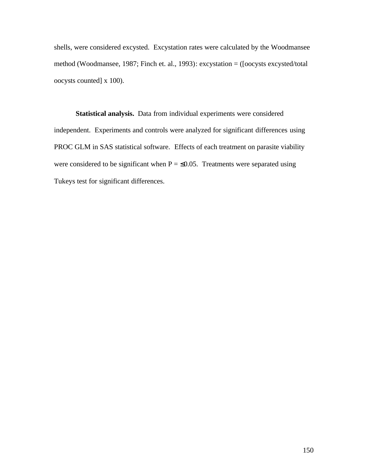shells, were considered excysted. Excystation rates were calculated by the Woodmansee method (Woodmansee, 1987; Finch et. al., 1993): excystation = ([oocysts excysted/total oocysts counted] x 100).

**Statistical analysis.** Data from individual experiments were considered independent. Experiments and controls were analyzed for significant differences using PROC GLM in SAS statistical software. Effects of each treatment on parasite viability were considered to be significant when  $P = \le 0.05$ . Treatments were separated using Tukeys test for significant differences.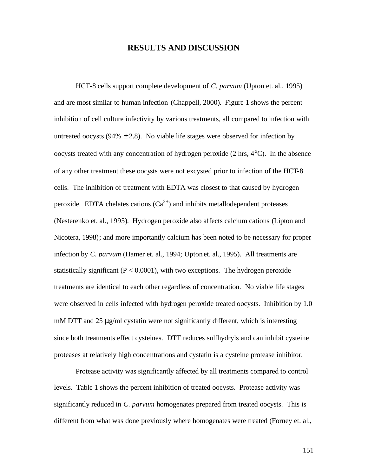### **RESULTS AND DISCUSSION**

HCT-8 cells support complete development of *C. parvum* (Upton et. al., 1995) and are most similar to human infection (Chappell, 2000). Figure 1 shows the percent inhibition of cell culture infectivity by various treatments, all compared to infection with untreated oocysts ( $94\% \pm 2.8$ ). No viable life stages were observed for infection by oocysts treated with any concentration of hydrogen peroxide (2 hrs, 4°C). In the absence of any other treatment these oocysts were not excysted prior to infection of the HCT-8 cells. The inhibition of treatment with EDTA was closest to that caused by hydrogen peroxide. EDTA chelates cations  $(Ca^{2+})$  and inhibits metallodependent proteases (Nesterenko et. al., 1995). Hydrogen peroxide also affects calcium cations (Lipton and Nicotera, 1998); and more importantly calcium has been noted to be necessary for proper infection by *C. parvum* (Hamer et. al., 1994; Upton et. al., 1995). All treatments are statistically significant ( $P < 0.0001$ ), with two exceptions. The hydrogen peroxide treatments are identical to each other regardless of concentration. No viable life stages were observed in cells infected with hydrogen peroxide treated oocysts. Inhibition by 1.0 mM DTT and 25  $\mu$ g/ml cystatin were not significantly different, which is interesting since both treatments effect cysteines. DTT reduces sulfhydryls and can inhibit cysteine proteases at relatively high concentrations and cystatin is a cysteine protease inhibitor.

Protease activity was significantly affected by all treatments compared to control levels. Table 1 shows the percent inhibition of treated oocysts. Protease activity was significantly reduced in *C. parvum* homogenates prepared from treated oocysts. This is different from what was done previously where homogenates were treated (Forney et. al.,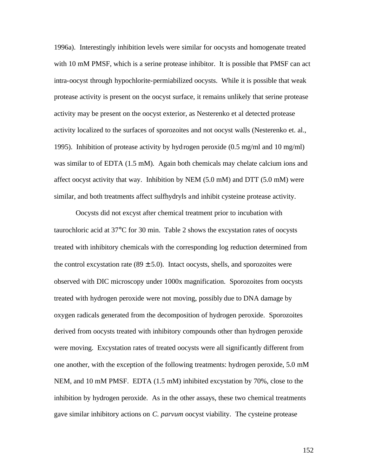1996a). Interestingly inhibition levels were similar for oocysts and homogenate treated with 10 mM PMSF, which is a serine protease inhibitor. It is possible that PMSF can act intra-oocyst through hypochlorite-permiabilized oocysts. While it is possible that weak protease activity is present on the oocyst surface, it remains unlikely that serine protease activity may be present on the oocyst exterior, as Nesterenko et al detected protease activity localized to the surfaces of sporozoites and not oocyst walls (Nesterenko et. al., 1995). Inhibition of protease activity by hydrogen peroxide (0.5 mg/ml and 10 mg/ml) was similar to of EDTA (1.5 mM). Again both chemicals may chelate calcium ions and affect oocyst activity that way. Inhibition by NEM (5.0 mM) and DTT (5.0 mM) were similar, and both treatments affect sulfhydryls and inhibit cysteine protease activity.

Oocysts did not excyst after chemical treatment prior to incubation with taurochloric acid at 37°C for 30 min. Table 2 shows the excystation rates of oocysts treated with inhibitory chemicals with the corresponding log reduction determined from the control excystation rate  $(89 \pm 5.0)$ . Intact oocysts, shells, and sporozoites were observed with DIC microscopy under 1000x magnification. Sporozoites from oocysts treated with hydrogen peroxide were not moving, possibly due to DNA damage by oxygen radicals generated from the decomposition of hydrogen peroxide. Sporozoites derived from oocysts treated with inhibitory compounds other than hydrogen peroxide were moving. Excystation rates of treated oocysts were all significantly different from one another, with the exception of the following treatments: hydrogen peroxide, 5.0 mM NEM, and 10 mM PMSF. EDTA (1.5 mM) inhibited excystation by 70%, close to the inhibition by hydrogen peroxide. As in the other assays, these two chemical treatments gave similar inhibitory actions on *C. parvum* oocyst viability. The cysteine protease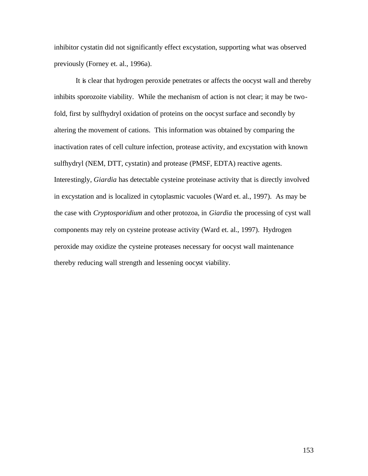inhibitor cystatin did not significantly effect excystation, supporting what was observed previously (Forney et. al., 1996a).

It is clear that hydrogen peroxide penetrates or affects the oocyst wall and thereby inhibits sporozoite viability. While the mechanism of action is not clear; it may be twofold, first by sulfhydryl oxidation of proteins on the oocyst surface and secondly by altering the movement of cations. This information was obtained by comparing the inactivation rates of cell culture infection, protease activity, and excystation with known sulfhydryl (NEM, DTT, cystatin) and protease (PMSF, EDTA) reactive agents. Interestingly, *Giardia* has detectable cysteine proteinase activity that is directly involved in excystation and is localized in cytoplasmic vacuoles (Ward et. al., 1997). As may be the case with *Cryptosporidium* and other protozoa, in *Giardia* the processing of cyst wall components may rely on cysteine protease activity (Ward et. al., 1997). Hydrogen peroxide may oxidize the cysteine proteases necessary for oocyst wall maintenance thereby reducing wall strength and lessening oocyst viability.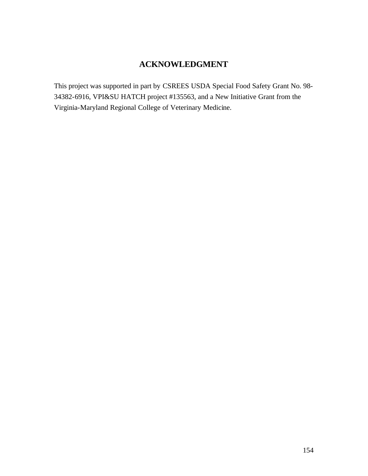# **ACKNOWLEDGMENT**

This project was supported in part by CSREES USDA Special Food Safety Grant No. 98- 34382-6916, VPI&SU HATCH project #135563, and a New Initiative Grant from the Virginia-Maryland Regional College of Veterinary Medicine.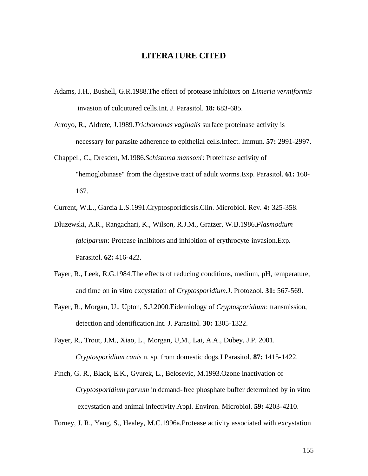#### **LITERATURE CITED**

- Adams, J.H., Bushell, G.R.1988.The effect of protease inhibitors on *Eimeria vermiformis* invasion of culcutured cells.Int. J. Parasitol. **18:** 683-685.
- Arroyo, R., Aldrete, J.1989.*Trichomonas vaginalis* surface proteinase activity is necessary for parasite adherence to epithelial cells.Infect. Immun. **57:** 2991-2997.
- Chappell, C., Dresden, M.1986.*Schistoma mansoni*: Proteinase activity of "hemoglobinase" from the digestive tract of adult worms.Exp. Parasitol. **61:** 160- 167.

Current, W.L., Garcia L.S.1991.Cryptosporidiosis.Clin. Microbiol. Rev. **4:** 325-358.

- Dluzewski, A.R., Rangachari, K., Wilson, R.J.M., Gratzer, W.B.1986.*Plasmodium falciparum*: Protease inhibitors and inhibition of erythrocyte invasion.Exp. Parasitol. **62:** 416-422.
- Fayer, R., Leek, R.G.1984.The effects of reducing conditions, medium, pH, temperature, and time on in vitro excystation of *Cryptosporidium*.J. Protozool. **31:** 567-569.
- Fayer, R., Morgan, U., Upton, S.J.2000.Eidemiology of *Cryptosporidium*: transmission, detection and identification.Int. J. Parasitol. **30:** 1305-1322.
- Fayer, R., Trout, J.M., Xiao, L., Morgan, U,M., Lai, A.A., Dubey, J.P. 2001. *Cryptosporidium canis* n. sp. from domestic dogs.J Parasitol. **87:** 1415-1422.
- Finch, G. R., Black, E.K., Gyurek, L., Belosevic, M.1993.Ozone inactivation of *Cryptosporidium parvum* in demand-free phosphate buffer determined by in vitro excystation and animal infectivity.Appl. Environ. Microbiol. **59:** 4203-4210.

Forney, J. R., Yang, S., Healey, M.C.1996a.Protease activity associated with excystation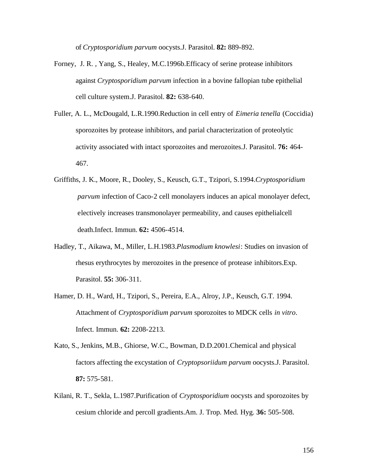of *Cryptosporidium parvum* oocysts.J. Parasitol. **82:** 889-892.

- Forney, J. R. , Yang, S., Healey, M.C.1996b.Efficacy of serine protease inhibitors against *Cryptosporidium parvum* infection in a bovine fallopian tube epithelial cell culture system.J. Parasitol. **82:** 638-640.
- Fuller, A. L., McDougald, L.R.1990.Reduction in cell entry of *Eimeria tenella* (Coccidia) sporozoites by protease inhibitors, and parial characterization of proteolytic activity associated with intact sporozoites and merozoites.J. Parasitol. **76:** 464- 467.
- Griffiths, J. K., Moore, R., Dooley, S., Keusch, G.T., Tzipori, S.1994.*Cryptosporidium parvum* infection of Caco-2 cell monolayers induces an apical monolayer defect, electively increases transmonolayer permeability, and causes epithelialcell death.Infect. Immun. **62:** 4506-4514.
- Hadley, T., Aikawa, M., Miller, L.H.1983.*Plasmodium knowlesi*: Studies on invasion of rhesus erythrocytes by merozoites in the presence of protease inhibitors.Exp. Parasitol. **55:** 306-311.
- Hamer, D. H., Ward, H., Tzipori, S., Pereira, E.A., Alroy, J.P., Keusch, G.T. 1994. Attachment of *Cryptosporidium parvum* sporozoites to MDCK cells *in vitro*. Infect. Immun. **62:** 2208-2213.
- Kato, S., Jenkins, M.B., Ghiorse, W.C., Bowman, D.D.2001.Chemical and physical factors affecting the excystation of *Cryptopsoriidum parvum* oocysts.J. Parasitol. **87:** 575-581.
- Kilani, R. T., Sekla, L.1987.Purification of *Cryptosporidium* oocysts and sporozoites by cesium chloride and percoll gradients.Am. J. Trop. Med. Hyg. **36:** 505-508.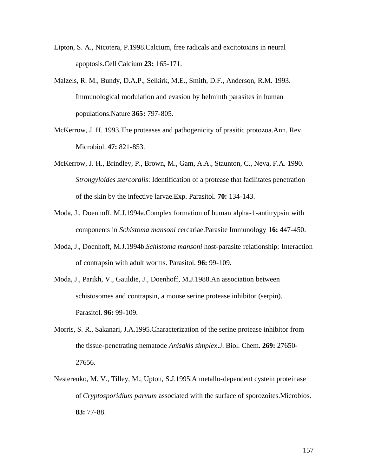- Lipton, S. A., Nicotera, P.1998.Calcium, free radicals and excitotoxins in neural apoptosis.Cell Calcium **23:** 165-171.
- Malzels, R. M., Bundy, D.A.P., Selkirk, M.E., Smith, D.F., Anderson, R.M. 1993. Immunological modulation and evasion by helminth parasites in human populations.Nature **365:** 797-805.
- McKerrow, J. H. 1993.The proteases and pathogenicity of prasitic protozoa.Ann. Rev. Microbiol. **47:** 821-853.
- McKerrow, J. H., Brindley, P., Brown, M., Gam, A.A., Staunton, C., Neva, F.A. 1990. *Strongyloides stercoralis*: Identification of a protease that facilitates penetration of the skin by the infective larvae.Exp. Parasitol. **70:** 134-143.
- Moda, J., Doenhoff, M.J.1994a.Complex formation of human alpha-1-antitrypsin with components in *Schistoma mansoni* cercariae.Parasite Immunology **16:** 447-450.
- Moda, J., Doenhoff, M.J.1994b.*Schistoma mansoni* host-parasite relationship: Interaction of contrapsin with adult worms. Parasitol. **96:** 99-109.
- Moda, J., Parikh, V., Gauldie, J., Doenhoff, M.J.1988.An association between schistosomes and contrapsin, a mouse serine protease inhibitor (serpin). Parasitol. **96:** 99-109.
- Morris, S. R., Sakanari, J.A.1995.Characterization of the serine protease inhibitor from the tissue-penetrating nematode *Anisakis simplex*.J. Biol. Chem. **269:** 27650- 27656.
- Nesterenko, M. V., Tilley, M., Upton, S.J.1995.A metallo-dependent cystein proteinase of *Cryptosporidium parvum* associated with the surface of sporozoites.Microbios. **83:** 77-88.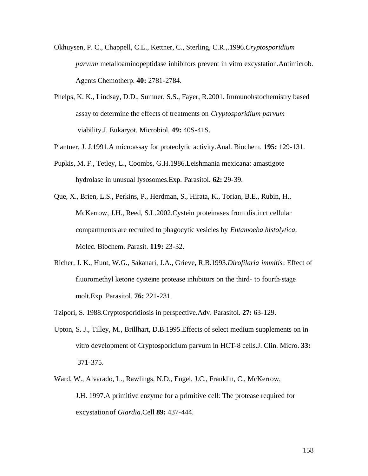- Okhuysen, P. C., Chappell, C.L., Kettner, C., Sterling, C.R.,.1996.*Cryptosporidium parvum* metalloaminopeptidase inhibitors prevent in vitro excystation.Antimicrob. Agents Chemotherp. **40:** 2781-2784.
- Phelps, K. K., Lindsay, D.D., Sumner, S.S., Fayer, R.2001. Immunohstochemistry based assay to determine the effects of treatments on *Cryptosporidium parvum* viability.J. Eukaryot. Microbiol. **49:** 40S-41S.
- Plantner, J. J.1991.A microassay for proteolytic activity.Anal. Biochem. **195:** 129-131.
- Pupkis, M. F., Tetley, L., Coombs, G.H.1986.Leishmania mexicana: amastigote hydrolase in unusual lysosomes.Exp. Parasitol. **62:** 29-39.
- Que, X., Brien, L.S., Perkins, P., Herdman, S., Hirata, K., Torian, B.E., Rubin, H., McKerrow, J.H., Reed, S.L.2002.Cystein proteinases from distinct cellular compartments are recruited to phagocytic vesicles by *Entamoeba histolytica*. Molec. Biochem. Parasit. **119:** 23-32.
- Richer, J. K., Hunt, W.G., Sakanari, J.A., Grieve, R.B.1993.*Dirofilaria immitis*: Effect of fluoromethyl ketone cysteine protease inhibitors on the third- to fourth-stage molt.Exp. Parasitol. **76:** 221-231.
- Tzipori, S. 1988.Cryptosporidiosis in perspective.Adv. Parasitol. **27:** 63-129.
- Upton, S. J., Tilley, M., Brillhart, D.B.1995.Effects of select medium supplements on in vitro development of Cryptosporidium parvum in HCT-8 cells.J. Clin. Micro. **33:** 371-375.
- Ward, W., Alvarado, L., Rawlings, N.D., Engel, J.C., Franklin, C., McKerrow, J.H. 1997.A primitive enzyme for a primitive cell: The protease required for excystation of *Giardia*.Cell **89:** 437-444.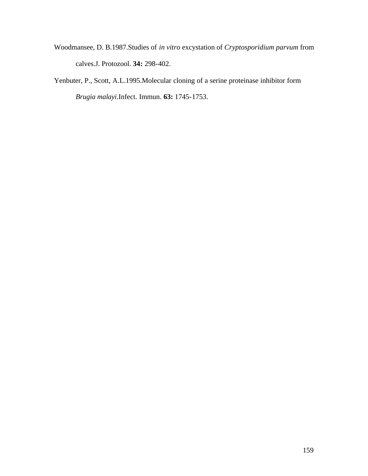- Woodmansee, D. B.1987.Studies of *in vitro* excystation of *Cryptosporidium parvum* from calves.J. Protozool. **34:** 298-402.
- Yenbuter, P., Scott, A.L.1995.Molecular cloning of a serine proteinase inhibitor form *Brugia malayi*.Infect. Immun. **63:** 1745-1753.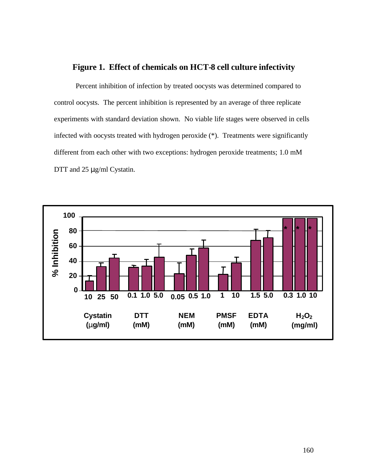## **Figure 1. Effect of chemicals on HCT-8 cell culture infectivity**

Percent inhibition of infection by treated oocysts was determined compared to control oocysts. The percent inhibition is represented by an average of three replicate experiments with standard deviation shown. No viable life stages were observed in cells infected with oocysts treated with hydrogen peroxide (\*). Treatments were significantly different from each other with two exceptions: hydrogen peroxide treatments; 1.0 mM DTT and 25 μg/ml Cystatin.

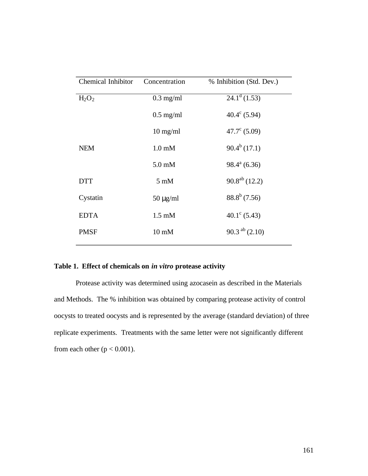| Chemical Inhibitor | Concentration       | % Inhibition (Std. Dev.) |
|--------------------|---------------------|--------------------------|
| $H_2O_2$           | $0.3$ mg/ml         | $24.1^d(1.53)$           |
|                    | $0.5 \text{ mg/ml}$ | $40.4^{\circ}$ (5.94)    |
|                    | $10 \text{ mg/ml}$  | $47.7^{\circ}$ (5.09)    |
| <b>NEM</b>         | $1.0 \text{ mM}$    | $90.4^b(17.1)$           |
|                    | $5.0 \text{ mM}$    | $98.4^a(6.36)$           |
| <b>DTT</b>         | $5 \text{ mM}$      | $90.8^{ab}$ (12.2)       |
| Cystatin           | $50 \mu g/ml$       | $88.8^b$ (7.56)          |
| <b>EDTA</b>        | $1.5 \text{ mM}$    | $40.1^{\circ}$ (5.43)    |
| <b>PMSF</b>        | $10 \text{ mM}$     | $90.3^{ab}$ (2.10)       |
|                    |                     |                          |

### **Table 1. Effect of chemicals on** *in vitro* **protease activity**

Protease activity was determined using azocasein as described in the Materials and Methods. The % inhibition was obtained by comparing protease activity of control oocysts to treated oocysts and is represented by the average (standard deviation) of three replicate experiments. Treatments with the same letter were not significantly different from each other ( $p < 0.001$ ).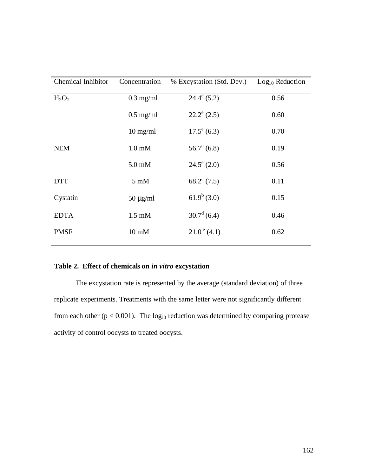| <b>Chemical Inhibitor</b> | Concentration    | % Excystation (Std. Dev.) | $Log10$ Reduction |
|---------------------------|------------------|---------------------------|-------------------|
| $H_2O_2$                  | $0.3$ mg/ml      | $24.4^e(5.2)$             | 0.56              |
|                           | $0.5$ mg/ml      | $22.2^e$ (2.5)            | 0.60              |
|                           | $10$ mg/ml       | $17.5^{\circ}$ (6.3)      | 0.70              |
| <b>NEM</b>                | $1.0 \text{ mM}$ | $56.7^{\circ}$ (6.8)      | 0.19              |
|                           | $5.0 \text{ mM}$ | $24.5^{\circ}$ (2.0)      | 0.56              |
| <b>DTT</b>                | $5 \text{ mM}$   | $68.2^{\mathrm{a}}$ (7.5) | 0.11              |
| Cystatin                  | $50 \mu g/ml$    | $61.9^b(3.0)$             | 0.15              |
| <b>EDTA</b>               | $1.5 \text{ mM}$ | $30.7^d$ (6.4)            | 0.46              |
| <b>PMSF</b>               | $10 \text{ mM}$  | $21.0^{\circ}$ (4.1)      | 0.62              |

### **Table 2. Effect of chemicals on** *in vitro* **excystation**

The excystation rate is represented by the average (standard deviation) of three replicate experiments. Treatments with the same letter were not significantly different from each other ( $p < 0.001$ ). The  $log_{10}$  reduction was determined by comparing protease activity of control oocysts to treated oocysts.